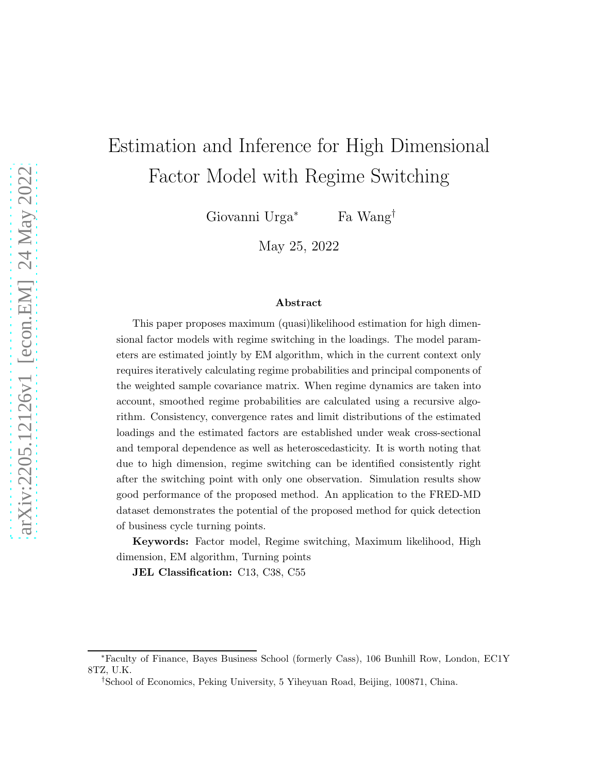# Estimation and Inference for High Dimensional Factor Model with Regime Switching

Giovanni Urga<sup>∗</sup> Fa Wang†

May 25, 2022

#### Abstract

This paper proposes maximum (quasi)likelihood estimation for high dimensional factor models with regime switching in the loadings. The model parameters are estimated jointly by EM algorithm, which in the current context only requires iteratively calculating regime probabilities and principal components of the weighted sample covariance matrix. When regime dynamics are taken into account, smoothed regime probabilities are calculated using a recursive algorithm. Consistency, convergence rates and limit distributions of the estimated loadings and the estimated factors are established under weak cross-sectional and temporal dependence as well as heteroscedasticity. It is worth noting that due to high dimension, regime switching can be identified consistently right after the switching point with only one observation. Simulation results show good performance of the proposed method. An application to the FRED-MD dataset demonstrates the potential of the proposed method for quick detection of business cycle turning points.

Keywords: Factor model, Regime switching, Maximum likelihood, High dimension, EM algorithm, Turning points

JEL Classification: C13, C38, C55

<sup>∗</sup>Faculty of Finance, Bayes Business School (formerly Cass), 106 Bunhill Row, London, EC1Y 8TZ, U.K.

<sup>†</sup>School of Economics, Peking University, 5 Yiheyuan Road, Beijing, 100871, China.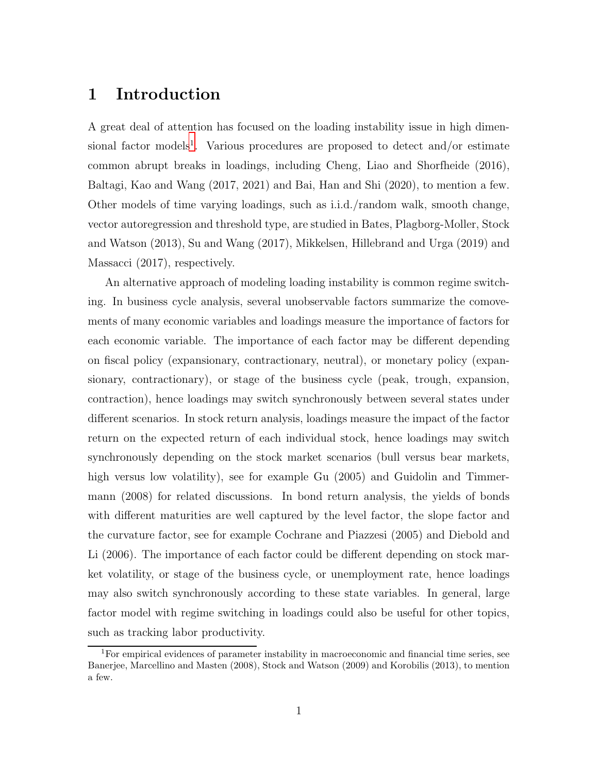# 1 Introduction

A great deal of attention has focused on the loading instability issue in high dimen-sional factor models<sup>[1](#page-1-0)</sup>. Various procedures are proposed to detect and/or estimate common abrupt breaks in loadings, including Cheng, Liao and Shorfheide (2016), Baltagi, Kao and Wang (2017, 2021) and Bai, Han and Shi (2020), to mention a few. Other models of time varying loadings, such as i.i.d./random walk, smooth change, vector autoregression and threshold type, are studied in Bates, Plagborg-Moller, Stock and Watson (2013), Su and Wang (2017), Mikkelsen, Hillebrand and Urga (2019) and Massacci (2017), respectively.

An alternative approach of modeling loading instability is common regime switching. In business cycle analysis, several unobservable factors summarize the comovements of many economic variables and loadings measure the importance of factors for each economic variable. The importance of each factor may be different depending on fiscal policy (expansionary, contractionary, neutral), or monetary policy (expansionary, contractionary), or stage of the business cycle (peak, trough, expansion, contraction), hence loadings may switch synchronously between several states under different scenarios. In stock return analysis, loadings measure the impact of the factor return on the expected return of each individual stock, hence loadings may switch synchronously depending on the stock market scenarios (bull versus bear markets, high versus low volatility), see for example Gu  $(2005)$  and Guidolin and Timmermann (2008) for related discussions. In bond return analysis, the yields of bonds with different maturities are well captured by the level factor, the slope factor and the curvature factor, see for example Cochrane and Piazzesi (2005) and Diebold and Li (2006). The importance of each factor could be different depending on stock market volatility, or stage of the business cycle, or unemployment rate, hence loadings may also switch synchronously according to these state variables. In general, large factor model with regime switching in loadings could also be useful for other topics, such as tracking labor productivity.

<span id="page-1-0"></span><sup>&</sup>lt;sup>1</sup>For empirical evidences of parameter instability in macroeconomic and financial time series, see Banerjee, Marcellino and Masten (2008), Stock and Watson (2009) and Korobilis (2013), to mention a few.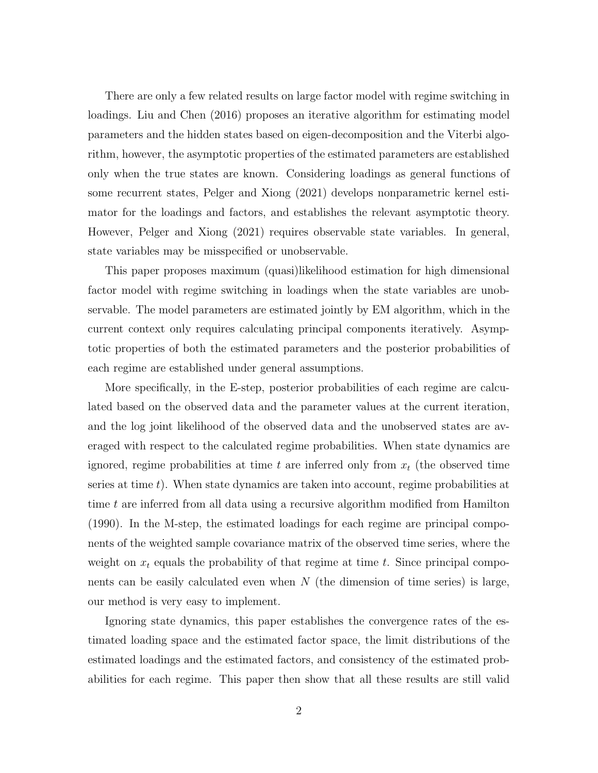There are only a few related results on large factor model with regime switching in loadings. Liu and Chen (2016) proposes an iterative algorithm for estimating model parameters and the hidden states based on eigen-decomposition and the Viterbi algorithm, however, the asymptotic properties of the estimated parameters are established only when the true states are known. Considering loadings as general functions of some recurrent states, Pelger and Xiong (2021) develops nonparametric kernel estimator for the loadings and factors, and establishes the relevant asymptotic theory. However, Pelger and Xiong (2021) requires observable state variables. In general, state variables may be misspecified or unobservable.

This paper proposes maximum (quasi)likelihood estimation for high dimensional factor model with regime switching in loadings when the state variables are unobservable. The model parameters are estimated jointly by EM algorithm, which in the current context only requires calculating principal components iteratively. Asymptotic properties of both the estimated parameters and the posterior probabilities of each regime are established under general assumptions.

More specifically, in the E-step, posterior probabilities of each regime are calculated based on the observed data and the parameter values at the current iteration, and the log joint likelihood of the observed data and the unobserved states are averaged with respect to the calculated regime probabilities. When state dynamics are ignored, regime probabilities at time t are inferred only from  $x_t$  (the observed time series at time  $t$ ). When state dynamics are taken into account, regime probabilities at time t are inferred from all data using a recursive algorithm modified from Hamilton (1990). In the M-step, the estimated loadings for each regime are principal components of the weighted sample covariance matrix of the observed time series, where the weight on  $x_t$  equals the probability of that regime at time t. Since principal components can be easily calculated even when  $N$  (the dimension of time series) is large, our method is very easy to implement.

Ignoring state dynamics, this paper establishes the convergence rates of the estimated loading space and the estimated factor space, the limit distributions of the estimated loadings and the estimated factors, and consistency of the estimated probabilities for each regime. This paper then show that all these results are still valid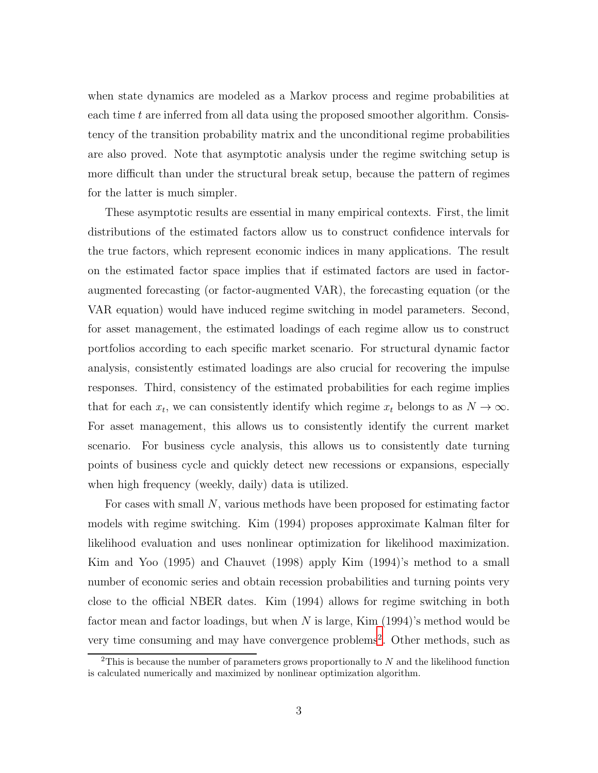when state dynamics are modeled as a Markov process and regime probabilities at each time  $t$  are inferred from all data using the proposed smoother algorithm. Consistency of the transition probability matrix and the unconditional regime probabilities are also proved. Note that asymptotic analysis under the regime switching setup is more difficult than under the structural break setup, because the pattern of regimes for the latter is much simpler.

These asymptotic results are essential in many empirical contexts. First, the limit distributions of the estimated factors allow us to construct confidence intervals for the true factors, which represent economic indices in many applications. The result on the estimated factor space implies that if estimated factors are used in factoraugmented forecasting (or factor-augmented VAR), the forecasting equation (or the VAR equation) would have induced regime switching in model parameters. Second, for asset management, the estimated loadings of each regime allow us to construct portfolios according to each specific market scenario. For structural dynamic factor analysis, consistently estimated loadings are also crucial for recovering the impulse responses. Third, consistency of the estimated probabilities for each regime implies that for each  $x_t$ , we can consistently identify which regime  $x_t$  belongs to as  $N \to \infty$ . For asset management, this allows us to consistently identify the current market scenario. For business cycle analysis, this allows us to consistently date turning points of business cycle and quickly detect new recessions or expansions, especially when high frequency (weekly, daily) data is utilized.

For cases with small N, various methods have been proposed for estimating factor models with regime switching. Kim (1994) proposes approximate Kalman filter for likelihood evaluation and uses nonlinear optimization for likelihood maximization. Kim and Yoo (1995) and Chauvet (1998) apply Kim (1994)'s method to a small number of economic series and obtain recession probabilities and turning points very close to the official NBER dates. Kim (1994) allows for regime switching in both factor mean and factor loadings, but when N is large, Kim  $(1994)$ 's method would be very time consuming and may have convergence problems<sup>[2](#page-3-0)</sup>. Other methods, such as

<span id="page-3-0"></span><sup>&</sup>lt;sup>2</sup>This is because the number of parameters grows proportionally to  $N$  and the likelihood function is calculated numerically and maximized by nonlinear optimization algorithm.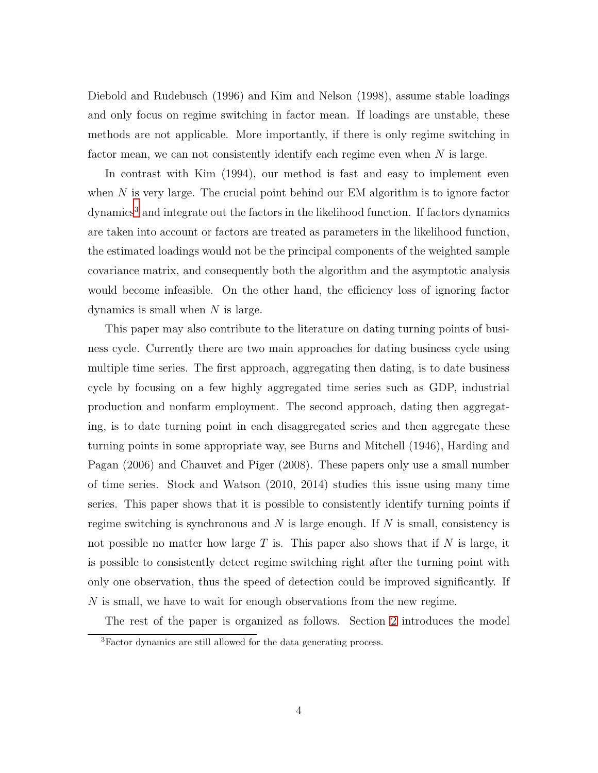Diebold and Rudebusch (1996) and Kim and Nelson (1998), assume stable loadings and only focus on regime switching in factor mean. If loadings are unstable, these methods are not applicable. More importantly, if there is only regime switching in factor mean, we can not consistently identify each regime even when N is large.

In contrast with Kim (1994), our method is fast and easy to implement even when  $N$  is very large. The crucial point behind our EM algorithm is to ignore factor dynamics<sup>[3](#page-4-0)</sup> and integrate out the factors in the likelihood function. If factors dynamics are taken into account or factors are treated as parameters in the likelihood function, the estimated loadings would not be the principal components of the weighted sample covariance matrix, and consequently both the algorithm and the asymptotic analysis would become infeasible. On the other hand, the efficiency loss of ignoring factor dynamics is small when N is large.

This paper may also contribute to the literature on dating turning points of business cycle. Currently there are two main approaches for dating business cycle using multiple time series. The first approach, aggregating then dating, is to date business cycle by focusing on a few highly aggregated time series such as GDP, industrial production and nonfarm employment. The second approach, dating then aggregating, is to date turning point in each disaggregated series and then aggregate these turning points in some appropriate way, see Burns and Mitchell (1946), Harding and Pagan (2006) and Chauvet and Piger (2008). These papers only use a small number of time series. Stock and Watson (2010, 2014) studies this issue using many time series. This paper shows that it is possible to consistently identify turning points if regime switching is synchronous and  $N$  is large enough. If  $N$  is small, consistency is not possible no matter how large  $T$  is. This paper also shows that if  $N$  is large, it is possible to consistently detect regime switching right after the turning point with only one observation, thus the speed of detection could be improved significantly. If N is small, we have to wait for enough observations from the new regime.

The rest of the paper is organized as follows. Section [2](#page-5-0) introduces the model

<span id="page-4-0"></span><sup>3</sup>Factor dynamics are still allowed for the data generating process.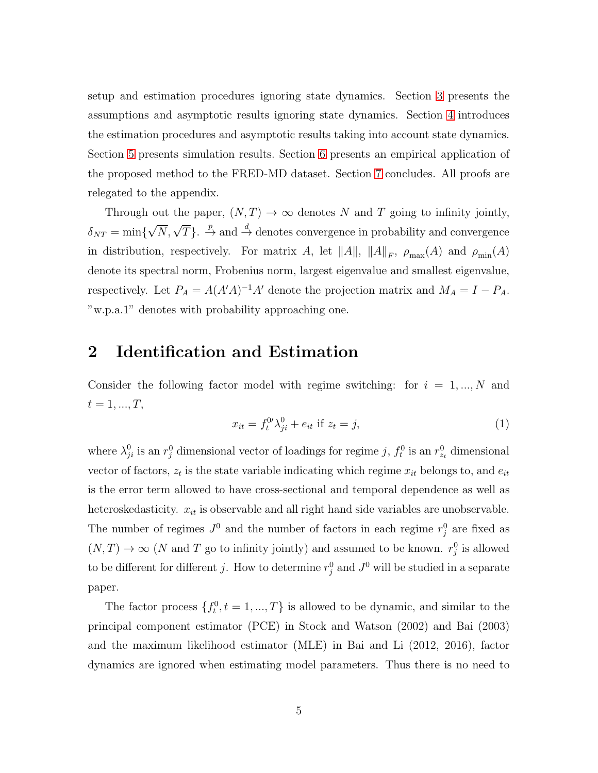setup and estimation procedures ignoring state dynamics. Section [3](#page-11-0) presents the assumptions and asymptotic results ignoring state dynamics. Section [4](#page-16-0) introduces the estimation procedures and asymptotic results taking into account state dynamics. Section [5](#page-21-0) presents simulation results. Section [6](#page-27-0) presents an empirical application of the proposed method to the FRED-MD dataset. Section [7](#page-29-0) concludes. All proofs are relegated to the appendix.

Through out the paper,  $(N, T) \rightarrow \infty$  denotes N and T going to infinity jointly,  $\delta_{NT} = \min\{\sqrt{N}, \sqrt{T}\}\.$   $\stackrel{p}{\rightarrow}$  and  $\stackrel{d}{\rightarrow}$  denotes convergence in probability and convergence in distribution, respectively. For matrix A, let  $||A||$ ,  $||A||_F$ ,  $\rho_{\max}(A)$  and  $\rho_{\min}(A)$ denote its spectral norm, Frobenius norm, largest eigenvalue and smallest eigenvalue, respectively. Let  $P_A = A(A'A)^{-1}A'$  denote the projection matrix and  $M_A = I - P_A$ . "w.p.a.1" denotes with probability approaching one.

# <span id="page-5-0"></span>2 Identification and Estimation

Consider the following factor model with regime switching: for  $i = 1, ..., N$  and  $t = 1, ..., T,$ 

$$
x_{it} = f_t^{0\prime} \lambda_{ji}^0 + e_{it} \text{ if } z_t = j,
$$
\n<sup>(1)</sup>

where  $\lambda_{ji}^0$  is an  $r_j^0$  dimensional vector of loadings for regime j,  $f_t^0$  is an  $r_{z_t}^0$  dimensional vector of factors,  $z_t$  is the state variable indicating which regime  $x_{it}$  belongs to, and  $e_{it}$ is the error term allowed to have cross-sectional and temporal dependence as well as heteroskedasticity.  $x_{it}$  is observable and all right hand side variables are unobservable. The number of regimes  $J^0$  and the number of factors in each regime  $r_j^0$  are fixed as  $(N, T) \to \infty$  (N and T go to infinity jointly) and assumed to be known.  $r_j^0$  is allowed to be different for different j. How to determine  $r_j^0$  and  $J^0$  will be studied in a separate paper.

The factor process  $\{f_t^0, t = 1, ..., T\}$  is allowed to be dynamic, and similar to the principal component estimator (PCE) in Stock and Watson (2002) and Bai (2003) and the maximum likelihood estimator (MLE) in Bai and Li (2012, 2016), factor dynamics are ignored when estimating model parameters. Thus there is no need to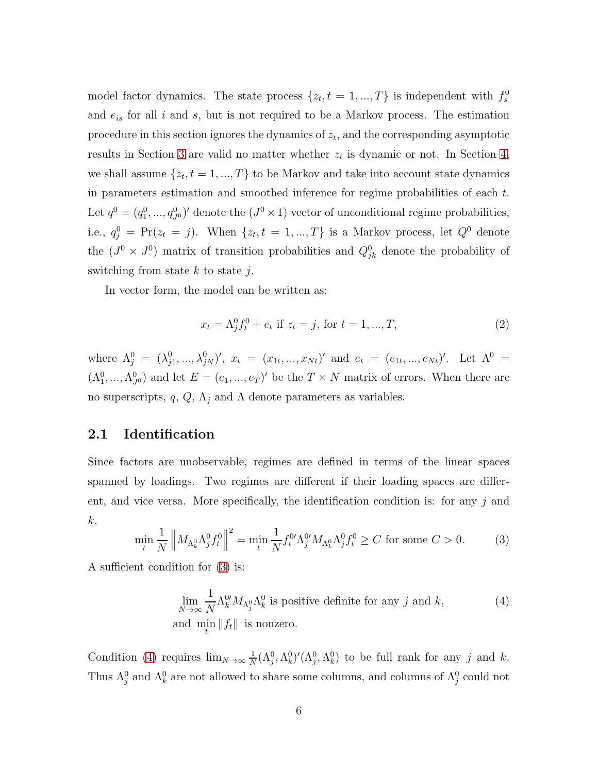model factor dynamics. The state process  $\{z_t, t = 1, ..., T\}$  is independent with  $f_s^0$ and  $e_{is}$  for all i and s, but is not required to be a Markov process. The estimation procedure in this section ignores the dynamics of  $z_t$ , and the corresponding asymptotic results in Section [3](#page-11-0) are valid no matter whether  $z_t$  is dynamic or not. In Section [4,](#page-16-0) we shall assume  $\{z_t, t = 1, ..., T\}$  to be Markov and take into account state dynamics in parameters estimation and smoothed inference for regime probabilities of each t. Let  $q^0 = (q_1^0, ..., q_{J^0}^0)'$  denote the  $(J^0 \times 1)$  vector of unconditional regime probabilities, i.e.,  $q_j^0 = \Pr(z_t = j)$ . When  $\{z_t, t = 1, ..., T\}$  is a Markov process, let  $Q^0$  denote the  $(J^0 \times J^0)$  matrix of transition probabilities and  $Q_{jk}^0$  denote the probability of switching from state  $k$  to state  $j$ .

In vector form, the model can be written as:

$$
x_t = \Lambda_j^0 f_t^0 + e_t \text{ if } z_t = j, \text{ for } t = 1, ..., T,
$$
 (2)

where  $\Lambda_j^0 = (\lambda_{j1}^0, ..., \lambda_{jN}^0)'$ ,  $x_t = (x_{1t}, ..., x_{Nt})'$  and  $e_t = (e_{1t}, ..., e_{Nt})'$ . Let  $\Lambda^0 =$  $(\Lambda_1^0, ..., \Lambda_{J^0}^0)$  and let  $E = (e_1, ..., e_T)'$  be the  $T \times N$  matrix of errors. When there are no superscripts, q,  $Q$ ,  $\Lambda_j$  and  $\Lambda$  denote parameters as variables.

### <span id="page-6-2"></span>2.1 Identification

Since factors are unobservable, regimes are defined in terms of the linear spaces spanned by loadings. Two regimes are different if their loading spaces are different, and vice versa. More specifically, the identification condition is: for any  $j$  and  $k,$ 

<span id="page-6-0"></span>
$$
\min_{t} \frac{1}{N} \left\| M_{\Lambda_k^0} \Lambda_j^0 f_t^0 \right\|^2 = \min_{t} \frac{1}{N} f_t^{0\prime} \Lambda_j^0 M_{\Lambda_k^0} \Lambda_j^0 f_t^0 \ge C \text{ for some } C > 0. \tag{3}
$$

A sufficient condition for [\(3\)](#page-6-0) is:

<span id="page-6-1"></span>
$$
\lim_{N \to \infty} \frac{1}{N} \Lambda_k^{0'} M_{\Lambda_j^0} \Lambda_k^0
$$
 is positive definite for any  $j$  and  $k$ ,  
and  $\min_t \|f_t\|$  is nonzero. (4)

Condition [\(4\)](#page-6-1) requires  $\lim_{N\to\infty}\frac{1}{N}$  $\frac{1}{N}(\Lambda_j^0, \Lambda_k^0)'(\Lambda_j^0, \Lambda_k^0)$  to be full rank for any j and k. Thus  $\Lambda_j^0$  and  $\Lambda_k^0$  are not allowed to share some columns, and columns of  $\Lambda_j^0$  could not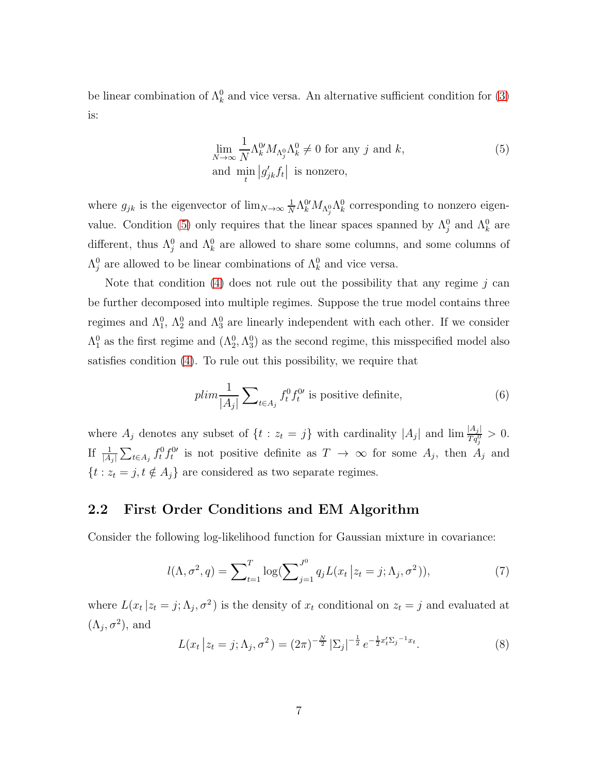be linear combination of  $\Lambda_k^0$  and vice versa. An alternative sufficient condition for [\(3\)](#page-6-0) is:

<span id="page-7-0"></span>
$$
\lim_{N \to \infty} \frac{1}{N} \Lambda_k^{0'} M_{\Lambda_j^0} \Lambda_k^0 \neq 0 \text{ for any } j \text{ and } k,
$$
\n
$$
\text{and } \min_t |g'_{jk} f_t| \text{ is nonzero},
$$
\n(5)

where  $g_{jk}$  is the eigenvector of  $\lim_{N\to\infty}\frac{1}{N}$  $\frac{1}{N} \Lambda^0_k M_{\Lambda^0_j} \Lambda^0_k$  corresponding to nonzero eigen-value. Condition [\(5\)](#page-7-0) only requires that the linear spaces spanned by  $\Lambda_j^0$  and  $\Lambda_k^0$  are different, thus  $\Lambda_j^0$  and  $\Lambda_k^0$  are allowed to share some columns, and some columns of  $\Lambda_j^0$  are allowed to be linear combinations of  $\Lambda_k^0$  and vice versa.

Note that condition  $(4)$  does not rule out the possibility that any regime j can be further decomposed into multiple regimes. Suppose the true model contains three regimes and  $\Lambda_1^0$ ,  $\Lambda_2^0$  and  $\Lambda_3^0$  are linearly independent with each other. If we consider  $\Lambda_1^0$  as the first regime and  $(\Lambda_2^0, \Lambda_3^0)$  as the second regime, this misspecified model also satisfies condition [\(4\)](#page-6-1). To rule out this possibility, we require that

$$
plim\frac{1}{|A_j|}\sum_{t\in A_j} f_t^0 f_t^{0\prime}
$$
 is positive definite, (6)

where  $A_j$  denotes any subset of  $\{t : z_t = j\}$  with cardinality  $|A_j|$  and  $\lim \frac{|A_j|}{Tq_j^0} > 0$ . If  $\frac{1}{|A_j|}\sum_{t\in A_j} f_t^0 f_t^{0t}$  is not positive definite as  $T \to \infty$  for some  $A_j$ , then  $A_j$  and  $\{t : z_t = j, t \notin A_j\}$  are considered as two separate regimes.

### <span id="page-7-2"></span>2.2 First Order Conditions and EM Algorithm

Consider the following log-likelihood function for Gaussian mixture in covariance:

<span id="page-7-1"></span>
$$
l(\Lambda, \sigma^2, q) = \sum_{t=1}^T \log(\sum_{j=1}^{J^0} q_j L(x_t | z_t = j; \Lambda_j, \sigma^2)),
$$
\n(7)

where  $L(x_t | z_t = j; \Lambda_j, \sigma^2)$  is the density of  $x_t$  conditional on  $z_t = j$  and evaluated at  $(\Lambda_j, \sigma^2)$ , and

$$
L(x_t | z_t = j; \Lambda_j, \sigma^2) = (2\pi)^{-\frac{N}{2}} |\Sigma_j|^{-\frac{1}{2}} e^{-\frac{1}{2}x_t^t \Sigma_j^{-1} x_t}.
$$
 (8)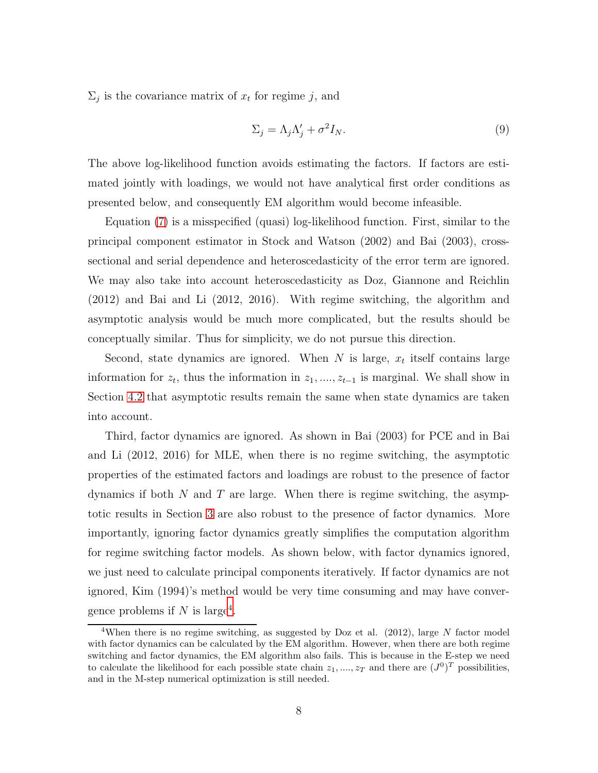$\Sigma_j$  is the covariance matrix of  $x_t$  for regime j, and

<span id="page-8-1"></span>
$$
\Sigma_j = \Lambda_j \Lambda'_j + \sigma^2 I_N. \tag{9}
$$

The above log-likelihood function avoids estimating the factors. If factors are estimated jointly with loadings, we would not have analytical first order conditions as presented below, and consequently EM algorithm would become infeasible.

Equation [\(7\)](#page-7-1) is a misspecified (quasi) log-likelihood function. First, similar to the principal component estimator in Stock and Watson (2002) and Bai (2003), crosssectional and serial dependence and heteroscedasticity of the error term are ignored. We may also take into account heteroscedasticity as Doz, Giannone and Reichlin (2012) and Bai and Li (2012, 2016). With regime switching, the algorithm and asymptotic analysis would be much more complicated, but the results should be conceptually similar. Thus for simplicity, we do not pursue this direction.

Second, state dynamics are ignored. When  $N$  is large,  $x_t$  itself contains large information for  $z_t$ , thus the information in  $z_1, \ldots, z_{t-1}$  is marginal. We shall show in Section [4.2](#page-20-0) that asymptotic results remain the same when state dynamics are taken into account.

Third, factor dynamics are ignored. As shown in Bai (2003) for PCE and in Bai and Li (2012, 2016) for MLE, when there is no regime switching, the asymptotic properties of the estimated factors and loadings are robust to the presence of factor dynamics if both  $N$  and  $T$  are large. When there is regime switching, the asymptotic results in Section [3](#page-11-0) are also robust to the presence of factor dynamics. More importantly, ignoring factor dynamics greatly simplifies the computation algorithm for regime switching factor models. As shown below, with factor dynamics ignored, we just need to calculate principal components iteratively. If factor dynamics are not ignored, Kim (1994)'s method would be very time consuming and may have conver-gence problems if N is large<sup>[4](#page-8-0)</sup>.

<span id="page-8-0"></span><sup>&</sup>lt;sup>4</sup>When there is no regime switching, as suggested by Doz et al. (2012), large N factor model with factor dynamics can be calculated by the EM algorithm. However, when there are both regime switching and factor dynamics, the EM algorithm also fails. This is because in the E-step we need to calculate the likelihood for each possible state chain  $z_1, ..., z_T$  and there are  $(J^0)^T$  possibilities, and in the M-step numerical optimization is still needed.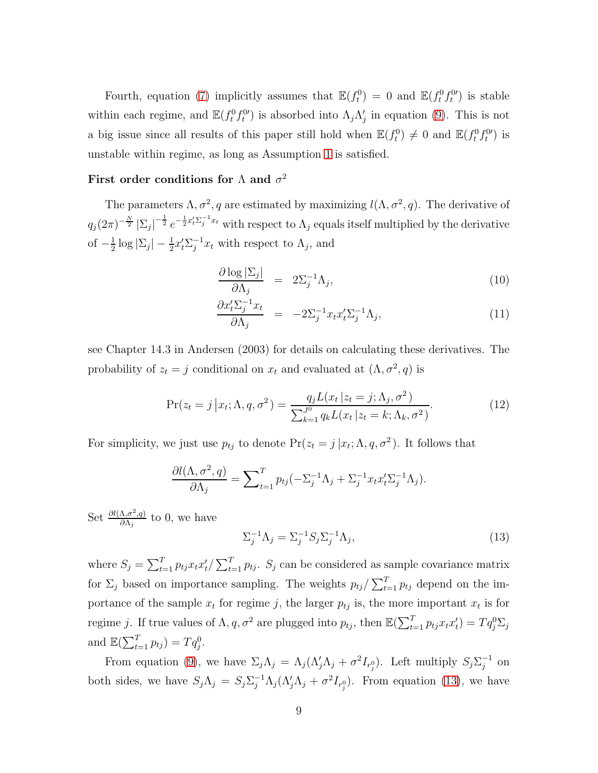Fourth, equation [\(7\)](#page-7-1) implicitly assumes that  $\mathbb{E}(f_t^0) = 0$  and  $\mathbb{E}(f_t^0 f_t^{0})$  is stable within each regime, and  $\mathbb{E}(f_t^0 f_t^0)$  is absorbed into  $\Lambda_j \Lambda'_j$  in equation [\(9\)](#page-8-1). This is not a big issue since all results of this paper still hold when  $\mathbb{E}(f_t^0) \neq 0$  and  $\mathbb{E}(f_t^0 f_t^0)$  is unstable within regime, as long as Assumption [1](#page-11-1) is satisfied.

### First order conditions for  $\Lambda$  and  $\sigma^2$

The parameters  $\Lambda, \sigma^2, q$  are estimated by maximizing  $l(\Lambda, \sigma^2, q)$ . The derivative of  $q_j(2\pi)^{-\frac{N}{2}} |\Sigma_j|$  $-\frac{1}{2}e^{-\frac{1}{2}x_t'\Sigma_j^{-1}x_t}$  with respect to  $\Lambda_j$  equals itself multiplied by the derivative of  $-\frac{1}{2}$  $\frac{1}{2} \log |\Sigma_j| - \frac{1}{2} x_t' \Sigma_j^{-1} x_t$  with respect to  $\Lambda_j$ , and

<span id="page-9-2"></span>
$$
\frac{\partial \log |\Sigma_j|}{\partial \Lambda_j} = 2\Sigma_j^{-1} \Lambda_j, \tag{10}
$$

$$
\frac{\partial x'_t \Sigma_j^{-1} x_t}{\partial \Lambda_j} = -2\Sigma_j^{-1} x_t x'_t \Sigma_j^{-1} \Lambda_j,\tag{11}
$$

see Chapter 14.3 in Andersen (2003) for details on calculating these derivatives. The probability of  $z_t = j$  conditional on  $x_t$  and evaluated at  $(\Lambda, \sigma^2, q)$  is

<span id="page-9-1"></span>
$$
\Pr(z_t = j | x_t; \Lambda, q, \sigma^2) = \frac{q_j L(x_t | z_t = j; \Lambda_j, \sigma^2)}{\sum_{k=1}^{J^0} q_k L(x_t | z_t = k; \Lambda_k, \sigma^2)}.
$$
(12)

For simplicity, we just use  $p_{tj}$  to denote  $Pr(z_t = j | x_t; \Lambda, q, \sigma^2)$ . It follows that

$$
\frac{\partial l(\Lambda, \sigma^2, q)}{\partial \Lambda_j} = \sum_{t=1}^T p_{tj} (-\Sigma_j^{-1} \Lambda_j + \Sigma_j^{-1} x_t x_t' \Sigma_j^{-1} \Lambda_j).
$$

Set  $\frac{\partial l(\Lambda,\sigma^2,q)}{\partial \Lambda}$  $\frac{\Delta_i \sigma^2_i q_j}{\partial \Lambda_j}$  to 0, we have

<span id="page-9-0"></span>
$$
\Sigma_j^{-1} \Lambda_j = \Sigma_j^{-1} S_j \Sigma_j^{-1} \Lambda_j,\tag{13}
$$

where  $S_j = \sum_{t=1}^T p_{tj} x_t x_t'/\sum_{t=1}^T p_{tj}$ .  $S_j$  can be considered as sample covariance matrix for  $\Sigma_j$  based on importance sampling. The weights  $p_{tj}/\sum_{t=1}^T p_{tj}$  depend on the importance of the sample  $x_t$  for regime j, the larger  $p_{tj}$  is, the more important  $x_t$  is for regime j. If true values of  $\Lambda, q, \sigma^2$  are plugged into  $p_{tj}$ , then  $\mathbb{E}(\sum_{t=1}^T p_{tj} x_t x_t') = T q_j^0 \Sigma_j$ and  $\mathbb{E}(\sum_{t=1}^T p_{tj}) = T q_j^0$ .

From equation [\(9\)](#page-8-1), we have  $\Sigma_j \Lambda_j = \Lambda_j (\Lambda'_j \Lambda_j + \sigma^2 I_{r_j^0})$ . Left multiply  $S_j \Sigma_j^{-1}$  on both sides, we have  $S_j \Lambda_j = S_j \Sigma_j^{-1} \Lambda_j (\Lambda_j' \Lambda_j + \sigma^2 I_{r_j^0})$ . From equation [\(13\)](#page-9-0), we have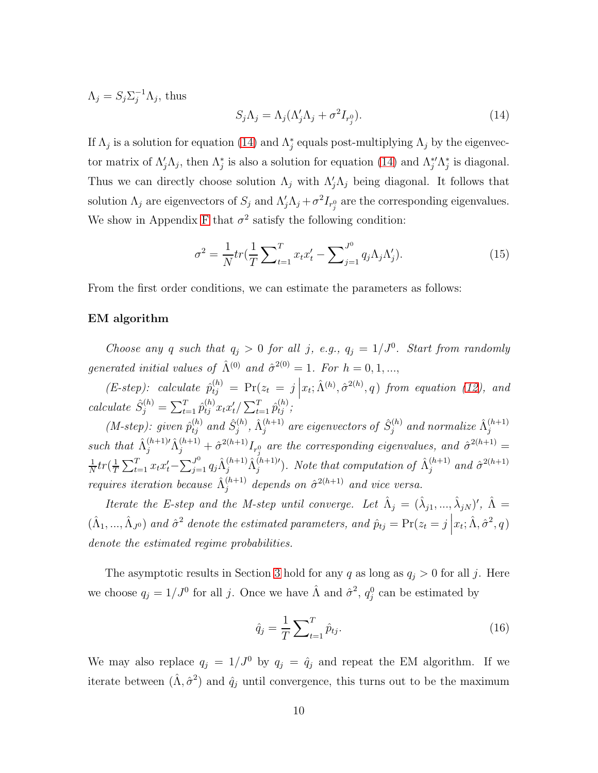$\Lambda_j = S_j \Sigma_j^{-1} \Lambda_j$ , thus

<span id="page-10-0"></span>
$$
S_j \Lambda_j = \Lambda_j (\Lambda'_j \Lambda_j + \sigma^2 I_{r_j^0}). \tag{14}
$$

If  $\Lambda_j$  is a solution for equation [\(14\)](#page-10-0) and  $\Lambda_j^*$  equals post-multiplying  $\Lambda_j$  by the eigenvector matrix of  $\Lambda'_j \Lambda_j$ , then  $\Lambda_j^*$  is also a solution for equation [\(14\)](#page-10-0) and  $\Lambda_j^* \Lambda_j^*$  is diagonal. Thus we can directly choose solution  $\Lambda_j$  with  $\Lambda'_j \Lambda_j$  being diagonal. It follows that solution  $\Lambda_j$  are eigenvectors of  $S_j$  and  $\Lambda'_j \Lambda_j + \sigma^2 I_{r_j^0}$  are the corresponding eigenvalues. We show in Appendix [F](#page-67-0) that  $\sigma^2$  satisfy the following condition:

$$
\sigma^2 = \frac{1}{N} tr(\frac{1}{T} \sum_{t=1}^T x_t x_t' - \sum_{j=1}^{J^0} q_j \Lambda_j \Lambda_j').
$$
 (15)

From the first order conditions, we can estimate the parameters as follows:

#### EM algorithm

Choose any q such that  $q_j > 0$  for all j, e.g.,  $q_j = 1/J^0$ . Start from randomly generated initial values of  $\hat{\Lambda}^{(0)}$  and  $\hat{\sigma}^{2(0)} = 1$ . For  $h = 0, 1, ...,$ 

 $(E\text{-step})$ : calculate  $\hat{p}_{tj}^{(h)} = \Pr(z_t = j \mid$  $x_t$ ;  $\hat{\Lambda}^{(h)}$ ,  $\hat{\sigma}^{2(h)}$ , q) from equation [\(12\)](#page-9-1), and calculate  $\hat{S}_j^{(h)} = \sum_{t=1}^T \hat{p}_{tj}^{(h)} x_t x'_{t} / \sum_{t=1}^T \hat{p}_{tj}^{(h)};$ 

(*M-step*): given  $\hat{p}_{tj}^{(h)}$  and  $\hat{S}_j^{(h)}$  $\hat{\Lambda}^{(h)}_j, \, \hat{\Lambda}^{(h+1)}_j$  $\hat{g}^{(h+1)}_j$  are eigenvectors of  $\hat{S}^{(h)}_j$  $\hat{\Lambda}^{(h)}_j$  and normalize  $\hat{\Lambda}^{(h+1)}_j$ j such that  $\hat{\Lambda}_j^{(h+1)}\hat{\Lambda}_j^{(h+1)} + \hat{\sigma}^{2(h+1)}I_{r_j^0}$  are the corresponding eigenvalues, and  $\hat{\sigma}^{2(h+1)} =$ 1  $\frac{1}{N}tr(\frac{1}{T}% )^{2}tr(\frac{1}{T^{2}})^{2}tr(\frac{1}{T^{2}})\rho (1)$  $\frac{1}{T} \sum_{t=1}^T x_t x_t' - \sum_{j=1}^{J^0} q_j \hat{\Lambda}_j^{(h+1)} \hat{\Lambda}_j^{(h+1)'}$ . Note that computation of  $\hat{\Lambda}_j^{(h+1)}$  $j^{(h+1)}$  and  $\hat{\sigma}^{2(h+1)}$ requires iteration because  $\hat{\Lambda}_i^{(h+1)}$  $j^{(h+1)}$  depends on  $\hat{\sigma}^{2(h+1)}$  and vice versa.

Iterate the E-step and the M-step until converge. Let  $\hat{\Lambda}_j = (\hat{\lambda}_{j1},...,\hat{\lambda}_{jN})'$ ,  $\hat{\Lambda} =$  $(\hat{\Lambda}_1, ..., \hat{\Lambda}_{J^0})$  and  $\hat{\sigma}^2$  denote the estimated parameters, and  $\hat{p}_{tj} = \Pr(z_t = j \mid \hat{\Lambda}_1, ..., \hat{\Lambda}_{J^0})$  $x_t$ ;  $\hat{\Lambda}$ ,  $\hat{\sigma}^2$ , q) denote the estimated regime probabilities.

The asymptotic results in Section [3](#page-11-0) hold for any q as long as  $q_j > 0$  for all j. Here we choose  $q_j = 1/J^0$  for all j. Once we have  $\hat{\Lambda}$  and  $\hat{\sigma}^2$ ,  $q_j^0$  can be estimated by

<span id="page-10-1"></span>
$$
\hat{q}_j = \frac{1}{T} \sum_{t=1}^T \hat{p}_{tj}.
$$
\n(16)

We may also replace  $q_j = 1/J^0$  by  $q_j = \hat{q}_j$  and repeat the EM algorithm. If we iterate between  $(\hat{\Lambda}, \hat{\sigma}^2)$  and  $\hat{q}_j$  until convergence, this turns out to be the maximum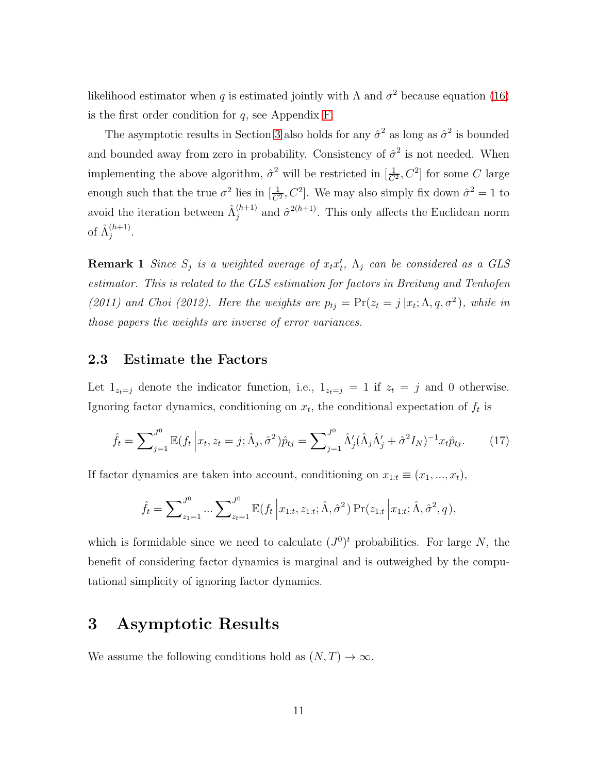likelihood estimator when q is estimated jointly with  $\Lambda$  and  $\sigma^2$  because equation [\(16\)](#page-10-1) is the first order condition for  $q$ , see Appendix [F.](#page-67-0)

The asymptotic results in Section [3](#page-11-0) also holds for any  $\hat{\sigma}^2$  as long as  $\hat{\sigma}^2$  is bounded and bounded away from zero in probability. Consistency of  $\hat{\sigma}^2$  is not needed. When implementing the above algorithm,  $\hat{\sigma}^2$  will be restricted in  $[\frac{1}{C^2}, C^2]$  for some C large enough such that the true  $\sigma^2$  lies in  $[\frac{1}{C^2}, C^2]$ . We may also simply fix down  $\hat{\sigma}^2 = 1$  to avoid the iteration between  $\hat{\Lambda}_i^{(h+1)}$  $j_j^{(h+1)}$  and  $\hat{\sigma}^{2(h+1)}$ . This only affects the Euclidean norm of  $\hat{\Lambda}_i^{(h+1)}$  $i^{(n+1)}$ .

**Remark 1** Since  $S_j$  is a weighted average of  $x_t x'_t$ ,  $\Lambda_j$  can be considered as a GLS estimator. This is related to the GLS estimation for factors in Breitung and Tenhofen (2011) and Choi (2012). Here the weights are  $p_{tj} = \Pr(z_t = j | x_t; \Lambda, q, \sigma^2)$ , while in those papers the weights are inverse of error variances.

### 2.3 Estimate the Factors

Let  $1_{z_t=j}$  denote the indicator function, i.e.,  $1_{z_t=j} = 1$  if  $z_t = j$  and 0 otherwise. Ignoring factor dynamics, conditioning on  $x_t$ , the conditional expectation of  $f_t$  is

<span id="page-11-2"></span>
$$
\hat{f}_t = \sum_{j=1}^{J^0} \mathbb{E}(f_t | x_t, z_t = j; \hat{\Lambda}_j, \hat{\sigma}^2) \hat{p}_{tj} = \sum_{j=1}^{J^0} \hat{\Lambda}'_j (\hat{\Lambda}_j \hat{\Lambda}'_j + \hat{\sigma}^2 I_N)^{-1} x_t \hat{p}_{tj}.
$$
 (17)

If factor dynamics are taken into account, conditioning on  $x_{1:t} \equiv (x_1, ..., x_t)$ ,

$$
\hat{f}_t = \sum_{z_1=1}^{J^0} \dots \sum_{z_t=1}^{J^0} \mathbb{E}(f_t | x_{1:t}, z_{1:t}; \hat{\Lambda}, \hat{\sigma}^2) \Pr(z_{1:t} | x_{1:t}; \hat{\Lambda}, \hat{\sigma}^2, q),
$$

which is formidable since we need to calculate  $(J^0)^t$  probabilities. For large N, the benefit of considering factor dynamics is marginal and is outweighed by the computational simplicity of ignoring factor dynamics.

# <span id="page-11-0"></span>3 Asymptotic Results

<span id="page-11-1"></span>We assume the following conditions hold as  $(N, T) \rightarrow \infty$ .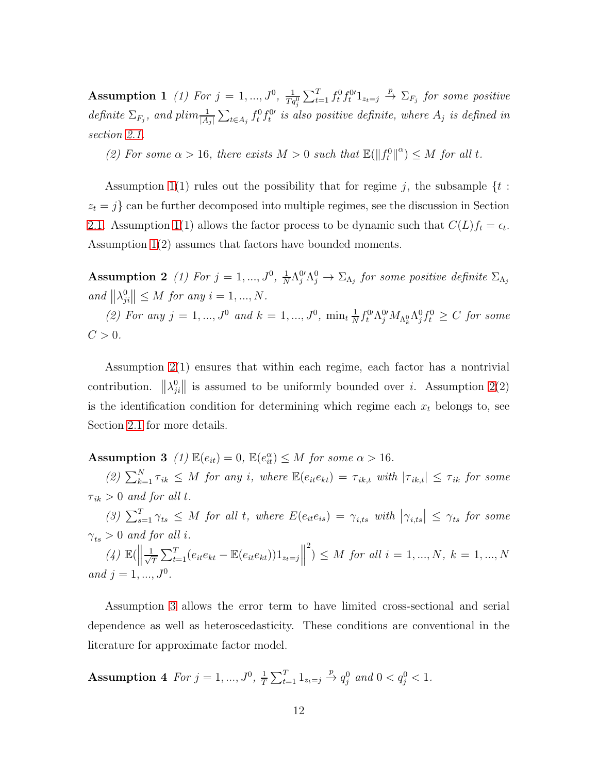**Assumption 1** (1) For  $j = 1, ..., J^0$ ,  $\frac{1}{Tq_j^0} \sum_{t=1}^T f_t^0 f_t^{0'} 1_{z_t=j} \stackrel{p}{\to} \sum_{F_j}$  for some positive definite  $\Sigma_{F_j}$ , and plim $\frac{1}{|A_j|}\sum_{t\in A_j}f_t^0f_t^{0}$  is also positive definite, where  $A_j$  is defined in section [2.1.](#page-6-2)

(2) For some  $\alpha > 16$ , there exists  $M > 0$  such that  $\mathbb{E}(\|f_t^0\|^{\alpha}) \leq M$  for all t.

Assumption [1\(](#page-11-1)1) rules out the possibility that for regime j, the subsample  $\{t :$  $z_t = j$  can be further decomposed into multiple regimes, see the discussion in Section [2.1.](#page-6-2) Assumption [1\(](#page-11-1)1) allows the factor process to be dynamic such that  $C(L) f_t = \epsilon_t$ . Assumption [1\(](#page-11-1)2) assumes that factors have bounded moments.

<span id="page-12-0"></span>**Assumption 2** (1) For  $j = 1, ..., J^0, \frac{1}{N}$  $\frac{1}{N} \Lambda_j^0 \Lambda_j^0 \to \Sigma_{\Lambda_j}$  for some positive definite  $\Sigma_{\Lambda_j}$ and  $\|\lambda_j^0\|$  $\|g_{ji}^0\| \leq M$  for any  $i = 1, ..., N$ .

(2) For any  $j = 1, ..., J^0$  and  $k = 1, ..., J^0$ ,  $\min_t \frac{1}{N}$  $\frac{1}{N} f_t^{0\prime} \Lambda_j^{0\prime} M_{\Lambda_k^0} \Lambda_j^0 f_t^0 \geq C$  for some  $C>0$ .

Assumption [2\(](#page-12-0)1) ensures that within each regime, each factor has a nontrivial contribution.  $\|\lambda_j^0\|$  $\left\| \begin{array}{ll} 0 \\ \hline \end{array} \right\|$  is assumed to be uniformly bounded over *i*. Assumption [2\(](#page-12-0)2) is the identification condition for determining which regime each  $x_t$  belongs to, see Section [2.1](#page-6-2) for more details.

<span id="page-12-1"></span>**Assumption 3** (1)  $\mathbb{E}(e_{it}) = 0$ ,  $\mathbb{E}(e_{it}^{\alpha}) \leq M$  for some  $\alpha > 16$ .

(2)  $\sum_{k=1}^{N} \tau_{ik} \leq M$  for any i, where  $\mathbb{E}(e_{it}e_{kt}) = \tau_{ik,t}$  with  $|\tau_{ik,t}| \leq \tau_{ik}$  for some  $\tau_{ik} > 0$  and for all t.

(3)  $\sum_{s=1}^{T} \gamma_{ts} \leq M$  for all t, where  $E(e_{it}e_{is}) = \gamma_{i,ts}$  with  $|\gamma_{i,ts}| \leq \gamma_{ts}$  for some  $\gamma_{ts} > 0$  and for all i.

 $(4) \mathbb{E}(\left\|\frac{1}{\sqrt{2}}\right\|$  $\frac{1}{T} \sum_{t=1}^{T} (e_{it}e_{kt} - \mathbb{E}(e_{it}e_{kt}))1_{z_t=j}$  $\binom{2}{1} \leq M$  for all  $i = 1, ..., N$ ,  $k = 1, ..., N$ and  $j = 1, ..., J^0$ .

<span id="page-12-2"></span>Assumption [3](#page-12-1) allows the error term to have limited cross-sectional and serial dependence as well as heteroscedasticity. These conditions are conventional in the literature for approximate factor model.

**Assumption 4** For  $j = 1, ..., J^0, \frac{1}{7}$  $\frac{1}{T} \sum_{t=1}^{T} 1_{z_t=j} \stackrel{p}{\to} q_j^0$  and  $0 < q_j^0 < 1$ .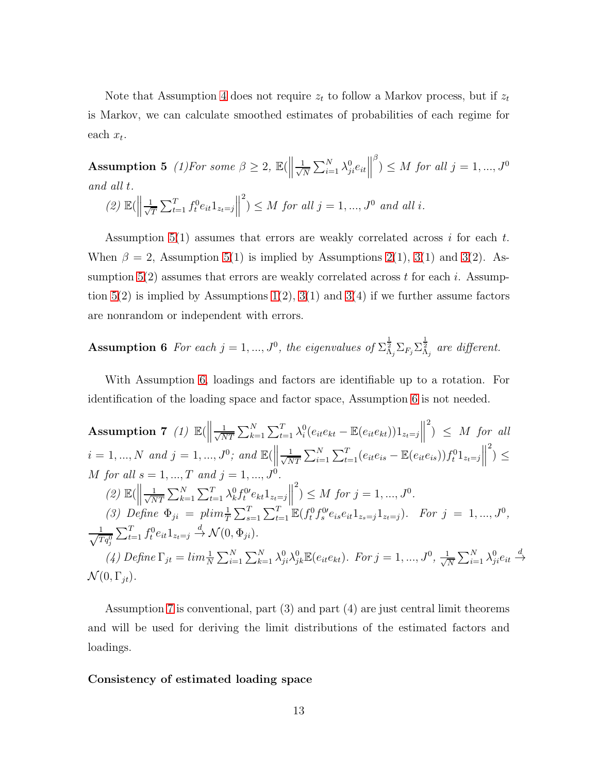<span id="page-13-0"></span>Note that Assumption [4](#page-12-2) does not require  $z_t$  to follow a Markov process, but if  $z_t$ is Markov, we can calculate smoothed estimates of probabilities of each regime for each  $x_t$ .

**Assumption 5** (1) For some  $\beta \geq 2$ ,  $\mathbb{E}(\left\|\frac{1}{\sqrt{N}}\right\|)$  $\frac{1}{N} \sum_{i=1}^{N} \lambda_{ji}^{0} e_{it}$  $\overset{\beta}{\rightarrow}$   $\leq M$  for all  $j = 1, ..., J^0$ and all t. 2

$$
(2) \mathbb{E}(\left\|\frac{1}{\sqrt{T}}\sum_{t=1}^{T} f_t^0 e_{it} 1_{z_t=j}\right\|^2) \le M \text{ for all } j = 1, ..., J^0 \text{ and all } i.
$$

Assumption  $5(1)$  assumes that errors are weakly correlated across i for each t. When  $\beta = 2$ , Assumption [5\(](#page-13-0)1) is implied by Assumptions [2\(](#page-12-0)1), [3\(](#page-12-1)1) and 3(2). Assumption  $5(2)$  assumes that errors are weakly correlated across t for each i. Assumption  $5(2)$  is implied by Assumptions  $1(2)$ ,  $3(1)$  and  $3(4)$  if we further assume factors are nonrandom or independent with errors.

<span id="page-13-1"></span>**Assumption 6** For each 
$$
j = 1, ..., J^0
$$
, the eigenvalues of  $\sum_{\Lambda_j}^{\frac{1}{2}} \sum_{F_j} \sum_{\Lambda_j}^{\frac{1}{2}}$  are different.

<span id="page-13-2"></span>With Assumption [6,](#page-13-1) loadings and factors are identifiable up to a rotation. For identification of the loading space and factor space, Assumption [6](#page-13-1) is not needed.

**Assumption 7** (1) 
$$
\mathbb{E}(\left\|\frac{1}{\sqrt{NT}}\sum_{k=1}^{N}\sum_{t=1}^{T}\lambda_{i}^{0}(e_{it}e_{kt} - \mathbb{E}(e_{it}e_{kt}))1_{z_{t}=j}\right\|^{2}) \leq M
$$
 for all  $i = 1, ..., N$  and  $j = 1, ..., J^{0}$ ; and  $\mathbb{E}(\left\|\frac{1}{\sqrt{NT}}\sum_{i=1}^{N}\sum_{t=1}^{T}(e_{it}e_{is} - \mathbb{E}(e_{it}e_{is}))f_{t}^{0}1_{z_{t}=j}\right\|^{2}) \leq M$  for all  $s = 1, ..., T$  and  $j = 1, ..., J^{0}$ .  
\n(2)  $\mathbb{E}(\left\|\frac{1}{\sqrt{NT}}\sum_{k=1}^{N}\sum_{t=1}^{T}\lambda_{k}^{0}f_{t}^{0}e_{kt}1_{z_{t}=j}\right\|^{2}) \leq M$  for  $j = 1, ..., J^{0}$ .  
\n(3) Define  $\Phi_{ji} = \plim_{T}^{1}\sum_{s=1}^{T}\sum_{t=1}^{T}\mathbb{E}(f_{t}^{0}f_{s}^{0}e_{is}e_{it}1_{z_{s}=j}1_{z_{t}=j})$ . For  $j = 1, ..., J^{0}$ ,  $\frac{1}{\sqrt{Tq_{j}^{0}}}\sum_{t=1}^{T}f_{t}^{0}e_{it}1_{z_{t}=j} \xrightarrow{d} \mathcal{N}(0, \Phi_{ji})$ .  
\n(4) Define  $\Gamma_{jt} = \lim_{t \to \infty} \sum_{i=1}^{N}\sum_{k=1}^{N} \lambda_{ji}^{0} \lambda_{jk}^{0} \mathbb{E}(e_{it}e_{kt})$ . For  $j = 1, ..., J^{0}$ ,  $\frac{1}{\sqrt{N}}\sum_{i=1}^{N}\lambda_{ji}^{0}e_{it} \xrightarrow{d}$   
\n $\mathcal{N}(0, \Gamma_{jt})$ .

Assumption [7](#page-13-2) is conventional, part (3) and part (4) are just central limit theorems and will be used for deriving the limit distributions of the estimated factors and loadings.

#### <span id="page-13-3"></span>Consistency of estimated loading space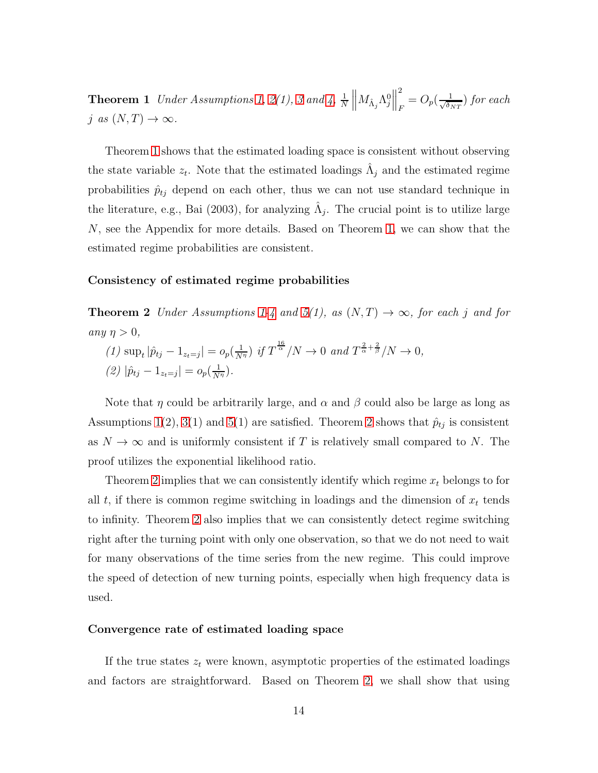**Theorem 1** Under Assumptions [1,](#page-11-1) [2\(](#page-12-0)1), [3](#page-12-1) and [4,](#page-12-2)  $\frac{1}{N}$   $\left\| M_{\hat{\Lambda}_j} \Lambda_j^0 \right\|$ 2  $\frac{1}{F} = O_p(\frac{1}{\sqrt{\delta_I}})$  $\frac{1}{\delta_{NT}}$ ) for each j as  $(N, T) \rightarrow \infty$ .

Theorem [1](#page-13-3) shows that the estimated loading space is consistent without observing the state variable  $z_t$ . Note that the estimated loadings  $\hat{\Lambda}_j$  and the estimated regime probabilities  $\hat{p}_{tj}$  depend on each other, thus we can not use standard technique in the literature, e.g., Bai (2003), for analyzing  $\hat{\Lambda}_j$ . The crucial point is to utilize large N, see the Appendix for more details. Based on Theorem [1,](#page-13-3) we can show that the estimated regime probabilities are consistent.

#### <span id="page-14-0"></span>Consistency of estimated regime probabilities

**Theorem 2** Under Assumptions [1-](#page-11-1)[4](#page-12-2) and [5\(](#page-13-0)1), as  $(N, T) \rightarrow \infty$ , for each j and for any  $\eta > 0$ ,

(1)  $\sup_t |\hat{p}_{tj} - 1_{z_t=j}| = o_p(\frac{1}{N^{\eta}}) \text{ if } T^{\frac{16}{\alpha}}/N \to 0 \text{ and } T^{\frac{2}{\alpha} + \frac{2}{\beta}}/N \to 0,$ (2)  $|\hat{p}_{tj} - 1_{z_t=j}| = o_p(\frac{1}{N^{\eta}}).$ 

Note that  $\eta$  could be arbitrarily large, and  $\alpha$  and  $\beta$  could also be large as long as Assumptions [1\(](#page-11-1)2), [3\(](#page-12-1)1) and [5\(](#page-13-0)1) are satisfied. Theorem [2](#page-14-0) shows that  $\hat{p}_{tj}$  is consistent as  $N \to \infty$  and is uniformly consistent if T is relatively small compared to N. The proof utilizes the exponential likelihood ratio.

Theorem [2](#page-14-0) implies that we can consistently identify which regime  $x_t$  belongs to for all  $t$ , if there is common regime switching in loadings and the dimension of  $x_t$  tends to infinity. Theorem [2](#page-14-0) also implies that we can consistently detect regime switching right after the turning point with only one observation, so that we do not need to wait for many observations of the time series from the new regime. This could improve the speed of detection of new turning points, especially when high frequency data is used.

#### Convergence rate of estimated loading space

If the true states  $z_t$  were known, asymptotic properties of the estimated loadings and factors are straightforward. Based on Theorem [2,](#page-14-0) we shall show that using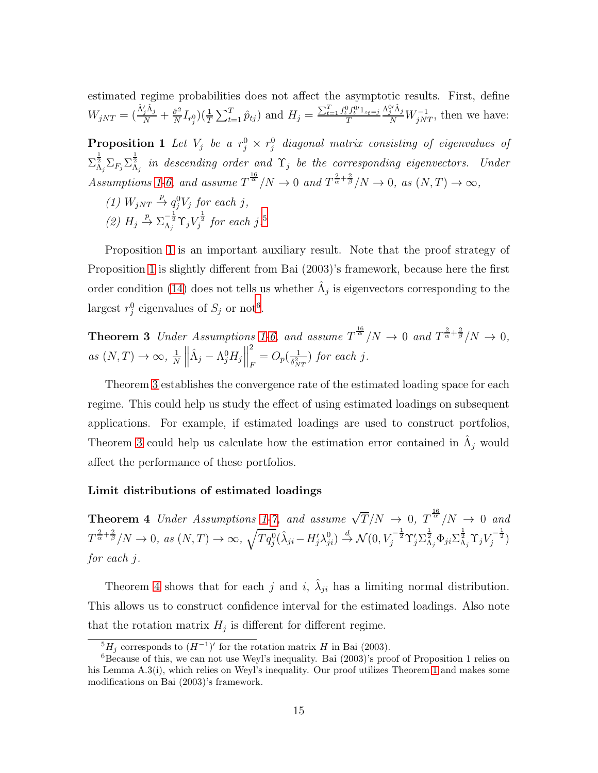<span id="page-15-1"></span>estimated regime probabilities does not affect the asymptotic results. First, define  $W_{jNT} = (\frac{\hat{\Lambda}'_j \hat{\Lambda}_j}{N} + \frac{\hat{\sigma}^2}{N})$  $\frac{\partial^2}{\partial N} I_{r_j^0}$  $\left(\frac{1}{T} \sum_{t=1}^T \hat{p}_{tj}\right)$  and  $H_j = \frac{\sum_{t=1}^T f_t^0 f_t^{0'} 1_{z_t=j}}{T}$ T  $\frac{\Lambda_j^{0'} \hat{\Lambda}_j}{N} W^{-1}_{jNT}$ , then we have:

**Proposition 1** Let  $V_j$  be a  $r_j^0 \times r_j^0$  diagonal matrix consisting of eigenvalues of  $\Sigma_{\Lambda_j}^{\frac{1}{2}}\Sigma_{F_j}\Sigma_{\Lambda_j}^{\frac{1}{2}}$  in descending order and  $\Upsilon_j$  be the corresponding eigenvectors. Under Assumptions [1](#page-11-1)[-6,](#page-13-1) and assume  $T^{\frac{16}{\alpha}}/N \to 0$  and  $T^{\frac{2}{\alpha}+\frac{2}{\beta}}/N \to 0$ , as  $(N,T) \to \infty$ ,

- (1)  $W_{jNT} \stackrel{p}{\rightarrow} q_j^0 V_j$  for each j,
- (2)  $H_j \stackrel{p}{\rightarrow} \Sigma_{\Lambda_j}^{-\frac{1}{2}} \Upsilon_j V_j^{\frac{1}{2}}$  for each j.<sup>[5](#page-15-0)</sup>

Proposition [1](#page-15-1) is an important auxiliary result. Note that the proof strategy of Proposition [1](#page-15-1) is slightly different from Bai (2003)'s framework, because here the first order condition [\(14\)](#page-10-0) does not tells us whether  $\hat{\Lambda}_j$  is eigenvectors corresponding to the largest  $r_j^0$  eigenvalues of  $S_j$  or not<sup>[6](#page-15-2)</sup>.

<span id="page-15-3"></span>**Theorem 3** Under Assumptions [1-](#page-11-1)[6,](#page-13-1) and assume  $T^{\frac{16}{\alpha}}/N \to 0$  and  $T^{\frac{2}{\alpha}+\frac{2}{\beta}}/N \to 0$ , as  $(N, T) \to \infty$ ,  $\frac{1}{N}$  $\frac{1}{N}$  $\hat{\Lambda}_j - \Lambda_j^0 H_j \Big\|$ 2  $\frac{1}{F} = O_p(\frac{1}{\delta_N^2})$  $\frac{1}{\delta_{NT}^2}$ ) for each j.

Theorem [3](#page-15-3) establishes the convergence rate of the estimated loading space for each regime. This could help us study the effect of using estimated loadings on subsequent applications. For example, if estimated loadings are used to construct portfolios, Theorem [3](#page-15-3) could help us calculate how the estimation error contained in  $\hat{\Lambda}_j$  would affect the performance of these portfolios.

#### <span id="page-15-4"></span>Limit distributions of estimated loadings

**Theorem 4** Under Assumptions [1](#page-11-1)[-7,](#page-13-2) and assume  $\sqrt{T}/N \rightarrow 0$ ,  $T^{\frac{16}{\alpha}}/N \rightarrow 0$  and  $T^{\frac{2}{\alpha}+\frac{2}{\beta}}/N \to 0$ , as  $(N,T) \to \infty$ ,  $\sqrt{Tq^0_j}(\hat{\lambda}_{ji}-H'_j\lambda^0_{ji}) \stackrel{d}{\to} \mathcal{N}(0,V_j^{-\frac{1}{2}}\Upsilon'_j\Sigma_{\Lambda_j}^{\frac{1}{2}}\Phi_{ji}\Sigma_{\Lambda_j}^{\frac{1}{2}}\Upsilon_jV_j^{-\frac{1}{2}})$ for each j.

Theorem [4](#page-15-4) shows that for each j and i,  $\hat{\lambda}_{ji}$  has a limiting normal distribution. This allows us to construct confidence interval for the estimated loadings. Also note that the rotation matrix  $H_j$  is different for different regime.

<span id="page-15-0"></span> ${}^{5}H_{j}$  corresponds to  $(H^{-1})'$  for the rotation matrix H in Bai (2003).

<span id="page-15-2"></span><sup>6</sup>Because of this, we can not use Weyl's inequality. Bai (2003)'s proof of Proposition 1 relies on his Lemma A.3(i), which relies on Weyl's inequality. Our proof utilizes Theorem [1](#page-13-3) and makes some modifications on Bai (2003)'s framework.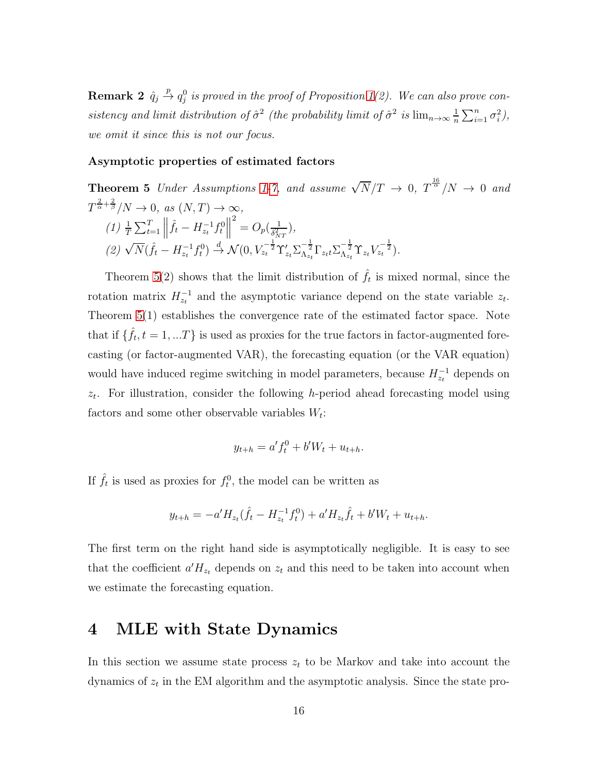**Remark 2**  $\hat{q}_j \stackrel{p}{\rightarrow} q_j^0$  is proved in the proof of Proposition [1\(](#page-15-1)2). We can also prove consistency and limit distribution of  $\hat{\sigma}^2$  (the probability limit of  $\hat{\sigma}^2$  is  $\lim_{n\to\infty}\frac{1}{n}$  $\frac{1}{n}\sum_{i=1}^n \sigma_i^2$ ), we omit it since this is not our focus.

#### <span id="page-16-1"></span>Asymptotic properties of estimated factors

**Theorem 5** Under Assumptions [1](#page-11-1)[-7,](#page-13-2) and assume  $\sqrt{N}/T \rightarrow 0$ ,  $T^{\frac{16}{\alpha}}/N \rightarrow 0$  and  $T^{\frac{2}{\alpha}+\frac{2}{\beta}}/N \to 0$ , as  $(N,T) \to \infty$ ,  $(1) \frac{1}{T} \sum_{t=1}^{T} \left\| \hat{f}_t - H_{z_t}^{-1} f_t^0 \right\|$ (2)  $\sqrt{N}(\hat{f}_t - H_{z_t}^{-1} f_t^0) \stackrel{d}{\rightarrow} \mathcal{N}(0, V_{z_t}^{-\frac{1}{2}} \Upsilon'_{z_t} \Sigma_{\Lambda_{z_t}}^{-\frac{1}{2}} \Gamma_{z_t t} \Sigma_{\Lambda_{z_t}}^{-\frac{1}{2}} \Upsilon_{z_t} V_{z_t}^{-\frac{1}{2}}).$  $^{2} = O_{p}(\frac{1}{\delta_{12}^{2}})$  $\frac{1}{\delta_{NT}^2}),$ 

Theorem [5\(](#page-16-1)2) shows that the limit distribution of  $\hat{f}_t$  is mixed normal, since the rotation matrix  $H_{z_t}^{-1}$  and the asymptotic variance depend on the state variable  $z_t$ . Theorem [5\(](#page-16-1)1) establishes the convergence rate of the estimated factor space. Note that if  $\{\hat{f}_t, t = 1, ...T\}$  is used as proxies for the true factors in factor-augmented forecasting (or factor-augmented VAR), the forecasting equation (or the VAR equation) would have induced regime switching in model parameters, because  $H_{z_t}^{-1}$  depends on  $z_t$ . For illustration, consider the following h-period ahead forecasting model using factors and some other observable variables  $W_t$ :

$$
y_{t+h} = a' f_t^0 + b' W_t + u_{t+h}.
$$

If  $\hat{f}_t$  is used as proxies for  $f_t^0$ , the model can be written as

$$
y_{t+h} = -a'H_{z_t}(\hat{f}_t - H_{z_t}^{-1}f_t^0) + a'H_{z_t}\hat{f}_t + b'W_t + u_{t+h}.
$$

The first term on the right hand side is asymptotically negligible. It is easy to see that the coefficient  $a'H_{z_t}$  depends on  $z_t$  and this need to be taken into account when we estimate the forecasting equation.

# <span id="page-16-0"></span>4 MLE with State Dynamics

In this section we assume state process  $z_t$  to be Markov and take into account the dynamics of  $z_t$  in the EM algorithm and the asymptotic analysis. Since the state pro-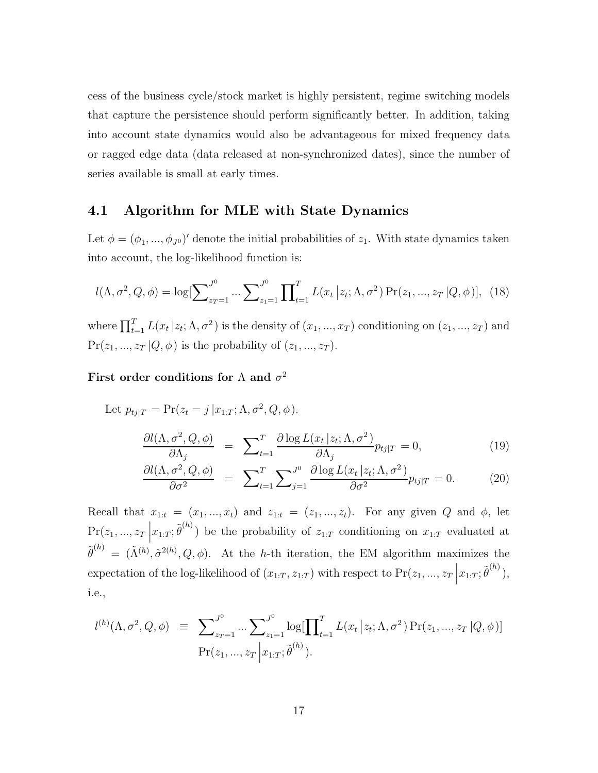cess of the business cycle/stock market is highly persistent, regime switching models that capture the persistence should perform significantly better. In addition, taking into account state dynamics would also be advantageous for mixed frequency data or ragged edge data (data released at non-synchronized dates), since the number of series available is small at early times.

### <span id="page-17-0"></span>4.1 Algorithm for MLE with State Dynamics

Let  $\phi = (\phi_1, ..., \phi_{J^0})'$  denote the initial probabilities of  $z_1$ . With state dynamics taken into account, the log-likelihood function is:

$$
l(\Lambda, \sigma^2, Q, \phi) = \log[\sum_{z_T=1}^{J^0} \dots \sum_{z_1=1}^{J^0} \prod_{t=1}^T L(x_t | z_t; \Lambda, \sigma^2) \Pr(z_1, ..., z_T | Q, \phi)], \tag{18}
$$

where  $\prod_{t=1}^{T} L(x_t | z_t; \Lambda, \sigma^2)$  is the density of  $(x_1, ..., x_T)$  conditioning on  $(z_1, ..., z_T)$  and  $Pr(z_1, ..., z_T | Q, \phi)$  is the probability of  $(z_1, ..., z_T)$ .

### First order conditions for  $\Lambda$  and  $\sigma^2$

Let  $p_{tj|T} = \Pr(z_t = j | x_{1:T}; \Lambda, \sigma^2, Q, \phi).$ 

$$
\frac{\partial l(\Lambda, \sigma^2, Q, \phi)}{\partial \Lambda_j} = \sum_{t=1}^T \frac{\partial \log L(x_t | z_t; \Lambda, \sigma^2)}{\partial \Lambda_j} p_{tj|T} = 0,\tag{19}
$$

$$
\frac{\partial l(\Lambda, \sigma^2, Q, \phi)}{\partial \sigma^2} = \sum_{t=1}^T \sum_{j=1}^{J^0} \frac{\partial \log L(x_t | z_t; \Lambda, \sigma^2)}{\partial \sigma^2} p_{tj|T} = 0. \tag{20}
$$

Recall that  $x_{1:t} = (x_1, ..., x_t)$  and  $z_{1:t} = (z_1, ..., z_t)$ . For any given Q and  $\phi$ , let  $Pr(z_1, ..., z_T)$  $x_{1:T}$ ;  $\tilde{\theta}^{(h)}$ ) be the probability of  $z_{1:T}$  conditioning on  $x_{1:T}$  evaluated at  $\tilde{\theta}^{(h)} = (\tilde{\Lambda}^{(h)}, \tilde{\sigma}^{2(h)}, Q, \phi)$ . At the h-th iteration, the EM algorithm maximizes the expectation of the log-likelihood of  $(x_{1:T}, z_{1:T})$  with respect to  $Pr(z_1, ..., z_T)$  $x_{1:T}; \tilde{\theta}^{(h)}),$ i.e.,

$$
l^{(h)}(\Lambda, \sigma^2, Q, \phi) \equiv \sum_{z_T=1}^{J^0} \dots \sum_{z_1=1}^{J^0} \log[\prod_{t=1}^T L(x_t | z_t; \Lambda, \sigma^2) \Pr(z_1, ..., z_T | Q, \phi)]
$$
  
Pr(z\_1, ..., z\_T | x\_{1:T}; \tilde{\theta}^{(h)}).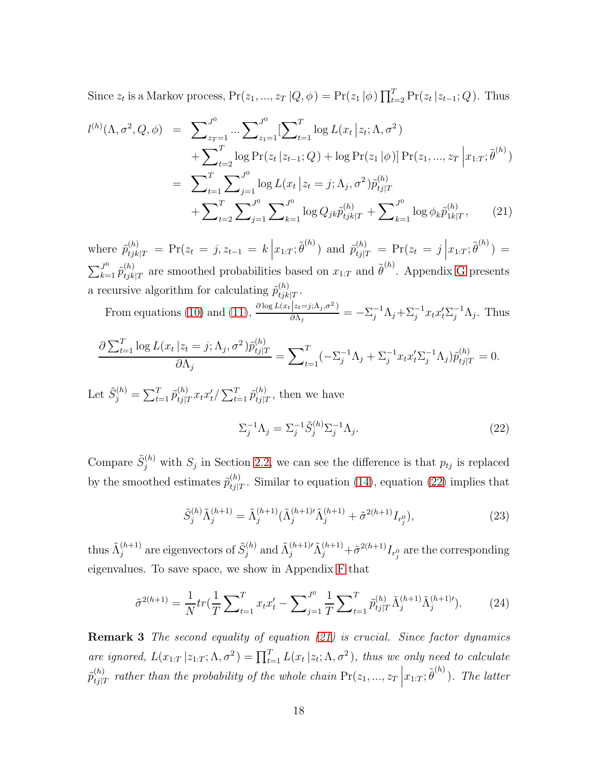Since  $z_t$  is a Markov process,  $Pr(z_1, ..., z_T | Q, \phi) = Pr(z_1 | \phi) \prod_{t=2}^T Pr(z_t | z_{t-1}; Q)$ . Thus

<span id="page-18-1"></span>
$$
l^{(h)}(\Lambda, \sigma^2, Q, \phi) = \sum_{z_T=1}^{J^0} \cdots \sum_{z_1=1}^{J^0} [\sum_{t=1}^T \log L(x_t | z_t; \Lambda, \sigma^2) + \sum_{t=2}^T \log \Pr(z_t | z_{t-1}; Q) + \log \Pr(z_1 | \phi)] \Pr(z_1, ..., z_T | x_{1:T}; \tilde{\theta}^{(h)}) = \sum_{t=1}^T \sum_{j=1}^{J^0} \log L(x_t | z_t = j; \Lambda_j, \sigma^2) \tilde{p}_{tj|T}^{(h)} + \sum_{t=2}^T \sum_{j=1}^{J^0} \sum_{k=1}^{J^0} \log Q_{jk} \tilde{p}_{tjk|T}^{(h)} + \sum_{k=1}^{J^0} \log \phi_k \tilde{p}_{1k|T}^{(h)},
$$
(21)

where  $\tilde{p}_{tjk|T}^{(h)} = \Pr(z_t = j, z_{t-1} = k)$  $x_{1:T}$ ;  $\tilde{\theta}^{(h)}$ ) and  $\tilde{p}_{tj|T}^{(h)} = \Pr(z_t = j \mid$  $x_{1:T};\tilde{\theta}^{(h)}$ ) =  $\sum_{k=1}^{J^0} \tilde{p}_{tjk}^{(h)}$  $\binom{h}{tjk|T}$  are smoothed probabilities based on  $x_{1:T}$  and  $\tilde{\theta}^{(h)}$ . Appendix [G](#page-69-0) presents a recursive algorithm for calculating  $\tilde{p}_{tik}^{(h)}$  $\frac{(n)}{tjk|T}.$ 

From equations [\(10\)](#page-9-2) and [\(11\)](#page-9-2),  $\frac{\partial \log L(x_t|z_t=j;\Lambda_j,\sigma^2)}{\partial \Lambda_j}$  $\frac{|z_i=j; \Lambda_j, \sigma^2|}{\partial \Lambda_j} = -\Sigma_j^{-1} \Lambda_j + \Sigma_j^{-1} x_t x_t' \Sigma_j^{-1} \Lambda_j$ . Thus

$$
\frac{\partial \sum_{t=1}^{T} \log L(x_t | z_t = j; \Lambda_j, \sigma^2) \tilde{p}_{tj|T}^{(h)}}{\partial \Lambda_j} = \sum_{t=1}^{T} (-\Sigma_j^{-1} \Lambda_j + \Sigma_j^{-1} x_t x_t' \Sigma_j^{-1} \Lambda_j) \tilde{p}_{tj|T}^{(h)} = 0.
$$

Let  $\tilde{S}_{j}^{(h)} = \sum_{t=1}^{T} \tilde{p}_{tj|1}^{(h)}$  $\sum_{t=1}^{(h)} \tilde{x}_{t} x_{t}' / \sum_{t=1}^{T} \tilde{p}^{(h)}_{tj|T}$  $t_{ij|T}^{(h)}$ , then we have

<span id="page-18-0"></span>
$$
\Sigma_j^{-1} \Lambda_j = \Sigma_j^{-1} \tilde{S}_j^{(h)} \Sigma_j^{-1} \Lambda_j. \tag{22}
$$

Compare  $\tilde{S}^{(h)}_j$  with  $S_j$  in Section [2.2,](#page-7-2) we can see the difference is that  $p_{tj}$  is replaced by the smoothed estimates  $\tilde{p}_{t,i}^{(h)}$  $t_{ij|T}^{(n)}$ . Similar to equation [\(14\)](#page-10-0), equation [\(22\)](#page-18-0) implies that

<span id="page-18-3"></span>
$$
\tilde{S}_{j}^{(h)}\tilde{\Lambda}_{j}^{(h+1)} = \tilde{\Lambda}_{j}^{(h+1)}(\tilde{\Lambda}_{j}^{(h+1)\dagger}\tilde{\Lambda}_{j}^{(h+1)} + \tilde{\sigma}^{2(h+1)}I_{r_{j}^{0}}),
$$
\n(23)

thus  $\tilde{\Lambda}_i^{(h+1)}$  $j^{(h+1)}$  are eigenvectors of  $\tilde{S}_j^{(h)}$  $j^{(h)}$  and  $\tilde{\Lambda}_j^{(h+1)} \tilde{\Lambda}_j^{(h+1)} + \tilde{\sigma}^{2(h+1)} I_{r_j^0}$  are the corresponding eigenvalues. To save space, we show in Appendix [F](#page-67-0) that

<span id="page-18-2"></span>
$$
\tilde{\sigma}^{2(h+1)} = \frac{1}{N} tr(\frac{1}{T} \sum_{t=1}^{T} x_t x_t' - \sum_{j=1}^{J^0} \frac{1}{T} \sum_{t=1}^{T} \tilde{p}_{tj|T}^{(h)} \tilde{\Lambda}_j^{(h+1)} \tilde{\Lambda}_j^{(h+1)'}).
$$
(24)

**Remark 3** The second equality of equation [\(21\)](#page-18-1) is crucial. Since factor dynamics are ignored,  $L(x_{1:T} | z_{1:T}; \Lambda, \sigma^2) = \prod_{t=1}^T L(x_t | z_t; \Lambda, \sigma^2)$ , thus we only need to calculate  $\tilde{p}_{ti}^{(h)}$  $\left. \begin{array}{l} \scriptscriptstyle{(h)} \scriptscriptstyle{(h)} \scriptscriptstyle{ref}} \end{array} \right.$  rather than the probability of the whole chain  $\Pr(z_1, ..., z_T)$  $x_{1:T}$ ;  $\tilde{\theta}^{(h)}$ ). The latter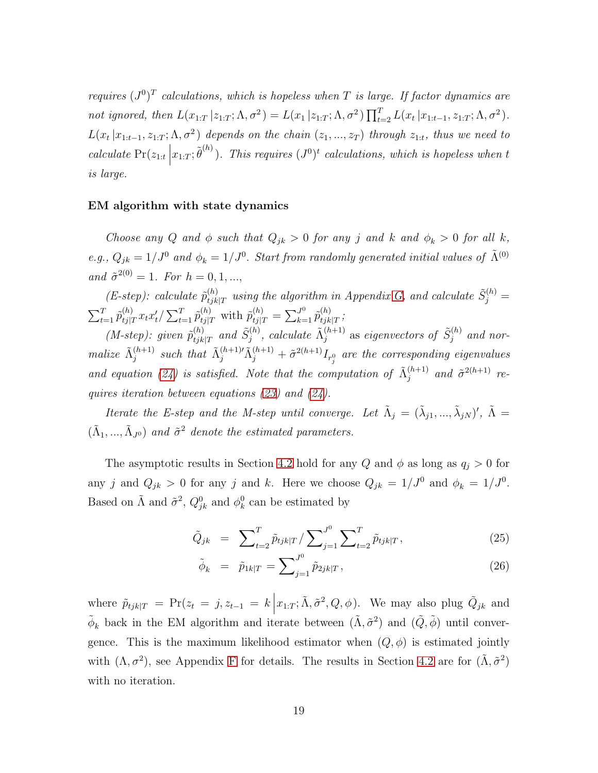requires  $(J^0)^T$  calculations, which is hopeless when T is large. If factor dynamics are not ignored, then  $L(x_{1:T} | z_{1:T}; \Lambda, \sigma^2) = L(x_1 | z_{1:T}; \Lambda, \sigma^2) \prod_{t=2}^T L(x_t | x_{1:t-1}, z_{1:T}; \Lambda, \sigma^2)$ .  $L(x_t | x_{1:t-1}, z_{1:T}; \Lambda, \sigma^2)$  depends on the chain  $(z_1, ..., z_T)$  through  $z_{1:t}$ , thus we need to calculate  $Pr(z_{1:t})$  $x_{1:T}$ ;  $\tilde{\theta}^{(h)}$ ). This requires  $(J^0)^t$  calculations, which is hopeless when t is large.

#### EM algorithm with state dynamics

Choose any Q and  $\phi$  such that  $Q_{jk} > 0$  for any j and k and  $\phi_k > 0$  for all k, e.g.,  $Q_{jk} = 1/J^0$  and  $\phi_k = 1/J^0$ . Start from randomly generated initial values of  $\tilde{\Lambda}^{(0)}$ and  $\tilde{\sigma}^{2(0)} = 1$ . For  $h = 0, 1, ...,$ 

 $(E\text{-}step):$  calculate  $\tilde{p}_{tik}^{(h)}$  $\tilde{S}_{j}^{(h)}$  using the algorithm in Appendix [G,](#page-69-0) and calculate  $\tilde{S}_{j}^{(h)}$  =  $\sum_{t=1}^T \tilde{p}_{tj|1}^{(h)}$  $\sum_{t=1}^{(h)} \tilde{p}_{tj|T}^{(h)}$  with  $\tilde{p}_{tj|T}^{(h)} = \sum_{k=1}^{J^0} \tilde{p}_{tjk}^{(h)}$  $\frac{(n)}{tjk|T}$ 

(*M-step*): given  $\tilde{p}_{tik}^{(h)}$  $_{tjk|T}^{(h)}$  and  $\tilde{S}_j^{(h)}$  $j^{(h)},$  calculate  $\tilde{\Lambda}_j^{(h+1)}$  $_{j}^{(h+1)}$  as eigenvectors of  $\tilde{S}_{j}^{(h)}$  $j^{(n)}$  and normalize  $\tilde{\Lambda}_i^{(h+1)}$  $j_j^{(h+1)}$  such that  $\tilde{\Lambda}_j^{(h+1)}\tilde{\Lambda}_j^{(h+1)} + \tilde{\sigma}^{2(h+1)}I_{r^0_j}$  are the corresponding eigenvalues and equation [\(24\)](#page-18-2) is satisfied. Note that the computation of  $\tilde{\Lambda}_i^{(h+1)}$  $j^{(h+1)}$  and  $\tilde{\sigma}^{2(h+1)}$  requires iteration between equations [\(23\)](#page-18-3) and [\(24\)](#page-18-2).

Iterate the E-step and the M-step until converge. Let  $\tilde{\Lambda}_j = (\tilde{\lambda}_{j1}, ..., \tilde{\lambda}_{jN})'$ ,  $\tilde{\Lambda} =$  $(\tilde{\Lambda}_1, ..., \tilde{\Lambda}_{J^0})$  and  $\tilde{\sigma}^2$  denote the estimated parameters.

The asymptotic results in Section [4.2](#page-20-0) hold for any Q and  $\phi$  as long as  $q_j > 0$  for any j and  $Q_{jk} > 0$  for any j and k. Here we choose  $Q_{jk} = 1/J^0$  and  $\phi_k = 1/J^0$ . Based on  $\tilde{\Lambda}$  and  $\tilde{\sigma}^2$ ,  $Q_{jk}^0$  and  $\phi_k^0$  $\frac{0}{k}$  can be estimated by

<span id="page-19-0"></span>
$$
\tilde{Q}_{jk} = \sum_{t=2}^{T} \tilde{p}_{tjk|T} / \sum_{j=1}^{J^0} \sum_{t=2}^{T} \tilde{p}_{tjk|T},
$$
\n(25)

$$
\tilde{\phi}_k = \tilde{p}_{1k|T} = \sum_{j=1}^{J^0} \tilde{p}_{2jk|T},
$$
\n(26)

where  $\tilde{p}_{tjk|T} = Pr(z_t = j, z_{t-1} = k \left| x_{1:T}; \tilde{\Lambda}, \tilde{\sigma}^2, Q, \phi \right)$ . We may also plug  $\tilde{Q}_{jk}$  and  $\phi_k$  back in the EM algorithm and iterate between  $(\tilde{\Lambda}, \tilde{\sigma}^2)$  and  $(\tilde{Q}, \tilde{\phi})$  until convergence. This is the maximum likelihood estimator when  $(Q, \phi)$  is estimated jointly with  $(\Lambda, \sigma^2)$ , see Appendix [F](#page-67-0) for details. The results in Section [4.2](#page-20-0) are for  $(\tilde{\Lambda}, \tilde{\sigma}^2)$ with no iteration.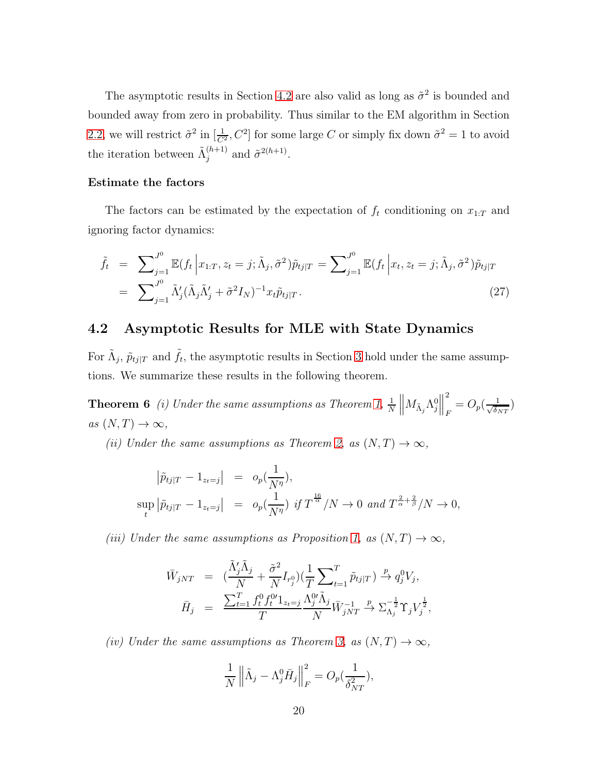The asymptotic results in Section [4.2](#page-20-0) are also valid as long as  $\tilde{\sigma}^2$  is bounded and bounded away from zero in probability. Thus similar to the EM algorithm in Section [2.2,](#page-7-2) we will restrict  $\tilde{\sigma}^2$  in  $[\frac{1}{C^2}, C^2]$  for some large C or simply fix down  $\tilde{\sigma}^2 = 1$  to avoid the iteration between  $\tilde{\Lambda}_i^{(h+1)}$  $j^{(h+1)}$  and  $\tilde{\sigma}^{2(h+1)}$ .

### Estimate the factors

The factors can be estimated by the expectation of  $f_t$  conditioning on  $x_{1:T}$  and ignoring factor dynamics:

<span id="page-20-2"></span>
$$
\tilde{f}_t = \sum_{j=1}^{J^0} \mathbb{E}(f_t | x_{1:T}, z_t = j; \tilde{\Lambda}_j, \tilde{\sigma}^2) \tilde{p}_{tj|T} = \sum_{j=1}^{J^0} \mathbb{E}(f_t | x_t, z_t = j; \tilde{\Lambda}_j, \tilde{\sigma}^2) \tilde{p}_{tj|T}
$$
\n
$$
= \sum_{j=1}^{J^0} \tilde{\Lambda}_j' (\tilde{\Lambda}_j \tilde{\Lambda}_j' + \tilde{\sigma}^2 I_N)^{-1} x_t \tilde{p}_{tj|T}.
$$
\n(27)

### <span id="page-20-0"></span>4.2 Asymptotic Results for MLE with State Dynamics

<span id="page-20-1"></span>For  $\tilde{\Lambda}_j$ ,  $\tilde{p}_{tj|T}$  and  $\tilde{f}_t$ , the asymptotic results in Section [3](#page-11-0) hold under the same assumptions. We summarize these results in the following theorem.

**Theorem 6** (i) Under the same assumptions as Theorem [1,](#page-13-3)  $\frac{1}{N}$   $\left\| M_{\tilde{\Lambda}_j} \Lambda_j^0 \right\|$ 2  $\frac{1}{F} = O_p(\frac{1}{\sqrt{\delta_I}})$  $\frac{1}{\delta_{NT}})$ as  $(N, T) \rightarrow \infty$ ,

(ii) Under the same assumptions as Theorem [2,](#page-14-0) as  $(N, T) \rightarrow \infty$ ,

$$
\begin{array}{rcl}\n|\tilde{p}_{tj|T} - 1_{z_t=j}| & = & o_p(\frac{1}{N^{\eta}}), \\
\sup_t |\tilde{p}_{tj|T} - 1_{z_t=j}| & = & o_p(\frac{1}{N^{\eta}}) \text{ if } T^{\frac{16}{\alpha}}/N \to 0 \text{ and } T^{\frac{2}{\alpha} + \frac{2}{\beta}}/N \to 0,\n\end{array}
$$

(iii) Under the same assumptions as Proposition [1,](#page-15-1) as  $(N, T) \rightarrow \infty$ ,

$$
\bar{W}_{jNT} = \left( \frac{\tilde{\Lambda}'_j \tilde{\Lambda}_j}{N} + \frac{\tilde{\sigma}^2}{N} I_{r_j^0} \right) \left( \frac{1}{T} \sum_{t=1}^T \tilde{p}_{tj|T} \right) \stackrel{p}{\rightarrow} q_j^0 V_j,
$$
\n
$$
\bar{H}_j = \frac{\sum_{t=1}^T f_t^0 f_t^{0\prime} 1_{z_t=j}}{T} \frac{\Lambda_j^{0\prime} \tilde{\Lambda}_j}{N} \bar{W}_{jNT}^{-1} \stackrel{p}{\rightarrow} \sum_{\Lambda_j}^{-\frac{1}{2}} \Upsilon_j V_j^{\frac{1}{2}},
$$

(iv) Under the same assumptions as Theorem [3,](#page-15-3) as  $(N, T) \rightarrow \infty$ ,

$$
\frac{1}{N} \left\| \tilde{\Lambda}_j - \Lambda_j^0 \bar{H}_j \right\|_F^2 = O_p(\frac{1}{\delta_{NT}^2}),
$$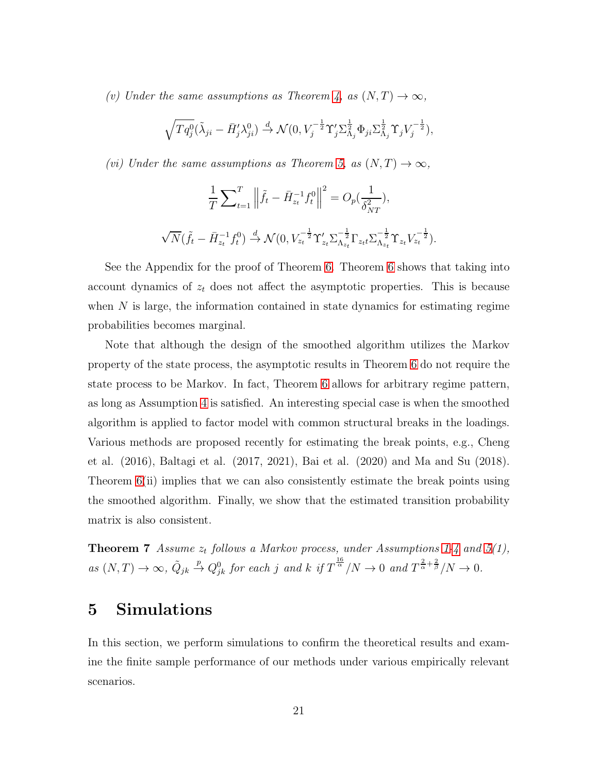(v) Under the same assumptions as Theorem [4,](#page-15-4) as  $(N, T) \rightarrow \infty$ ,

$$
\sqrt{Tq_j^0}(\tilde{\lambda}_{ji} - \bar{H}_j' \lambda_{ji}^0) \stackrel{d}{\rightarrow} \mathcal{N}(0, V_j^{-\frac{1}{2}} \Upsilon_j' \Sigma_{\Lambda_j}^{\frac{1}{2}} \Phi_{ji} \Sigma_{\Lambda_j}^{\frac{1}{2}} \Upsilon_j V_j^{-\frac{1}{2}}),
$$

(vi) Under the same assumptions as Theorem [5,](#page-16-1) as  $(N, T) \rightarrow \infty$ ,

$$
\frac{1}{T} \sum_{t=1}^{T} \left\| \tilde{f}_t - \bar{H}_{z_t}^{-1} f_t^0 \right\|^2 = O_p(\frac{1}{\delta_{NT}^2}),
$$
  

$$
\sqrt{N} (\tilde{f}_t - \bar{H}_{z_t}^{-1} f_t^0) \stackrel{d}{\rightarrow} \mathcal{N}(0, V_{z_t}^{-\frac{1}{2}} \Upsilon_{z_t} \Sigma_{\Lambda_{z_t}}^{-\frac{1}{2}} \Gamma_{z_t t} \Sigma_{\Lambda_{z_t}}^{-\frac{1}{2}} \Upsilon_{z_t} V_{z_t}^{-\frac{1}{2}}).
$$

See the Appendix for the proof of Theorem [6.](#page-20-1) Theorem [6](#page-20-1) shows that taking into account dynamics of  $z_t$  does not affect the asymptotic properties. This is because when  $N$  is large, the information contained in state dynamics for estimating regime probabilities becomes marginal.

Note that although the design of the smoothed algorithm utilizes the Markov property of the state process, the asymptotic results in Theorem [6](#page-20-1) do not require the state process to be Markov. In fact, Theorem [6](#page-20-1) allows for arbitrary regime pattern, as long as Assumption [4](#page-12-2) is satisfied. An interesting special case is when the smoothed algorithm is applied to factor model with common structural breaks in the loadings. Various methods are proposed recently for estimating the break points, e.g., Cheng et al. (2016), Baltagi et al. (2017, 2021), Bai et al. (2020) and Ma and Su (2018). Theorem [6\(](#page-20-1)ii) implies that we can also consistently estimate the break points using the smoothed algorithm. Finally, we show that the estimated transition probability matrix is also consistent.

<span id="page-21-1"></span>**Theorem 7** Assume  $z_t$  follows a Markov process, under Assumptions [1-](#page-11-1)[4](#page-12-2) and  $5(1)$ , as  $(N, T) \rightarrow \infty$ ,  $\tilde{Q}_{jk}$  $\stackrel{p}{\to} Q_{jk}^0$  for each j and k if  $T^{\frac{16}{\alpha}}/N \to 0$  and  $T^{\frac{2}{\alpha}+\frac{2}{\beta}}/N \to 0$ .

# <span id="page-21-0"></span>5 Simulations

In this section, we perform simulations to confirm the theoretical results and examine the finite sample performance of our methods under various empirically relevant scenarios.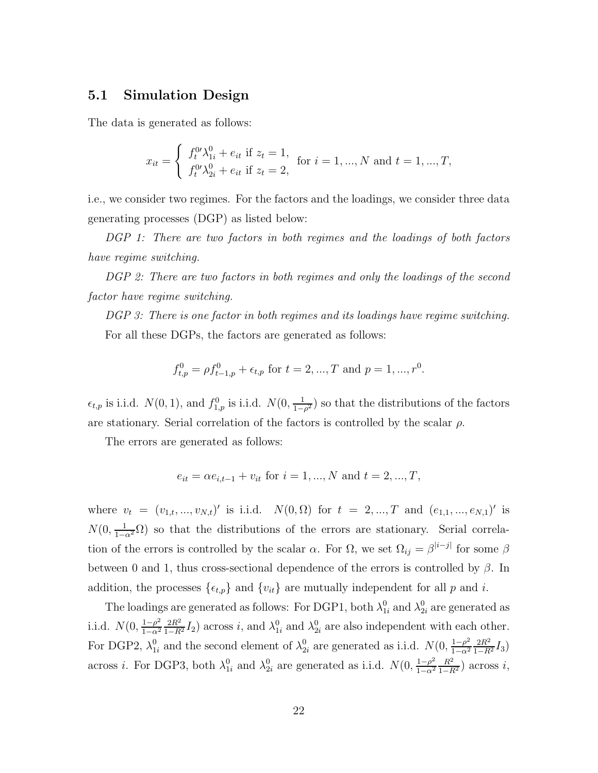### 5.1 Simulation Design

The data is generated as follows:

$$
x_{it} = \begin{cases} f_t^{0} \lambda_{1i}^0 + e_{it} \text{ if } z_t = 1, \\ f_t^{0} \lambda_{2i}^0 + e_{it} \text{ if } z_t = 2, \end{cases} \text{ for } i = 1, ..., N \text{ and } t = 1, ..., T,
$$

i.e., we consider two regimes. For the factors and the loadings, we consider three data generating processes (DGP) as listed below:

DGP 1: There are two factors in both regimes and the loadings of both factors have regime switching.

DGP 2: There are two factors in both regimes and only the loadings of the second factor have regime switching.

DGP 3: There is one factor in both regimes and its loadings have regime switching. For all these DGPs, the factors are generated as follows:

$$
f_{t,p}^0 = \rho f_{t-1,p}^0 + \epsilon_{t,p} \text{ for } t = 2, ..., T \text{ and } p = 1, ..., r^0.
$$

 $\epsilon_{t,p}$  is i.i.d.  $N(0, 1)$ , and  $f_{1,p}^0$  is i.i.d.  $N(0, \frac{1}{1-\epsilon})$  $\frac{1}{1-\rho^2}$ ) so that the distributions of the factors are stationary. Serial correlation of the factors is controlled by the scalar  $\rho$ .

The errors are generated as follows:

$$
e_{it} = \alpha e_{i,t-1} + v_{it}
$$
 for  $i = 1, ..., N$  and  $t = 2, ..., T$ ,

where  $v_t = (v_{1,t}, ..., v_{N,t})'$  is i.i.d.  $N(0, \Omega)$  for  $t = 2, ..., T$  and  $(e_{1,1}, ..., e_{N,1})'$  is  $N(0, \frac{1}{1-\alpha^2}\Omega)$  so that the distributions of the errors are stationary. Serial correlation of the errors is controlled by the scalar  $\alpha$ . For  $\Omega$ , we set  $\Omega_{ij} = \beta^{|i-j|}$  for some  $\beta$ between 0 and 1, thus cross-sectional dependence of the errors is controlled by  $\beta$ . In addition, the processes  $\{\epsilon_{t,p}\}$  and  $\{v_{it}\}$  are mutually independent for all p and i.

The loadings are generated as follows: For DGP1, both  $\lambda_{1i}^0$  and  $\lambda_{2i}^0$  are generated as i.i.d.  $N(0, \frac{1-\rho^2}{1-\alpha^2})$  $1-\alpha^2$  $\frac{2R^2}{1-R^2}I_2$ ) across *i*, and  $\lambda_{1i}^0$  and  $\lambda_{2i}^0$  are also independent with each other. For DGP2,  $\lambda_{1i}^0$  and the second element of  $\lambda_{2i}^0$  are generated as i.i.d.  $N(0, \frac{1-\rho^2}{1-\alpha^2})$  $1-\alpha^2$  $\frac{2R^2}{1-R^2}I_3$ across *i*. For DGP3, both  $\lambda_{1i}^0$  and  $\lambda_{2i}^0$  are generated as i.i.d.  $N(0, \frac{1-\rho^2}{1-\alpha^2})$  $1-\alpha^2$  $\frac{R^2}{1-R^2}$ ) across *i*,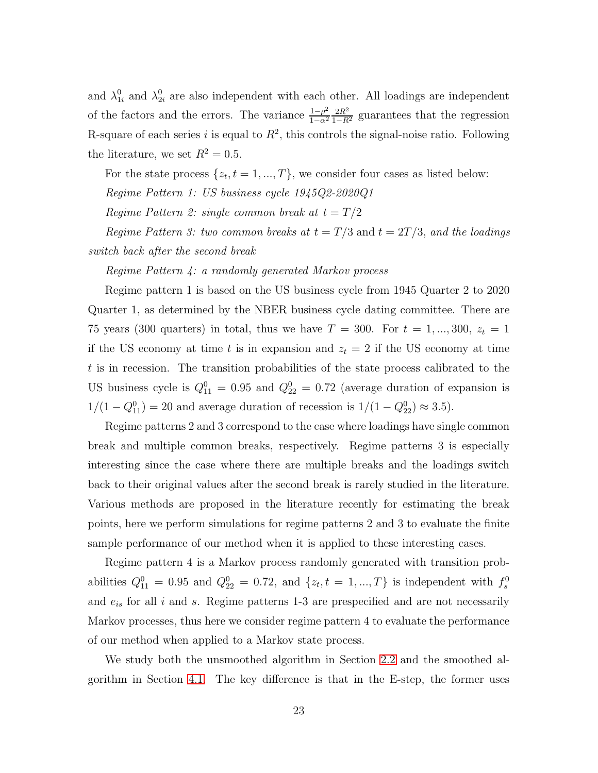and  $\lambda_{1i}^0$  and  $\lambda_{2i}^0$  are also independent with each other. All loadings are independent of the factors and the errors. The variance  $\frac{1-\rho^2}{1-\alpha^2}$  $1-\alpha^2$  $\frac{2R^2}{1-R^2}$  guarantees that the regression R-square of each series i is equal to  $R^2$ , this controls the signal-noise ratio. Following the literature, we set  $R^2 = 0.5$ .

For the state process  $\{z_t, t = 1, ..., T\}$ , we consider four cases as listed below:

Regime Pattern 1: US business cycle 1945Q2-2020Q1

Regime Pattern 2: single common break at  $t = T/2$ 

Regime Pattern 3: two common breaks at  $t = T/3$  and  $t = 2T/3$ , and the loadings switch back after the second break

Regime Pattern 4: a randomly generated Markov process

Regime pattern 1 is based on the US business cycle from 1945 Quarter 2 to 2020 Quarter 1, as determined by the NBER business cycle dating committee. There are 75 years (300 quarters) in total, thus we have  $T = 300$ . For  $t = 1, ..., 300$ ,  $z_t = 1$ if the US economy at time t is in expansion and  $z_t = 2$  if the US economy at time t is in recession. The transition probabilities of the state process calibrated to the US business cycle is  $Q_{11}^0 = 0.95$  and  $Q_{22}^0 = 0.72$  (average duration of expansion is  $1/(1 - Q_{11}^0) = 20$  and average duration of recession is  $1/(1 - Q_{22}^0) \approx 3.5$ .

Regime patterns 2 and 3 correspond to the case where loadings have single common break and multiple common breaks, respectively. Regime patterns 3 is especially interesting since the case where there are multiple breaks and the loadings switch back to their original values after the second break is rarely studied in the literature. Various methods are proposed in the literature recently for estimating the break points, here we perform simulations for regime patterns 2 and 3 to evaluate the finite sample performance of our method when it is applied to these interesting cases.

Regime pattern 4 is a Markov process randomly generated with transition probabilities  $Q_{11}^0 = 0.95$  and  $Q_{22}^0 = 0.72$ , and  $\{z_t, t = 1, ..., T\}$  is independent with  $f_s^0$ and  $e_{is}$  for all i and s. Regime patterns 1-3 are prespecified and are not necessarily Markov processes, thus here we consider regime pattern 4 to evaluate the performance of our method when applied to a Markov state process.

We study both the unsmoothed algorithm in Section [2.2](#page-7-2) and the smoothed algorithm in Section [4.1.](#page-17-0) The key difference is that in the E-step, the former uses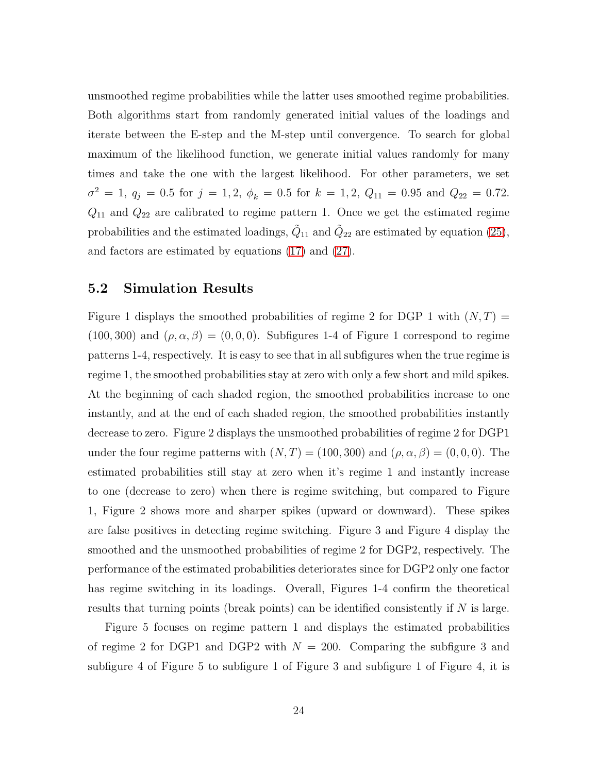unsmoothed regime probabilities while the latter uses smoothed regime probabilities. Both algorithms start from randomly generated initial values of the loadings and iterate between the E-step and the M-step until convergence. To search for global maximum of the likelihood function, we generate initial values randomly for many times and take the one with the largest likelihood. For other parameters, we set  $\sigma^2 = 1, q_j = 0.5$  for  $j = 1, 2, \phi_k = 0.5$  for  $k = 1, 2, Q_{11} = 0.95$  and  $Q_{22} = 0.72$ .  $Q_{11}$  and  $Q_{22}$  are calibrated to regime pattern 1. Once we get the estimated regime probabilities and the estimated loadings,  $\tilde{Q}_{11}$  and  $\tilde{Q}_{22}$  are estimated by equation [\(25\)](#page-19-0), and factors are estimated by equations [\(17\)](#page-11-2) and [\(27\)](#page-20-2).

### 5.2 Simulation Results

Figure 1 displays the smoothed probabilities of regime 2 for DGP 1 with  $(N, T)$  =  $(100, 300)$  and  $(\rho, \alpha, \beta) = (0, 0, 0)$ . Subfigures 1-4 of Figure 1 correspond to regime patterns 1-4, respectively. It is easy to see that in all subfigures when the true regime is regime 1, the smoothed probabilities stay at zero with only a few short and mild spikes. At the beginning of each shaded region, the smoothed probabilities increase to one instantly, and at the end of each shaded region, the smoothed probabilities instantly decrease to zero. Figure 2 displays the unsmoothed probabilities of regime 2 for DGP1 under the four regime patterns with  $(N, T) = (100, 300)$  and  $(\rho, \alpha, \beta) = (0, 0, 0)$ . The estimated probabilities still stay at zero when it's regime 1 and instantly increase to one (decrease to zero) when there is regime switching, but compared to Figure 1, Figure 2 shows more and sharper spikes (upward or downward). These spikes are false positives in detecting regime switching. Figure 3 and Figure 4 display the smoothed and the unsmoothed probabilities of regime 2 for DGP2, respectively. The performance of the estimated probabilities deteriorates since for DGP2 only one factor has regime switching in its loadings. Overall, Figures 1-4 confirm the theoretical results that turning points (break points) can be identified consistently if  $N$  is large.

Figure 5 focuses on regime pattern 1 and displays the estimated probabilities of regime 2 for DGP1 and DGP2 with  $N = 200$ . Comparing the subfigure 3 and subfigure 4 of Figure 5 to subfigure 1 of Figure 3 and subfigure 1 of Figure 4, it is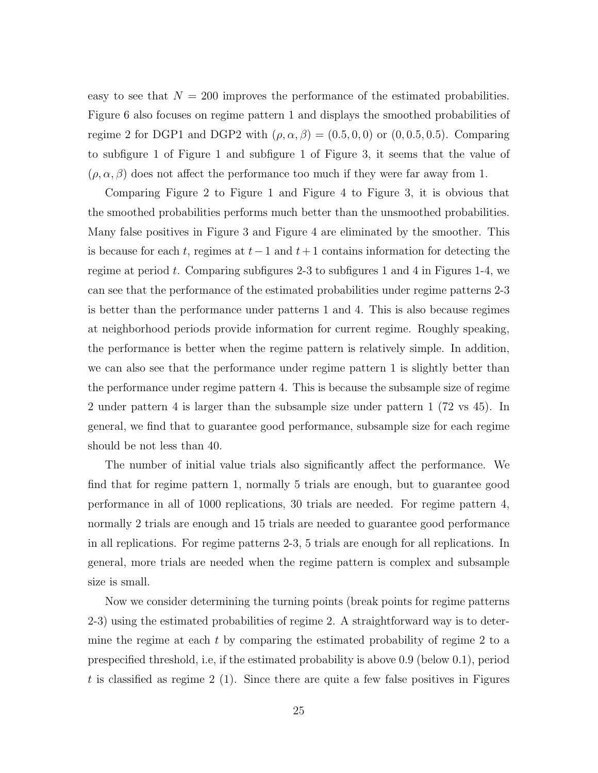easy to see that  $N = 200$  improves the performance of the estimated probabilities. Figure 6 also focuses on regime pattern 1 and displays the smoothed probabilities of regime 2 for DGP1 and DGP2 with  $(\rho, \alpha, \beta) = (0.5, 0, 0)$  or  $(0, 0.5, 0.5)$ . Comparing to subfigure 1 of Figure 1 and subfigure 1 of Figure 3, it seems that the value of  $(\rho, \alpha, \beta)$  does not affect the performance too much if they were far away from 1.

Comparing Figure 2 to Figure 1 and Figure 4 to Figure 3, it is obvious that the smoothed probabilities performs much better than the unsmoothed probabilities. Many false positives in Figure 3 and Figure 4 are eliminated by the smoother. This is because for each t, regimes at  $t-1$  and  $t+1$  contains information for detecting the regime at period t. Comparing subfigures 2-3 to subfigures 1 and 4 in Figures 1-4, we can see that the performance of the estimated probabilities under regime patterns 2-3 is better than the performance under patterns 1 and 4. This is also because regimes at neighborhood periods provide information for current regime. Roughly speaking, the performance is better when the regime pattern is relatively simple. In addition, we can also see that the performance under regime pattern 1 is slightly better than the performance under regime pattern 4. This is because the subsample size of regime 2 under pattern 4 is larger than the subsample size under pattern 1 (72 vs 45). In general, we find that to guarantee good performance, subsample size for each regime should be not less than 40.

The number of initial value trials also significantly affect the performance. We find that for regime pattern 1, normally 5 trials are enough, but to guarantee good performance in all of 1000 replications, 30 trials are needed. For regime pattern 4, normally 2 trials are enough and 15 trials are needed to guarantee good performance in all replications. For regime patterns 2-3, 5 trials are enough for all replications. In general, more trials are needed when the regime pattern is complex and subsample size is small.

Now we consider determining the turning points (break points for regime patterns 2-3) using the estimated probabilities of regime 2. A straightforward way is to determine the regime at each  $t$  by comparing the estimated probability of regime 2 to a prespecified threshold, i.e, if the estimated probability is above 0.9 (below 0.1), period t is classified as regime  $2(1)$ . Since there are quite a few false positives in Figures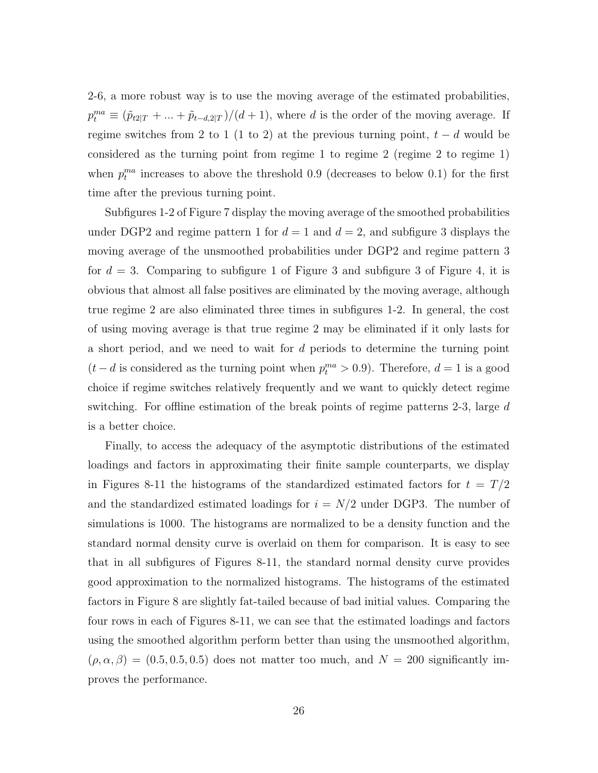2-6, a more robust way is to use the moving average of the estimated probabilities,  $p_t^{ma} \equiv (\tilde{p}_{t2|T} + ... + \tilde{p}_{t-d,2|T})/(d+1)$ , where d is the order of the moving average. If regime switches from 2 to 1 (1 to 2) at the previous turning point,  $t - d$  would be considered as the turning point from regime 1 to regime 2 (regime 2 to regime 1) when  $p_t^{ma}$  increases to above the threshold 0.9 (decreases to below 0.1) for the first time after the previous turning point.

Subfigures 1-2 of Figure 7 display the moving average of the smoothed probabilities under DGP2 and regime pattern 1 for  $d = 1$  and  $d = 2$ , and subfigure 3 displays the moving average of the unsmoothed probabilities under DGP2 and regime pattern 3 for  $d = 3$ . Comparing to subfigure 1 of Figure 3 and subfigure 3 of Figure 4, it is obvious that almost all false positives are eliminated by the moving average, although true regime 2 are also eliminated three times in subfigures 1-2. In general, the cost of using moving average is that true regime 2 may be eliminated if it only lasts for a short period, and we need to wait for d periods to determine the turning point  $(t - d)$  is considered as the turning point when  $p_t^{ma} > 0.9$ ). Therefore,  $d = 1$  is a good choice if regime switches relatively frequently and we want to quickly detect regime switching. For offline estimation of the break points of regime patterns 2-3, large  $d$ is a better choice.

Finally, to access the adequacy of the asymptotic distributions of the estimated loadings and factors in approximating their finite sample counterparts, we display in Figures 8-11 the histograms of the standardized estimated factors for  $t = T/2$ and the standardized estimated loadings for  $i = N/2$  under DGP3. The number of simulations is 1000. The histograms are normalized to be a density function and the standard normal density curve is overlaid on them for comparison. It is easy to see that in all subfigures of Figures 8-11, the standard normal density curve provides good approximation to the normalized histograms. The histograms of the estimated factors in Figure 8 are slightly fat-tailed because of bad initial values. Comparing the four rows in each of Figures 8-11, we can see that the estimated loadings and factors using the smoothed algorithm perform better than using the unsmoothed algorithm,  $(\rho, \alpha, \beta) = (0.5, 0.5, 0.5)$  does not matter too much, and  $N = 200$  significantly improves the performance.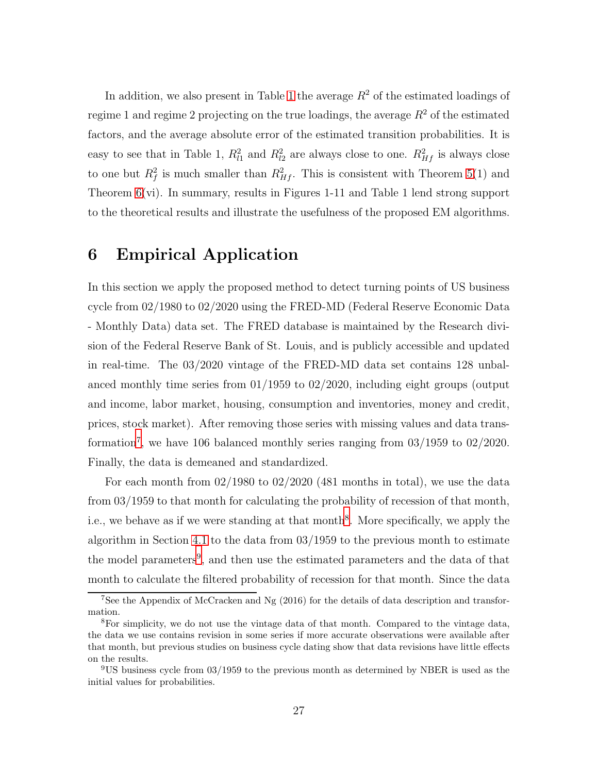In addition, we also present in Table [1](#page-42-0) the average  $R^2$  of the estimated loadings of regime 1 and regime 2 projecting on the true loadings, the average  $R^2$  of the estimated factors, and the average absolute error of the estimated transition probabilities. It is easy to see that in Table 1,  $R_{l1}^2$  and  $R_{l2}^2$  are always close to one.  $R_{Hf}^2$  is always close to one but  $R_f^2$  is much smaller than  $R_{Hf}^2$ . This is consistent with Theorem [5\(](#page-16-1)1) and Theorem [6\(](#page-20-1)vi). In summary, results in Figures 1-11 and Table 1 lend strong support to the theoretical results and illustrate the usefulness of the proposed EM algorithms.

# <span id="page-27-0"></span>6 Empirical Application

In this section we apply the proposed method to detect turning points of US business cycle from 02/1980 to 02/2020 using the FRED-MD (Federal Reserve Economic Data - Monthly Data) data set. The FRED database is maintained by the Research division of the Federal Reserve Bank of St. Louis, and is publicly accessible and updated in real-time. The 03/2020 vintage of the FRED-MD data set contains 128 unbalanced monthly time series from 01/1959 to 02/2020, including eight groups (output and income, labor market, housing, consumption and inventories, money and credit, prices, stock market). After removing those series with missing values and data transformation[7](#page-27-1) , we have 106 balanced monthly series ranging from 03/1959 to 02/2020. Finally, the data is demeaned and standardized.

For each month from  $02/1980$  to  $02/2020$  (481 months in total), we use the data from 03/1959 to that month for calculating the probability of recession of that month, i.e., we behave as if we were standing at that month<sup>[8](#page-27-2)</sup>. More specifically, we apply the algorithm in Section [4.1](#page-17-0) to the data from 03/1959 to the previous month to estimate the model parameters<sup>[9](#page-27-3)</sup>, and then use the estimated parameters and the data of that month to calculate the filtered probability of recession for that month. Since the data

<span id="page-27-1"></span><sup>7</sup>See the Appendix of McCracken and Ng (2016) for the details of data description and transformation.

<span id="page-27-2"></span><sup>8</sup>For simplicity, we do not use the vintage data of that month. Compared to the vintage data, the data we use contains revision in some series if more accurate observations were available after that month, but previous studies on business cycle dating show that data revisions have little effects on the results.

<span id="page-27-3"></span><sup>9</sup>US business cycle from 03/1959 to the previous month as determined by NBER is used as the initial values for probabilities.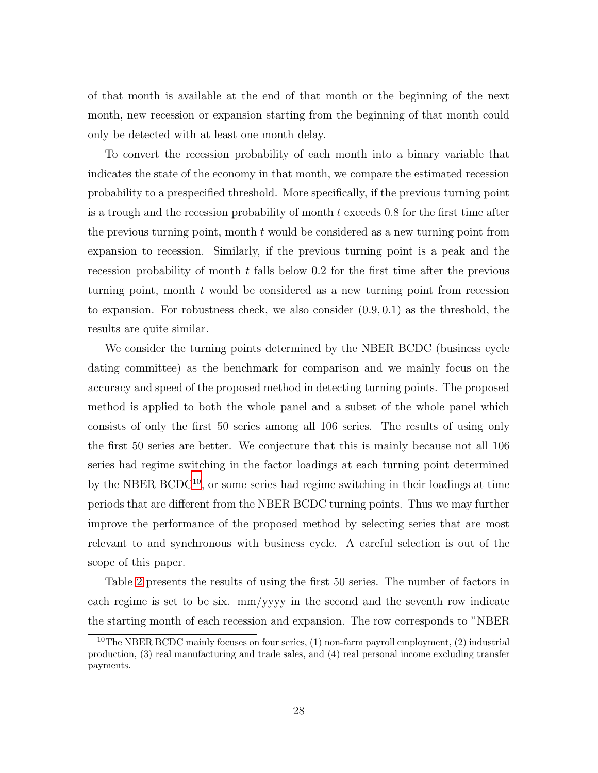of that month is available at the end of that month or the beginning of the next month, new recession or expansion starting from the beginning of that month could only be detected with at least one month delay.

To convert the recession probability of each month into a binary variable that indicates the state of the economy in that month, we compare the estimated recession probability to a prespecified threshold. More specifically, if the previous turning point is a trough and the recession probability of month t exceeds 0.8 for the first time after the previous turning point, month  $t$  would be considered as a new turning point from expansion to recession. Similarly, if the previous turning point is a peak and the recession probability of month t falls below 0.2 for the first time after the previous turning point, month t would be considered as a new turning point from recession to expansion. For robustness check, we also consider  $(0.9, 0.1)$  as the threshold, the results are quite similar.

We consider the turning points determined by the NBER BCDC (business cycle dating committee) as the benchmark for comparison and we mainly focus on the accuracy and speed of the proposed method in detecting turning points. The proposed method is applied to both the whole panel and a subset of the whole panel which consists of only the first 50 series among all 106 series. The results of using only the first 50 series are better. We conjecture that this is mainly because not all 106 series had regime switching in the factor loadings at each turning point determined by the NBER  $BCDC^{10}$  $BCDC^{10}$  $BCDC^{10}$ , or some series had regime switching in their loadings at time periods that are different from the NBER BCDC turning points. Thus we may further improve the performance of the proposed method by selecting series that are most relevant to and synchronous with business cycle. A careful selection is out of the scope of this paper.

Table [2](#page-43-0) presents the results of using the first 50 series. The number of factors in each regime is set to be six. mm/yyyy in the second and the seventh row indicate the starting month of each recession and expansion. The row corresponds to "NBER

<span id="page-28-0"></span><sup>&</sup>lt;sup>10</sup>The NBER BCDC mainly focuses on four series,  $(1)$  non-farm payroll employment,  $(2)$  industrial production, (3) real manufacturing and trade sales, and (4) real personal income excluding transfer payments.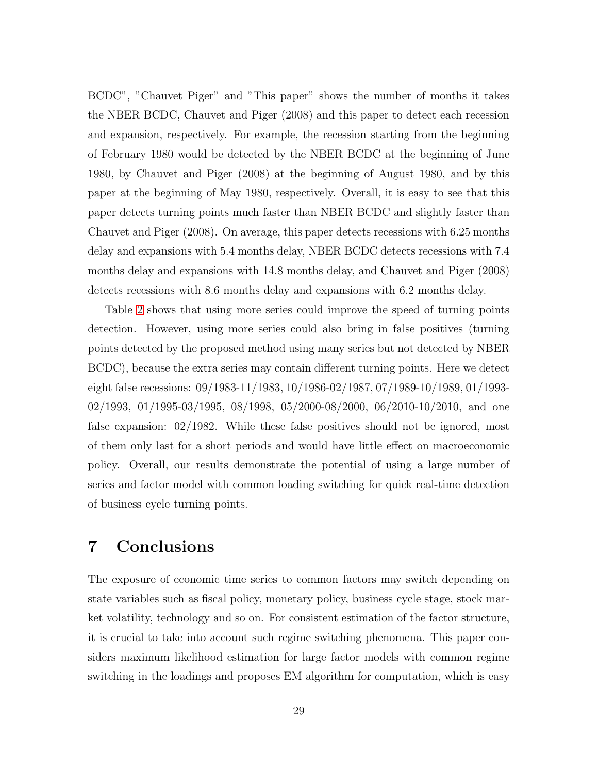BCDC", "Chauvet Piger" and "This paper" shows the number of months it takes the NBER BCDC, Chauvet and Piger (2008) and this paper to detect each recession and expansion, respectively. For example, the recession starting from the beginning of February 1980 would be detected by the NBER BCDC at the beginning of June 1980, by Chauvet and Piger (2008) at the beginning of August 1980, and by this paper at the beginning of May 1980, respectively. Overall, it is easy to see that this paper detects turning points much faster than NBER BCDC and slightly faster than Chauvet and Piger (2008). On average, this paper detects recessions with 6.25 months delay and expansions with 5.4 months delay, NBER BCDC detects recessions with 7.4 months delay and expansions with 14.8 months delay, and Chauvet and Piger (2008) detects recessions with 8.6 months delay and expansions with 6.2 months delay.

Table [2](#page-43-0) shows that using more series could improve the speed of turning points detection. However, using more series could also bring in false positives (turning points detected by the proposed method using many series but not detected by NBER BCDC), because the extra series may contain different turning points. Here we detect eight false recessions: 09/1983-11/1983, 10/1986-02/1987, 07/1989-10/1989, 01/1993- 02/1993, 01/1995-03/1995, 08/1998, 05/2000-08/2000, 06/2010-10/2010, and one false expansion: 02/1982. While these false positives should not be ignored, most of them only last for a short periods and would have little effect on macroeconomic policy. Overall, our results demonstrate the potential of using a large number of series and factor model with common loading switching for quick real-time detection of business cycle turning points.

# <span id="page-29-0"></span>7 Conclusions

The exposure of economic time series to common factors may switch depending on state variables such as fiscal policy, monetary policy, business cycle stage, stock market volatility, technology and so on. For consistent estimation of the factor structure, it is crucial to take into account such regime switching phenomena. This paper considers maximum likelihood estimation for large factor models with common regime switching in the loadings and proposes EM algorithm for computation, which is easy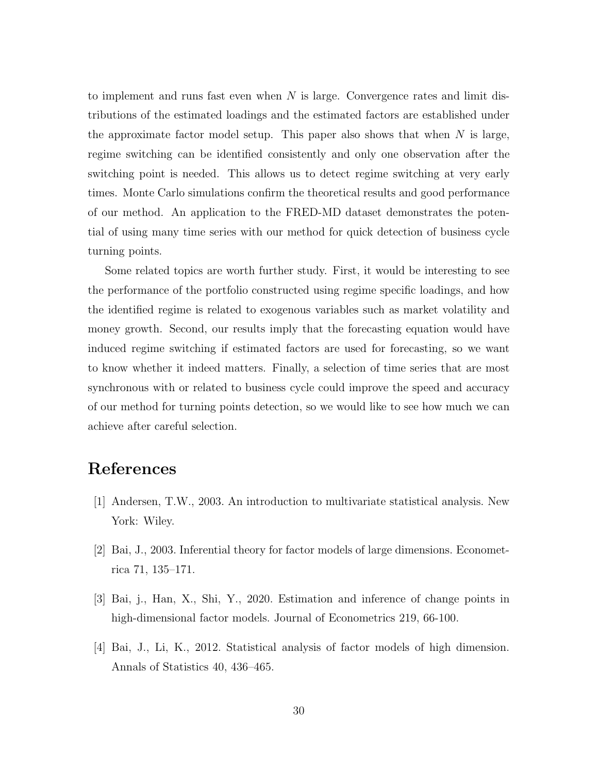to implement and runs fast even when  $N$  is large. Convergence rates and limit distributions of the estimated loadings and the estimated factors are established under the approximate factor model setup. This paper also shows that when  $N$  is large, regime switching can be identified consistently and only one observation after the switching point is needed. This allows us to detect regime switching at very early times. Monte Carlo simulations confirm the theoretical results and good performance of our method. An application to the FRED-MD dataset demonstrates the potential of using many time series with our method for quick detection of business cycle turning points.

Some related topics are worth further study. First, it would be interesting to see the performance of the portfolio constructed using regime specific loadings, and how the identified regime is related to exogenous variables such as market volatility and money growth. Second, our results imply that the forecasting equation would have induced regime switching if estimated factors are used for forecasting, so we want to know whether it indeed matters. Finally, a selection of time series that are most synchronous with or related to business cycle could improve the speed and accuracy of our method for turning points detection, so we would like to see how much we can achieve after careful selection.

# References

- [1] Andersen, T.W., 2003. An introduction to multivariate statistical analysis. New York: Wiley.
- [2] Bai, J., 2003. Inferential theory for factor models of large dimensions. Econometrica 71, 135–171.
- [3] Bai, j., Han, X., Shi, Y., 2020. Estimation and inference of change points in high-dimensional factor models. Journal of Econometrics 219, 66-100.
- [4] Bai, J., Li, K., 2012. Statistical analysis of factor models of high dimension. Annals of Statistics 40, 436–465.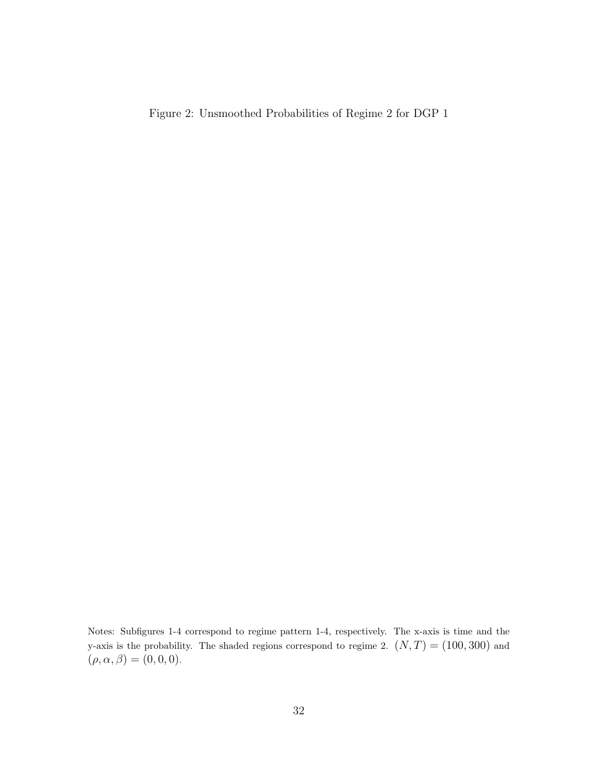Figure 2: Unsmoothed Probabilities of Regime 2 for DGP 1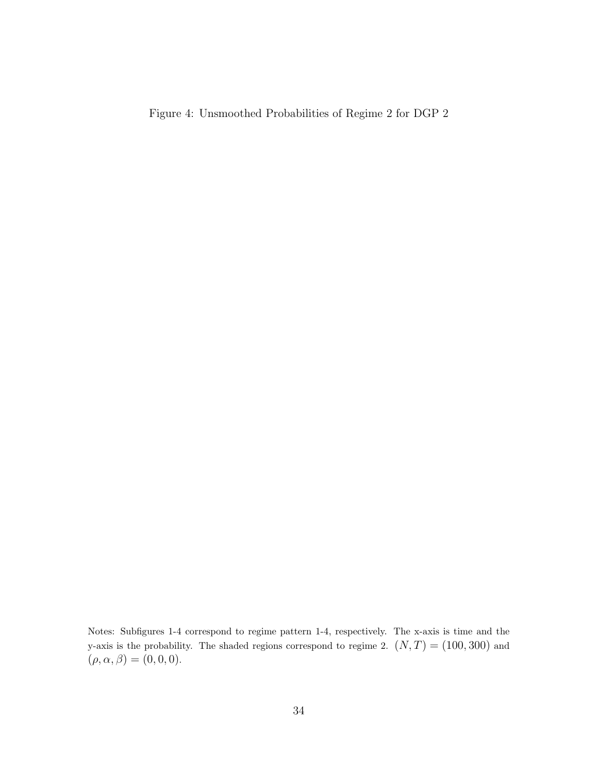Figure 4: Unsmoothed Probabilities of Regime 2 for DGP 2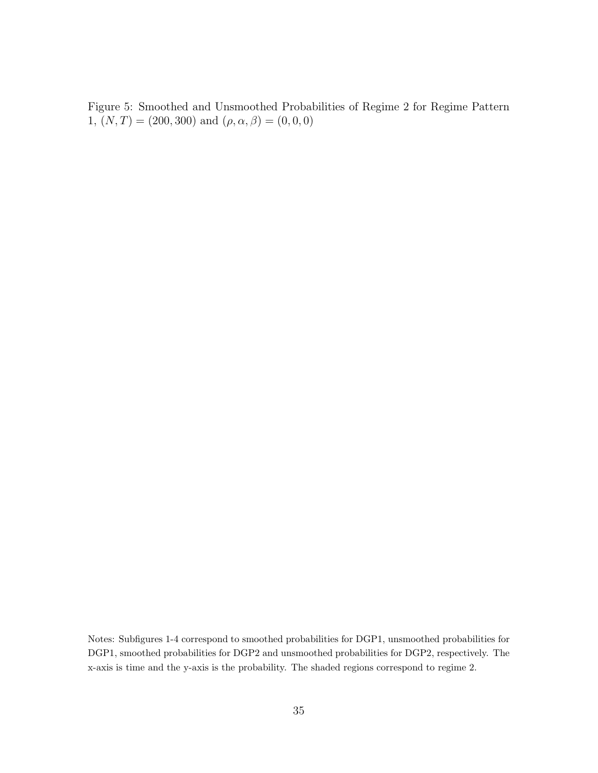Figure 5: Smoothed and Unsmoothed Probabilities of Regime 2 for Regime Pattern 1,  $(N,T) = (200,300)$  and  $(\rho, \alpha, \beta) = (0,0,0)$ 

Notes: Subfigures 1-4 correspond to smoothed probabilities for DGP1, unsmoothed probabilities for DGP1, smoothed probabilities for DGP2 and unsmoothed probabilities for DGP2, respectively. The x-axis is time and the y-axis is the probability. The shaded regions correspond to regime 2.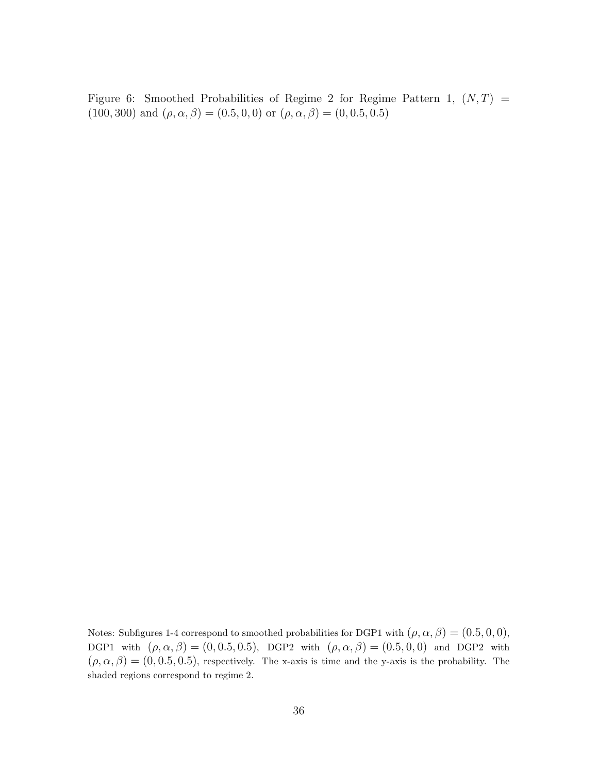Figure 6: Smoothed Probabilities of Regime 2 for Regime Pattern 1,  $(N, T)$  = (100, 300) and  $(\rho, \alpha, \beta) = (0.5, 0, 0)$  or  $(\rho, \alpha, \beta) = (0, 0.5, 0.5)$ 

Notes: Subfigures 1-4 correspond to smoothed probabilities for DGP1 with  $(\rho, \alpha, \beta) = (0.5, 0, 0)$ , DGP1 with  $(\rho, \alpha, \beta) = (0, 0.5, 0.5)$ , DGP2 with  $(\rho, \alpha, \beta) = (0.5, 0, 0)$  and DGP2 with  $(\rho, \alpha, \beta) = (0, 0.5, 0.5)$ , respectively. The x-axis is time and the y-axis is the probability. The shaded regions correspond to regime 2.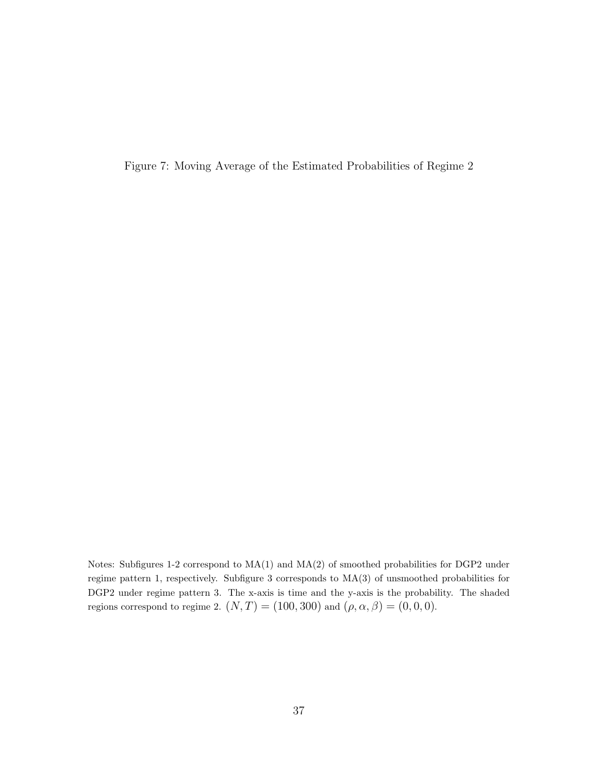Figure 7: Moving Average of the Estimated Probabilities of Regime 2

Notes: Subfigures 1-2 correspond to MA(1) and MA(2) of smoothed probabilities for DGP2 under regime pattern 1, respectively. Subfigure 3 corresponds to MA(3) of unsmoothed probabilities for DGP2 under regime pattern 3. The x-axis is time and the y-axis is the probability. The shaded regions correspond to regime 2.  $(N, T) = (100, 300)$  and  $(\rho, \alpha, \beta) = (0, 0, 0)$ .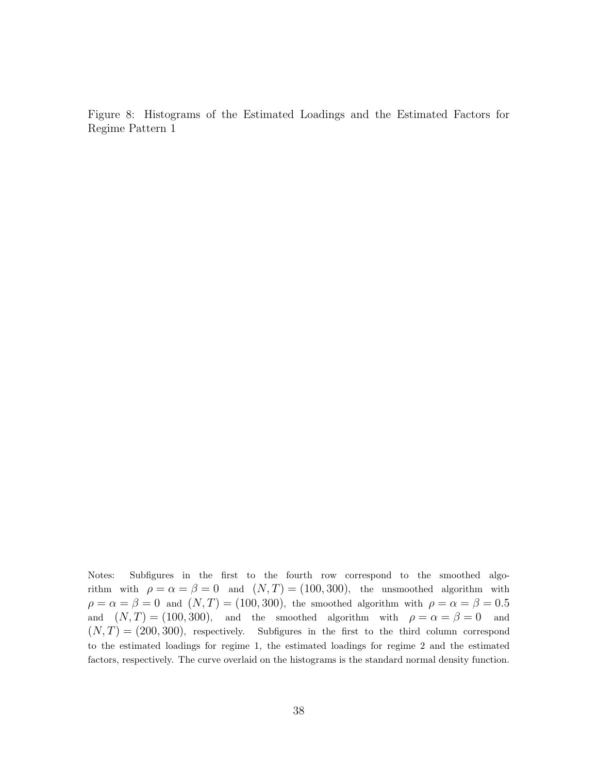Figure 8: Histograms of the Estimated Loadings and the Estimated Factors for Regime Pattern 1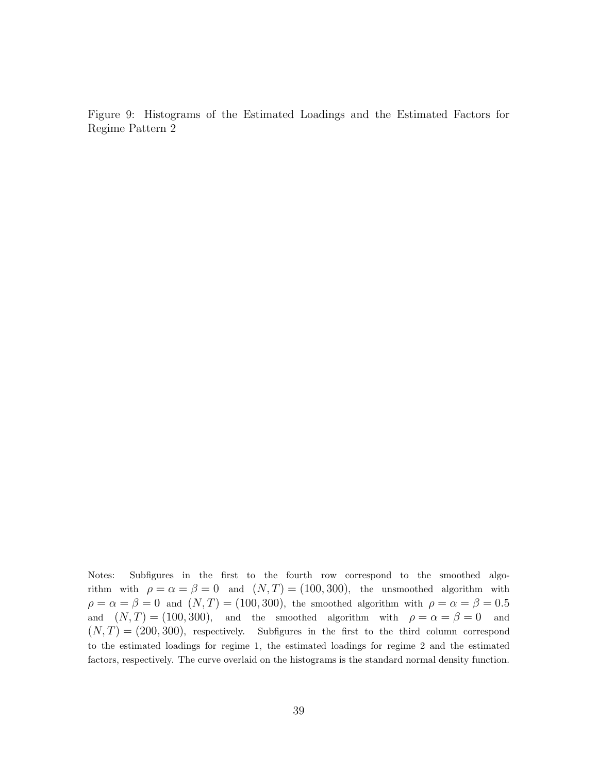Figure 9: Histograms of the Estimated Loadings and the Estimated Factors for Regime Pattern 2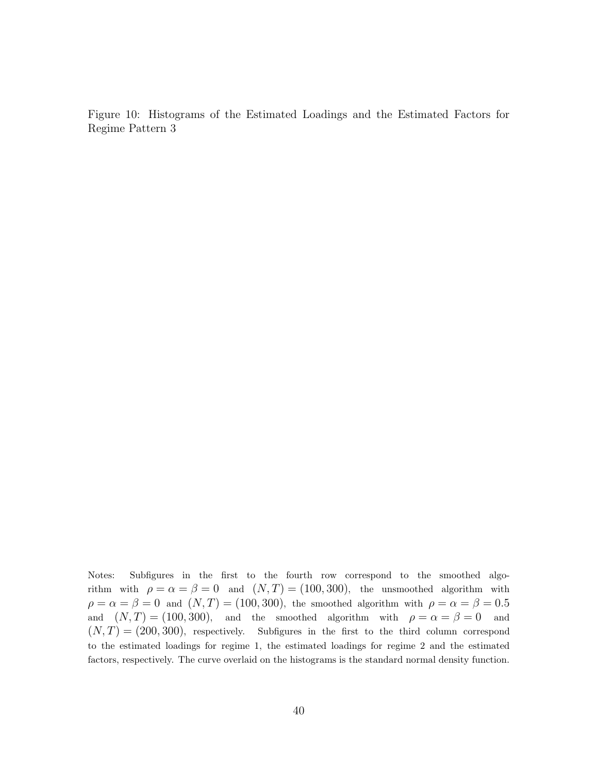Figure 10: Histograms of the Estimated Loadings and the Estimated Factors for Regime Pattern 3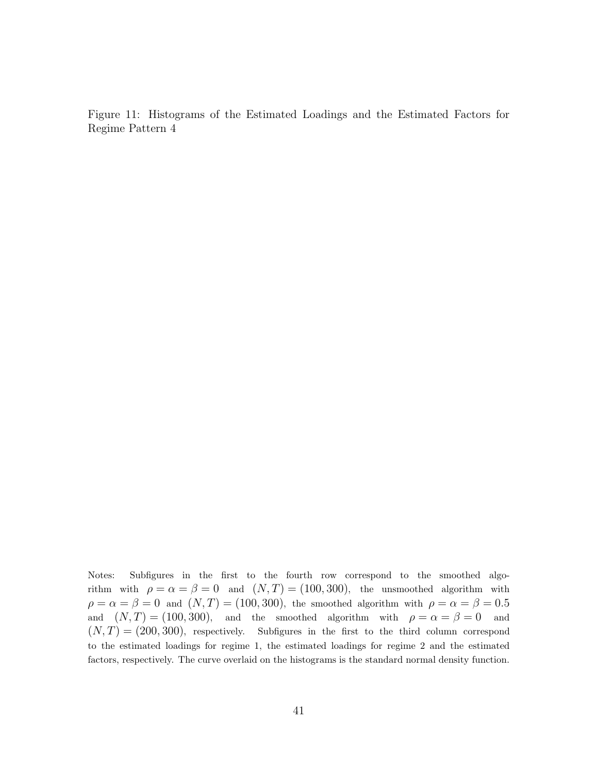Figure 11: Histograms of the Estimated Loadings and the Estimated Factors for Regime Pattern 4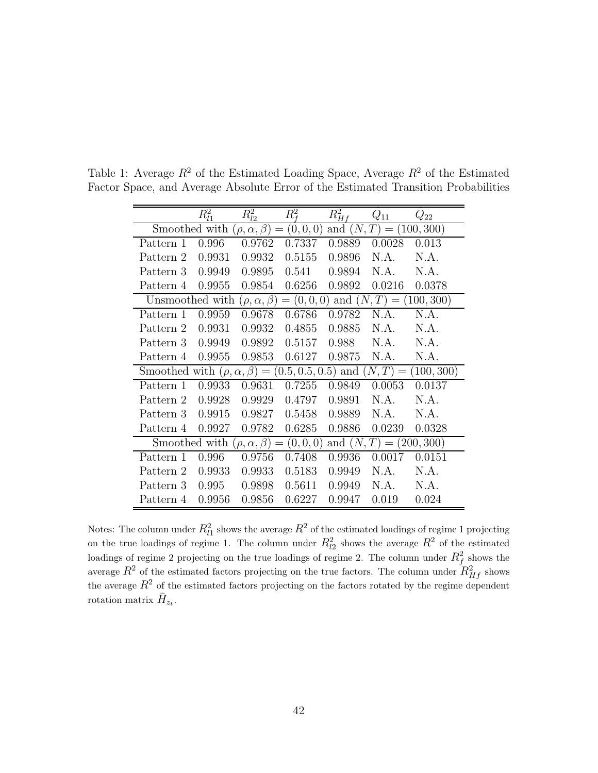|                                                                                                  | $R_{l1}^2$ | $R^2_{l2}$ | $R^2_{\rm f}$ | $R_{Hf}^2$ | $Q_{11}$ | $Q_{22}$ |  |  |  |
|--------------------------------------------------------------------------------------------------|------------|------------|---------------|------------|----------|----------|--|--|--|
| Smoothed with<br>(0, 0, 0)<br>and $(N, T) =$<br>$(\rho, \alpha, \beta) =$<br>(100, 300)          |            |            |               |            |          |          |  |  |  |
| Pattern 1                                                                                        | 0.996      | 0.9762     | 0.7337        | 0.9889     | 0.0028   | 0.013    |  |  |  |
| Pattern 2                                                                                        | 0.9931     | 0.9932     | 0.5155        | 0.9896     | N.A.     | N.A.     |  |  |  |
| Pattern 3                                                                                        | 0.9949     | 0.9895     | 0.541         | 0.9894     | N.A.     | N.A.     |  |  |  |
| Pattern 4                                                                                        | 0.9955     | 0.9854     | 0.6256        | 0.9892     | 0.0216   | 0.0378   |  |  |  |
| (100, 300)<br>$= (0, 0, 0)$<br>and $(N, T)$<br>Unsmoothed with<br>$(\rho, \alpha, \beta)$<br>$=$ |            |            |               |            |          |          |  |  |  |
| Pattern 1                                                                                        | 0.9959     | 0.9678     | 0.6786        | 0.9782     | N.A.     | N.A.     |  |  |  |
| Pattern 2                                                                                        | 0.9931     | 0.9932     | 0.4855        | 0.9885     | N.A.     | N.A.     |  |  |  |
| Pattern 3                                                                                        | 0.9949     | 0.9892     | 0.5157        | 0.988      | N.A.     | N.A.     |  |  |  |
| Pattern 4                                                                                        | 0.9955     | 0.9853     | 0.6127        | 0.9875     | N.A.     | N.A.     |  |  |  |
| $(N,T) =$<br>(100, 300)<br>Smoothed with $(\rho, \alpha, \beta) =$<br>(0.5, 0.5, 0.5)<br>and     |            |            |               |            |          |          |  |  |  |
| Pattern 1                                                                                        | 0.9933     | 0.9631     | 0.7255        | 0.9849     | 0.0053   | 0.0137   |  |  |  |
| Pattern 2                                                                                        | 0.9928     | 0.9929     | 0.4797        | 0.9891     | N.A.     | N.A.     |  |  |  |
| Pattern 3                                                                                        | 0.9915     | 0.9827     | 0.5458        | 0.9889     | N.A.     | N.A.     |  |  |  |
| Pattern 4                                                                                        | 0.9927     | 0.9782     | 0.6285        | 0.9886     | 0.0239   | 0.0328   |  |  |  |
| and $(N, T) = (200, 300)$<br>Smoothed with<br>$(\rho, \alpha, \beta) =$<br>(0,0,0)               |            |            |               |            |          |          |  |  |  |
| Pattern 1                                                                                        | 0.996      | 0.9756     | 0.7408        | 0.9936     | 0.0017   | 0.0151   |  |  |  |
| Pattern 2                                                                                        | 0.9933     | 0.9933     | 0.5183        | 0.9949     | N.A.     | N.A.     |  |  |  |
| Pattern 3                                                                                        | 0.995      | 0.9898     | 0.5611        | 0.9949     | N.A.     | N.A.     |  |  |  |
| Pattern 4                                                                                        | 0.9956     | 0.9856     | 0.6227        | 0.9947     | 0.019    | 0.024    |  |  |  |

<span id="page-42-0"></span>Table 1: Average  $R^2$  of the Estimated Loading Space, Average  $R^2$  of the Estimated Factor Space, and Average Absolute Error of the Estimated Transition Probabilities

Notes: The column under  $R_{l1}^2$  shows the average  $R^2$  of the estimated loadings of regime 1 projecting on the true loadings of regime 1. The column under  $R_{l2}^2$  shows the average  $R^2$  of the estimated loadings of regime 2 projecting on the true loadings of regime 2. The column under  $R_f^2$  shows the average  $R^2$  of the estimated factors projecting on the true factors. The column under  $R_{Hf}^2$  shows the average  $R^2$  of the estimated factors projecting on the factors rotated by the regime dependent rotation matrix  $\bar{H}_{z_t}$ .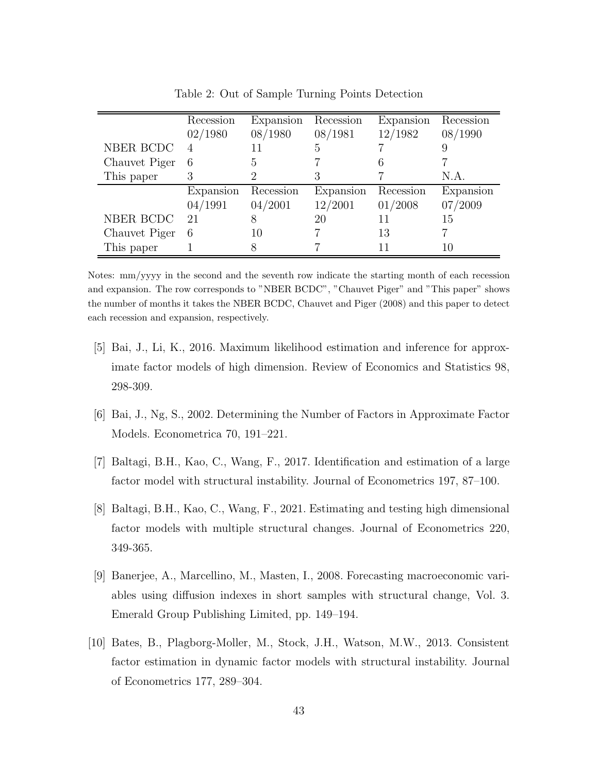<span id="page-43-0"></span>

|               | Recession | Expansion | Recession | Expansion | Recession |
|---------------|-----------|-----------|-----------|-----------|-----------|
|               | 02/1980   | 08/1980   | 08/1981   | 12/1982   | 08/1990   |
| NBER BCDC     |           |           | 5         |           | 9         |
| Chauvet Piger | 6         | h,        |           |           |           |
| This paper    | 3         |           |           |           | N.A.      |
|               | Expansion | Recession | Expansion | Recession | Expansion |
|               | 04/1991   | 04/2001   | 12/2001   | 01/2008   | 07/2009   |
| NBER BCDC     | 21        |           | 20        |           | 15        |
| Chauvet Piger | 6         | 10        |           | 13        |           |
| This paper    |           |           |           |           |           |

Table 2: Out of Sample Turning Points Detection

Notes: mm/yyyy in the second and the seventh row indicate the starting month of each recession and expansion. The row corresponds to "NBER BCDC", "Chauvet Piger" and "This paper" shows the number of months it takes the NBER BCDC, Chauvet and Piger (2008) and this paper to detect each recession and expansion, respectively.

- [5] Bai, J., Li, K., 2016. Maximum likelihood estimation and inference for approximate factor models of high dimension. Review of Economics and Statistics 98, 298-309.
- [6] Bai, J., Ng, S., 2002. Determining the Number of Factors in Approximate Factor Models. Econometrica 70, 191–221.
- [7] Baltagi, B.H., Kao, C., Wang, F., 2017. Identification and estimation of a large factor model with structural instability. Journal of Econometrics 197, 87–100.
- [8] Baltagi, B.H., Kao, C., Wang, F., 2021. Estimating and testing high dimensional factor models with multiple structural changes. Journal of Econometrics 220, 349-365.
- [9] Banerjee, A., Marcellino, M., Masten, I., 2008. Forecasting macroeconomic variables using diffusion indexes in short samples with structural change, Vol. 3. Emerald Group Publishing Limited, pp. 149–194.
- [10] Bates, B., Plagborg-Moller, M., Stock, J.H., Watson, M.W., 2013. Consistent factor estimation in dynamic factor models with structural instability. Journal of Econometrics 177, 289–304.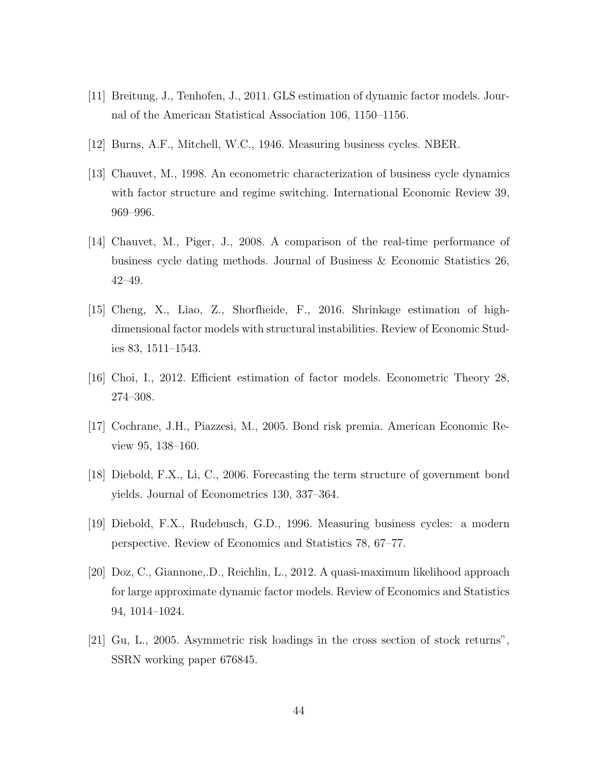- [11] Breitung, J., Tenhofen, J., 2011. GLS estimation of dynamic factor models. Journal of the American Statistical Association 106, 1150–1156.
- [12] Burns, A.F., Mitchell, W.C., 1946. Measuring business cycles. NBER.
- [13] Chauvet, M., 1998. An econometric characterization of business cycle dynamics with factor structure and regime switching. International Economic Review 39, 969–996.
- [14] Chauvet, M., Piger, J., 2008. A comparison of the real-time performance of business cycle dating methods. Journal of Business & Economic Statistics 26, 42–49.
- [15] Cheng, X., Liao, Z., Shorfheide, F., 2016. Shrinkage estimation of highdimensional factor models with structural instabilities. Review of Economic Studies 83, 1511–1543.
- [16] Choi, I., 2012. Efficient estimation of factor models. Econometric Theory 28, 274–308.
- [17] Cochrane, J.H., Piazzesi, M., 2005. Bond risk premia. American Economic Review 95, 138–160.
- [18] Diebold, F.X., Li, C., 2006. Forecasting the term structure of government bond yields. Journal of Econometrics 130, 337–364.
- [19] Diebold, F.X., Rudebusch, G.D., 1996. Measuring business cycles: a modern perspective. Review of Economics and Statistics 78, 67–77.
- [20] Doz, C., Giannone,.D., Reichlin, L., 2012. A quasi-maximum likelihood approach for large approximate dynamic factor models. Review of Economics and Statistics 94, 1014–1024.
- [21] Gu, L., 2005. Asymmetric risk loadings in the cross section of stock returns", SSRN working paper 676845.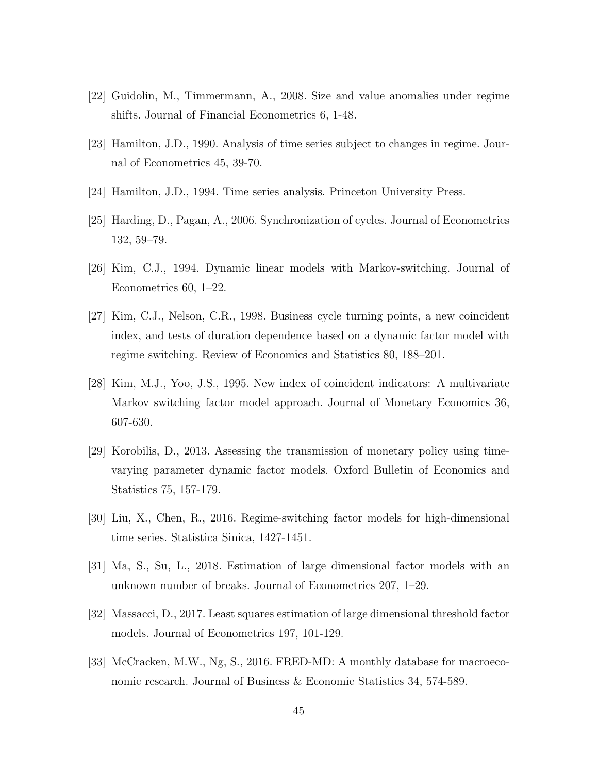- [22] Guidolin, M., Timmermann, A., 2008. Size and value anomalies under regime shifts. Journal of Financial Econometrics 6, 1-48.
- [23] Hamilton, J.D., 1990. Analysis of time series subject to changes in regime. Journal of Econometrics 45, 39-70.
- [24] Hamilton, J.D., 1994. Time series analysis. Princeton University Press.
- [25] Harding, D., Pagan, A., 2006. Synchronization of cycles. Journal of Econometrics 132, 59–79.
- [26] Kim, C.J., 1994. Dynamic linear models with Markov-switching. Journal of Econometrics 60, 1–22.
- [27] Kim, C.J., Nelson, C.R., 1998. Business cycle turning points, a new coincident index, and tests of duration dependence based on a dynamic factor model with regime switching. Review of Economics and Statistics 80, 188–201.
- [28] Kim, M.J., Yoo, J.S., 1995. New index of coincident indicators: A multivariate Markov switching factor model approach. Journal of Monetary Economics 36, 607-630.
- [29] Korobilis, D., 2013. Assessing the transmission of monetary policy using timevarying parameter dynamic factor models. Oxford Bulletin of Economics and Statistics 75, 157-179.
- [30] Liu, X., Chen, R., 2016. Regime-switching factor models for high-dimensional time series. Statistica Sinica, 1427-1451.
- [31] Ma, S., Su, L., 2018. Estimation of large dimensional factor models with an unknown number of breaks. Journal of Econometrics 207, 1–29.
- [32] Massacci, D., 2017. Least squares estimation of large dimensional threshold factor models. Journal of Econometrics 197, 101-129.
- [33] McCracken, M.W., Ng, S., 2016. FRED-MD: A monthly database for macroeconomic research. Journal of Business & Economic Statistics 34, 574-589.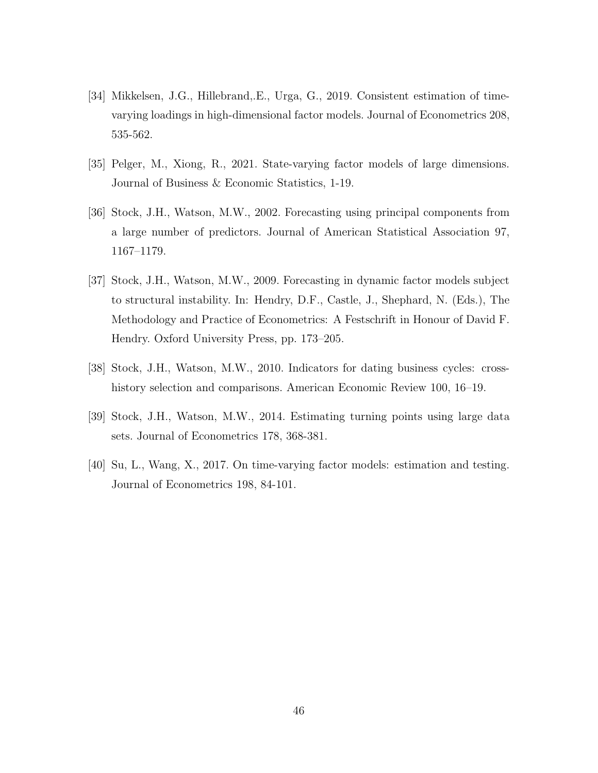- [34] Mikkelsen, J.G., Hillebrand,.E., Urga, G., 2019. Consistent estimation of timevarying loadings in high-dimensional factor models. Journal of Econometrics 208, 535-562.
- [35] Pelger, M., Xiong, R., 2021. State-varying factor models of large dimensions. Journal of Business & Economic Statistics, 1-19.
- [36] Stock, J.H., Watson, M.W., 2002. Forecasting using principal components from a large number of predictors. Journal of American Statistical Association 97, 1167–1179.
- [37] Stock, J.H., Watson, M.W., 2009. Forecasting in dynamic factor models subject to structural instability. In: Hendry, D.F., Castle, J., Shephard, N. (Eds.), The Methodology and Practice of Econometrics: A Festschrift in Honour of David F. Hendry. Oxford University Press, pp. 173–205.
- [38] Stock, J.H., Watson, M.W., 2010. Indicators for dating business cycles: crosshistory selection and comparisons. American Economic Review 100, 16–19.
- [39] Stock, J.H., Watson, M.W., 2014. Estimating turning points using large data sets. Journal of Econometrics 178, 368-381.
- [40] Su, L., Wang, X., 2017. On time-varying factor models: estimation and testing. Journal of Econometrics 198, 84-101.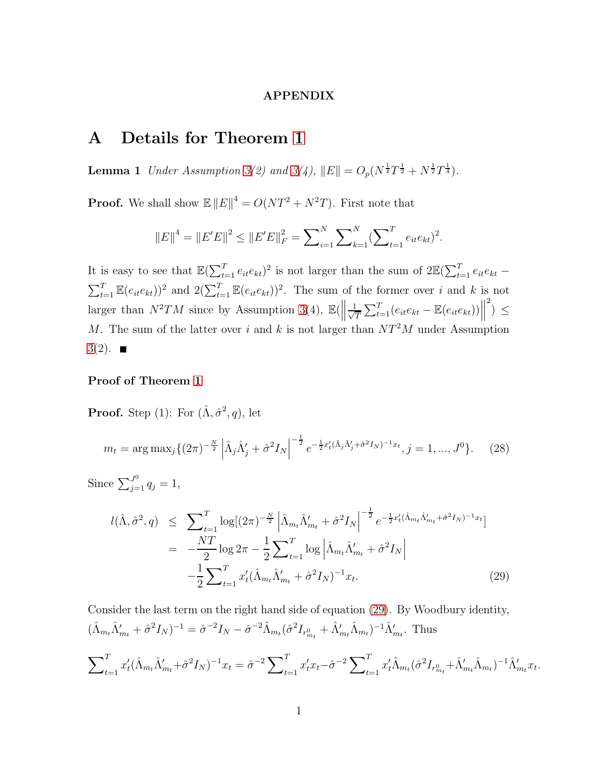#### APPENDIX

# <span id="page-47-1"></span>A Details for Theorem [1](#page-13-3)

**Lemma 1** Under Assumption [3\(](#page-12-1)2) and 3(4),  $||E|| = O_p(N^{\frac{1}{4}}T^{\frac{1}{2}} + N^{\frac{1}{2}}T^{\frac{1}{4}})$ .

**Proof.** We shall show  $\mathbb{E} ||E||^4 = O(NT^2 + N^2T)$ . First note that

$$
||E||^{4} = ||E'E||^{2} \le ||E'E||_{F}^{2} = \sum_{i=1}^{N} \sum_{k=1}^{N} (\sum_{t=1}^{T} e_{it}e_{kt})^{2}.
$$

It is easy to see that  $\mathbb{E}(\sum_{t=1}^T e_{it}e_{kt})^2$  is not larger than the sum of  $2\mathbb{E}(\sum_{t=1}^T e_{it}e_{kt} \sum_{t=1}^T \mathbb{E}(e_{it}e_{kt})^2$  and  $2(\sum_{t=1}^T \mathbb{E}(e_{it}e_{kt}))^2$ . The sum of the former over i and k is not larger than  $N^2TM$  since by Assumption [3\(](#page-12-1)4),  $\mathbb{E}(\left\|\frac{1}{\sqrt{2}}\right\|)$  $\frac{1}{T} \sum_{t=1}^{T} (e_{it}e_{kt} - \mathbb{E}(e_{it}e_{kt}))\Big\|$ <sup>2</sup> $) \leq$ M. The sum of the latter over i and k is not larger than  $NT^2M$  under Assumption  $3(2).$  $3(2).$   $\blacksquare$ 

### Proof of Theorem [1](#page-13-3)

**Proof.** Step (1): For  $(\hat{\Lambda}, \hat{\sigma}^2, q)$ , let

<span id="page-47-2"></span>
$$
m_t = \arg \max_j \{ (2\pi)^{-\frac{N}{2}} \left| \hat{\Lambda}_j \hat{\Lambda}_j' + \hat{\sigma}^2 I_N \right|^{-\frac{1}{2}} e^{-\frac{1}{2} x_t' (\hat{\Lambda}_j \hat{\Lambda}_j' + \hat{\sigma}^2 I_N)^{-1} x_t}, j = 1, ..., J^0 \}. \tag{28}
$$

Since  $\sum_{j=1}^{J^0} q_j = 1$ ,

<span id="page-47-0"></span>
$$
l(\hat{\Lambda}, \hat{\sigma}^2, q) \leq \sum_{t=1}^T \log[(2\pi)^{-\frac{N}{2}} \left| \hat{\Lambda}_{m_t} \hat{\Lambda}_{m_t}' + \hat{\sigma}^2 I_N \right|^{-\frac{1}{2}} e^{-\frac{1}{2}x_t'(\hat{\Lambda}_{m_t} \hat{\Lambda}_{m_t}' + \hat{\sigma}^2 I_N)^{-1}x_t}]
$$
  

$$
= -\frac{NT}{2} \log 2\pi - \frac{1}{2} \sum_{t=1}^T \log \left| \hat{\Lambda}_{m_t} \hat{\Lambda}_{m_t}' + \hat{\sigma}^2 I_N \right|
$$

$$
- \frac{1}{2} \sum_{t=1}^T x_t'(\hat{\Lambda}_{m_t} \hat{\Lambda}_{m_t}' + \hat{\sigma}^2 I_N)^{-1} x_t.
$$
(29)

Consider the last term on the right hand side of equation [\(29\)](#page-47-0). By Woodbury identity,  $(\hat{\Lambda}_{m_t}\hat{\Lambda}'_{m_t} + \hat{\sigma}^2 I_N)^{-1} = \hat{\sigma}^{-2}I_N - \hat{\sigma}^{-2}\hat{\Lambda}_{m_t}(\hat{\sigma}^2 I_{r^0_{m_t}} + \hat{\Lambda}'_{m_t}\hat{\Lambda}_{m_t})^{-1}\hat{\Lambda}'_{m_t}$ . Thus

$$
\sum_{t=1}^{T} x_t' (\hat{\Lambda}_{m_t} \hat{\Lambda}_{m_t}' + \hat{\sigma}^2 I_N)^{-1} x_t = \hat{\sigma}^{-2} \sum_{t=1}^{T} x_t' x_t - \hat{\sigma}^{-2} \sum_{t=1}^{T} x_t' \hat{\Lambda}_{m_t} (\hat{\sigma}^2 I_{r_{m_t}^0} + \hat{\Lambda}_{m_t}' \hat{\Lambda}_{m_t})^{-1} \hat{\Lambda}_{m_t}' x_t
$$

.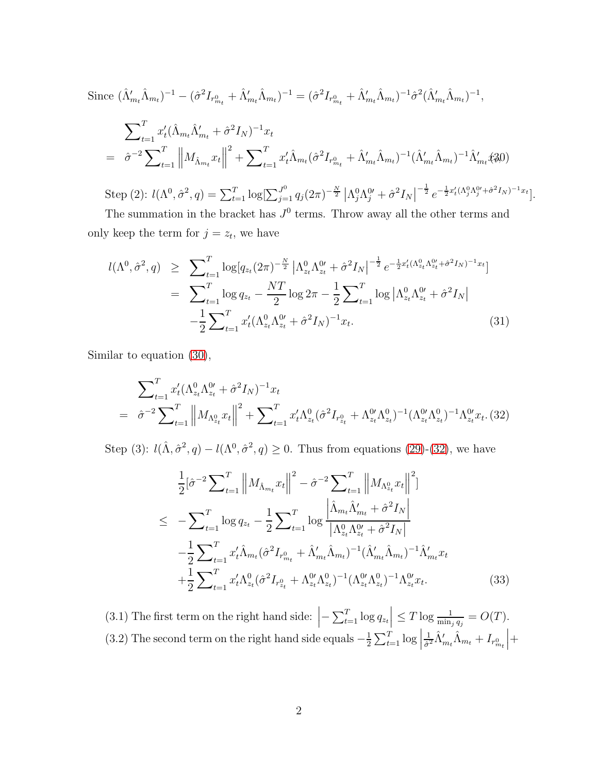<span id="page-48-0"></span>Since 
$$
(\hat{\Lambda}'_{m_t}\hat{\Lambda}_{m_t})^{-1} - (\hat{\sigma}^2 I_{r_{m_t}^0} + \hat{\Lambda}'_{m_t}\hat{\Lambda}_{m_t})^{-1} = (\hat{\sigma}^2 I_{r_{m_t}^0} + \hat{\Lambda}'_{m_t}\hat{\Lambda}_{m_t})^{-1}\hat{\sigma}^2 (\hat{\Lambda}'_{m_t}\hat{\Lambda}_{m_t})^{-1},
$$
  
\n
$$
\sum_{t=1}^T x_t' (\hat{\Lambda}_{m_t}\hat{\Lambda}'_{m_t} + \hat{\sigma}^2 I_N)^{-1} x_t
$$
\n
$$
= \hat{\sigma}^{-2} \sum_{t=1}^T \left\|M_{\hat{\Lambda}_{m_t}} x_t\right\|^2 + \sum_{t=1}^T x_t' \hat{\Lambda}_{m_t} (\hat{\sigma}^2 I_{r_{m_t}^0} + \hat{\Lambda}'_{m_t}\hat{\Lambda}_{m_t})^{-1} (\hat{\Lambda}'_{m_t}\hat{\Lambda}_{m_t})^{-1} \hat{\Lambda}'_{m_t} \hat{x}_0^2 0)
$$

Step (2):  $l(\Lambda^0, \hat{\sigma}^2, q) = \sum_{t=1}^T \log[\sum_{j=1}^{J^0} q_j (2\pi)^{-\frac{N}{2}} |\Lambda_j^0 \Lambda_j^0 + \hat{\sigma}^2 I_N|$  $-\frac{1}{2}e^{-\frac{1}{2}x'_t(\Lambda_j^0\Lambda_j^{0'}+\hat{\sigma}^2I_N)^{-1}x_t}].$ 

The summation in the bracket has  $J^0$  terms. Throw away all the other terms and only keep the term for  $j = z_t$ , we have

<span id="page-48-3"></span>
$$
l(\Lambda^{0}, \hat{\sigma}^{2}, q) \geq \sum_{t=1}^{T} \log[q_{z_{t}}(2\pi)^{-\frac{N}{2}} | \Lambda^{0}_{z_{t}} \Lambda^{0}_{z_{t}} + \hat{\sigma}^{2} I_{N} |^{-\frac{1}{2}} e^{-\frac{1}{2}x'_{t}(\Lambda^{0}_{z_{t}} \Lambda^{0}_{z_{t}} + \hat{\sigma}^{2} I_{N})^{-1} x_{t} }]
$$
  
\n
$$
= \sum_{t=1}^{T} \log q_{z_{t}} - \frac{NT}{2} \log 2\pi - \frac{1}{2} \sum_{t=1}^{T} \log |\Lambda^{0}_{z_{t}} \Lambda^{0}_{z_{t}} + \hat{\sigma}^{2} I_{N} |
$$
  
\n
$$
- \frac{1}{2} \sum_{t=1}^{T} x'_{t}(\Lambda^{0}_{z_{t}} \Lambda^{0}_{z_{t}} + \hat{\sigma}^{2} I_{N})^{-1} x_{t}.
$$
\n(31)

Similar to equation [\(30\)](#page-48-0),

<span id="page-48-1"></span>
$$
\sum_{t=1}^{T} x'_t (\Lambda_{z_t}^0 \Lambda_{z_t}^0 + \hat{\sigma}^2 I_N)^{-1} x_t
$$
\n
$$
= \hat{\sigma}^{-2} \sum_{t=1}^{T} \left\| M_{\Lambda_{z_t}^0} x_t \right\|^2 + \sum_{t=1}^{T} x'_t \Lambda_{z_t}^0 (\hat{\sigma}^2 I_{r_{z_t}^0} + \Lambda_{z_t}^0 \Lambda_{z_t}^0)^{-1} (\Lambda_{z_t}^0 \Lambda_{z_t}^0)^{-1} \Lambda_{z_t}^0 x_t. (32)
$$

Step (3):  $l(\hat{\Lambda}, \hat{\sigma}^2, q) - l(\Lambda^0, \hat{\sigma}^2, q) \geq 0$ . Thus from equations [\(29\)](#page-47-0)-[\(32\)](#page-48-1), we have

<span id="page-48-2"></span>
$$
\frac{1}{2} [\hat{\sigma}^{-2} \sum_{t=1}^{T} ||M_{\hat{\Lambda}_{m_t}} x_t||^2 - \hat{\sigma}^{-2} \sum_{t=1}^{T} ||M_{\Lambda_{2t}^0} x_t||^2]
$$
\n
$$
\leq -\sum_{t=1}^{T} \log q_{z_t} - \frac{1}{2} \sum_{t=1}^{T} \log \frac{|\hat{\Lambda}_{m_t} \hat{\Lambda}_{m_t}' + \hat{\sigma}^2 I_N|}{|\Lambda_{2t}^0 \Lambda_{2t}^0 + \hat{\sigma}^2 I_N|}
$$
\n
$$
-\frac{1}{2} \sum_{t=1}^{T} x_t' \hat{\Lambda}_{m_t} (\hat{\sigma}^2 I_{r_{m_t}^0} + \hat{\Lambda}_{m_t}' \hat{\Lambda}_{m_t})^{-1} (\hat{\Lambda}_{m_t}' \hat{\Lambda}_{m_t})^{-1} \hat{\Lambda}_{m_t}' x_t
$$
\n
$$
+\frac{1}{2} \sum_{t=1}^{T} x_t' \Lambda_{z_t}^0 (\hat{\sigma}^2 I_{r_{2t}^0} + \Lambda_{z_t}^0 \Lambda_{z_t}^0)^{-1} (\Lambda_{z_t}^0 \Lambda_{z_t}^0)^{-1} \Lambda_{z_t}^0 x_t. \tag{33}
$$

(3.1) The first term on the right hand side:  $\left|-\sum_{t=1}^{T} \log q_{z_t}\right| \leq T \log \frac{1}{\min_j q_j} = O(T)$ . (3.2) The second term on the right hand side equals  $-\frac{1}{2}$  $\frac{1}{2}\sum_{t=1}^{T} \log \Big|$ 1  $\frac{1}{\hat{\sigma}^2}\hat{\Lambda}'_{m_t}\hat{\Lambda}_{m_t}+I_{r^0_{m_t}}$  $+$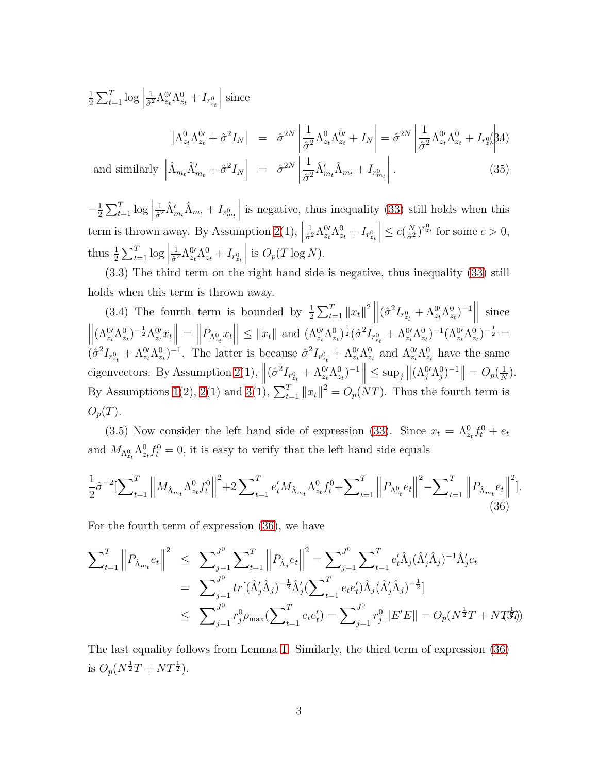1  $\frac{1}{2} \sum_{t=1}^{T} \log \Big|$ 1  $\frac{1}{\hat{\sigma}^2}\Lambda_{z_t}^{0\prime}\Lambda_{z_t}^0+I_{r_{z_t}^0}$  $\begin{array}{c} \begin{array}{c} \begin{array}{c} \end{array} \\ \begin{array}{c} \end{array} \end{array} \end{array}$ since

 $\bigg\}$ 

<span id="page-49-2"></span>
$$
\left|\Lambda_{z_t}^0 \Lambda_{z_t}^{0\prime} + \hat{\sigma}^2 I_N\right| = \left|\hat{\sigma}^{2N}\left|\frac{1}{\hat{\sigma}^2} \Lambda_{z_t}^0 \Lambda_{z_t}^{0\prime} + I_N\right| = \hat{\sigma}^{2N}\left|\frac{1}{\hat{\sigma}^2} \Lambda_{z_t}^{0\prime} \Lambda_{z_t}^0 + I_{r_{z_t}^0} \right|\n\{A\}
$$

and similarly  $\Big|$  $\left| \hat{\Lambda}_{m_t}\hat{\Lambda}'_{m_t} + \hat{\sigma}^2 I_N \right|$  $= \left| \hat{\sigma}^{2N} \right|$ 1  $\frac{1}{\hat{\sigma}^2}\hat{\Lambda}'_{m_t}\hat{\Lambda}_{m_t}+I_{r^0_{m_t}}$  $\begin{array}{c} \hline \end{array}$  $(35)$ 

 $-\frac{1}{2}$  $\frac{1}{2}\sum_{t=1}^{T} \log \Big|$ 1  $\frac{1}{\hat{\sigma}^2}\hat{\Lambda}'_{m_t}\hat{\Lambda}_{m_t}+I_{r^0_{m_t}}$ is negative, thus inequality  $(33)$  still holds when this term is thrown away. By Assumption [2\(](#page-12-0)1), 1  $\frac{1}{\hat{\sigma}^2}\Lambda_{z_t}^{0\prime}\Lambda_{z_t}^0+I_{r_{z_t}^0}$  $\leq c(\frac{N}{\hat{\sigma}^2})$  $\frac{N}{\hat{\sigma}^2}$ )<sup>r<sub>2</sup>t</sub> for some  $c > 0$ ,</sup> thus  $\frac{1}{2} \sum_{t=1}^{T} \log \left| \frac{1}{2} \sum_{t=1}^{T} \log \left| \frac{1}{2} \sum_{t=1}^{T} \log \left| \frac{1}{2} \sum_{t=1}^{T} \log \left| \frac{1}{2} \sum_{t=1}^{T} \log \left| \frac{1}{2} \right| \right| \right| \right)$ 1  $\frac{1}{\hat{\sigma}^2} \Lambda_{z_t}^{0 \prime} \Lambda_{z_t}^0 + I_{r_{z_t}^0}$  is  $O_p(T \log N)$ .

(3.3) The third term on the right hand side is negative, thus inequality [\(33\)](#page-48-2) still holds when this term is thrown away.

(3.4) The fourth term is bounded by  $\frac{1}{2} \sum_{t=1}^{T} ||x_t||^2 ||(\hat{\sigma}^2 I_{r_{z_t}^0} + \Lambda_{z_t}^0 \Lambda_{z_t}^0)^{-1}||$ since  $\left\| (\Lambda^{0}_{z_t} \Lambda^0_{z_t})^{-\frac{1}{2}} \Lambda^{0}_{z_t} x_t \right\| = \left\|$  $P_{\Lambda_{z_t}^0} x_t \|\leq \|x_t\| \text{ and } (\Lambda_{z_t}^{0'} \Lambda_{z_t}^0)^{\frac{1}{2}} (\hat{\sigma}^2 I_{r_{z_t}^0} + \Lambda_{z_t}^{0'} \Lambda_{z_t}^0)^{-1} (\Lambda_{z_t}^{0'} \Lambda_{z_t}^0)^{-\frac{1}{2}} =$  $(\hat{\sigma}^2 I_{r_{2t}^0} + \Lambda_{z_t}^0 \Lambda_{z_t}^0)^{-1}$ . The latter is because  $\hat{\sigma}^2 I_{r_{2t}^0} + \Lambda_{z_t}^0 \Lambda_{z_t}^0$  and  $\Lambda_{z_t}^0 \Lambda_{z_t}^0$  have the same eigenvectors. By Assumption [2\(](#page-12-0)1),  $\left\| (\hat{\sigma}^2 I_{r_{z_t}^0} + \Lambda_{z_t}^0 \Lambda_{z_t}^0)^{-1} \right\| \le \sup_j \left\| (\Lambda_j^0 \Lambda_j^0)^{-1} \right\| = O_p(\frac{1}{N})$  $\frac{1}{N}$ . By Assumptions [1\(](#page-11-1)2), [2\(](#page-12-0)1) and [3\(](#page-12-1)1),  $\sum_{t=1}^{T} ||x_t||^2 = O_p(NT)$ . Thus the fourth term is  $O_p(T)$ .

(3.5) Now consider the left hand side of expression [\(33\)](#page-48-2). Since  $x_t = \Lambda_{z_t}^0 f_t^0 + e_t$ and  $M_{\Lambda_{z_t}^0} \Lambda_{z_t}^0 f_t^0 = 0$ , it is easy to verify that the left hand side equals

<span id="page-49-0"></span>
$$
\frac{1}{2}\hat{\sigma}^{-2}\left[\sum_{t=1}^{T}\left\|M_{\hat{\Lambda}_{m_t}}\Lambda_{z_t}^0f_t^0\right\|^2+2\sum_{t=1}^{T}e'_tM_{\hat{\Lambda}_{m_t}}\Lambda_{z_t}^0f_t^0+\sum_{t=1}^{T}\left\|P_{\Lambda_{z_t}^0}e_t\right\|^2-\sum_{t=1}^{T}\left\|P_{\hat{\Lambda}_{m_t}}e_t\right\|^2\right].
$$
\n(36)

For the fourth term of expression [\(36\)](#page-49-0), we have

<span id="page-49-1"></span>
$$
\sum_{t=1}^{T} ||P_{\hat{\Lambda}_{m_t}} e_t||^2 \leq \sum_{j=1}^{J^0} \sum_{t=1}^{T} ||P_{\hat{\Lambda}_j} e_t||^2 = \sum_{j=1}^{J^0} \sum_{t=1}^{T} e_t' \hat{\Lambda}_j (\hat{\Lambda}_j' \hat{\Lambda}_j)^{-1} \hat{\Lambda}_j' e_t
$$
  
\n
$$
= \sum_{j=1}^{J^0} tr[(\hat{\Lambda}_j' \hat{\Lambda}_j)^{-\frac{1}{2}} \hat{\Lambda}_j' (\sum_{t=1}^{T} e_t e_t') \hat{\Lambda}_j (\hat{\Lambda}_j' \hat{\Lambda}_j)^{-\frac{1}{2}}]
$$
  
\n
$$
\leq \sum_{j=1}^{J^0} r_j^0 \rho_{\text{max}} (\sum_{t=1}^{T} e_t e_t') = \sum_{j=1}^{J^0} r_j^0 ||E'E|| = O_p(N^{\frac{1}{2}}T + N T^{\frac{1}{2}})
$$

The last equality follows from Lemma [1.](#page-47-1) Similarly, the third term of expression [\(36\)](#page-49-0) is  $O_p(N^{\frac{1}{2}}T + NT^{\frac{1}{2}})$ .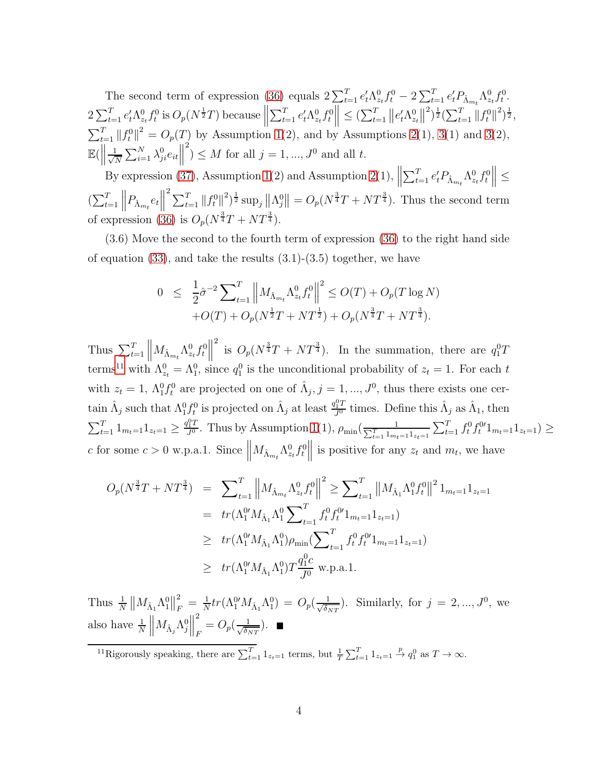The second term of expression [\(36\)](#page-49-0) equals  $2\sum_{t=1}^{T} e_t^{\prime} \Lambda_{z_t}^0 f_t^0 - 2\sum_{t=1}^{T} e_t^{\prime} P_{\hat{\Lambda}_{m_t}} \Lambda_{z_t}^0 f_t^0$ .  $2\sum_{t=1}^{T} e_t' \Lambda_{z_t}^0 f_t^0$  is  $O_p(N^{\frac{1}{2}}T)$  because  $\Big\|$  $\sum_{t=1}^{T} e'_t \Lambda_{z_t}^0 f_t^0 \leq (\sum_{t=1}^{T} || e'_t \Lambda_{z_t}^0 ||)$  $\binom{2}{2} \frac{1}{2} \left( \sum_{t=1}^T ||f_t^0||^2 \right) \frac{1}{2},$  $\sum_{t=1}^{T} ||f_t^0||^2 = O_p(T)$  by Assumption [1\(](#page-11-1)2), and by Assumptions [2\(](#page-12-0)1), [3\(](#page-12-1)1) and 3(2),  $\mathbb{E}(\left\Vert \frac{1}{\sqrt{l}}\right\Vert )$  $\frac{1}{N} \sum_{i=1}^N \lambda_{ji}^0 e_{it}$  $\binom{2}{1} \leq M$  for all  $j = 1, ..., J^0$  and all t.

By expression [\(37\)](#page-49-1), Assumption [1\(](#page-11-1)2) and Assumption [2\(](#page-12-0)1),  $\parallel$  $\sum_{t=1}^T e'_t P_{\hat{\Lambda}_{m_t}} \Lambda_{z_t}^0 f_t^0 \Big\| \leq$  $\left( \sum_{t=1}^T \left\| P_{\hat{\Lambda}_{m_t}} e_t \right\| \right)$  $\sum_{t=1}^{2} ||f_t^0||^2 \big) \frac{1}{2} \sup_j \left\| \Lambda_j^0 \right\| = O_p(N^{\frac{3}{4}}T + NT^{\frac{3}{4}})$ . Thus the second term of expression [\(36\)](#page-49-0) is  $O_p(N^{\frac{3}{4}}T + NT^{\frac{3}{4}})$ .

(3.6) Move the second to the fourth term of expression [\(36\)](#page-49-0) to the right hand side of equation  $(33)$ , and take the results  $(3.1)-(3.5)$  together, we have

$$
0 \leq \frac{1}{2}\hat{\sigma}^{-2} \sum_{t=1}^{T} \left\| M_{\hat{\Lambda}_{m_t}} \Lambda_{z_t}^0 f_t^0 \right\|^2 \leq O(T) + O_p(T \log N)
$$
  
+O(T) + O\_p(N^{\frac{1}{2}}T + NT^{\frac{1}{2}}) + O\_p(N^{\frac{3}{4}}T + NT^{\frac{3}{4}}).

Thus  $\sum_{t=1}^{T} ||M_{\hat{\Lambda}_{m_t}} \Lambda_{z_t}^0 f_t^0||$ <sup>2</sup> is  $O_p(N^{\frac{3}{4}}T + NT^{\frac{3}{4}})$ . In the summation, there are  $q_1^0T$ terms<sup>[11](#page-50-0)</sup> with  $\Lambda_{z_t}^0 = \Lambda_1^0$ , since  $q_1^0$  is the unconditional probability of  $z_t = 1$ . For each t with  $z_t = 1$ ,  $\Lambda_1^0 f_t^0$  are projected on one of  $\hat{\Lambda}_j$ ,  $j = 1, ..., J^0$ , thus there exists one certain  $\hat{\Lambda}_j$  such that  $\Lambda_1^0 f_t^0$  is projected on  $\hat{\Lambda}_j$  at least  $\frac{q_1^0 T}{J^0}$  times. Define this  $\hat{\Lambda}_j$  as  $\hat{\Lambda}_1$ , then  $\sum_{t=1}^{T} 1_{m_t=1} 1_{z_t=1} \geq \frac{q_1^0 T}{J^0}$  $\frac{d_1^0 T}{J^0}$ . Thus by Assumption [1\(](#page-11-1)1),  $\rho_{\min}(\frac{1}{\sum_{t=1}^T 1_{m_t=1} 1_{z_t=1}} \sum_{t=1}^T f_t^0 f_t^0 1_{m_t=1} 1_{z_t=1}) \ge$ c for some  $c > 0$  w.p.a.1. Since  $||M_{\hat{\Lambda}_{m_t}} \Lambda_{z_t}^0 f_t^0||$  is positive for any  $z_t$  and  $m_t$ , we have

$$
O_p(N^{\frac{3}{4}}T + NT^{\frac{3}{4}}) = \sum_{t=1}^{T} \left\| M_{\hat{\Lambda}_{m_t}} \Lambda_{z_t}^0 f_t^0 \right\|^2 \ge \sum_{t=1}^{T} \left\| M_{\hat{\Lambda}_1} \Lambda_1^0 f_t^0 \right\|^2 1_{m_t=1} 1_{z_t=1}
$$
  

$$
= tr(\Lambda_1^{0t} M_{\hat{\Lambda}_1} \Lambda_1^0 \sum_{t=1}^{T} f_t^0 f_t^{0t} 1_{m_t=1} 1_{z_t=1})
$$
  

$$
\ge tr(\Lambda_1^{0t} M_{\hat{\Lambda}_1} \Lambda_1^0) \rho_{\min} (\sum_{t=1}^{T} f_t^0 f_t^{0t} 1_{m_t=1} 1_{z_t=1})
$$
  

$$
\ge tr(\Lambda_1^{0t} M_{\hat{\Lambda}_1} \Lambda_1^0) T \frac{q_1^0 c}{J^0} \text{ w.p.a.1}.
$$

Thus  $\frac{1}{N}$   $\left\| M_{\hat{\Lambda}_1} \Lambda_1^0 \right\|$ 2  $\frac{2}{F} = \frac{1}{N}$  $\frac{1}{N} tr(\Lambda^0_1 M_{\hat{\Lambda}_1} \Lambda^0_1) \, = \, O_p(\frac{1}{\sqrt{\delta_1}})$  $\frac{1}{\delta_{NT}}$ ). Similarly, for  $j = 2, ..., J^0$ , we also have  $\frac{1}{N}$   $\left\| M_{\hat{\Lambda}_j} \Lambda_j^0 \right\|$ 2  $\frac{1}{F} = O_p(\frac{1}{\sqrt{\delta_I}})$  $\frac{1}{\delta_{NT}}$ ).

<span id="page-50-0"></span><sup>11</sup>Rigorously speaking, there are  $\sum_{t=1}^{T} 1_{z_t=1}$  terms, but  $\frac{1}{T} \sum_{t=1}^{T} 1_{z_t=1} \stackrel{p}{\to} q_1^0$  as  $T \to \infty$ .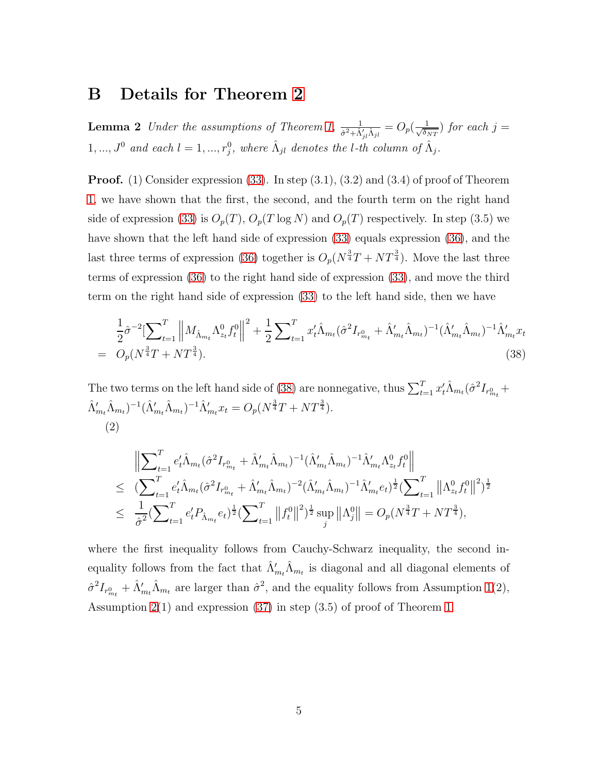## <span id="page-51-1"></span>B Details for Theorem [2](#page-14-0)

**Lemma 2** Under the assumptions of Theorem [1,](#page-13-3)  $\frac{1}{\hat{\sigma}^2 + \hat{\Lambda}'_{jl}\hat{\Lambda}_{jl}} = O_p(\frac{1}{\sqrt{\delta_l}})$  $\frac{1}{\delta_{NT}}$ ) for each j = 1, ...,  $J^0$  and each  $l = 1, ..., r_j^0$ , where  $\hat{\Lambda}_{jl}$  denotes the *l*-th column of  $\hat{\Lambda}_j$ .

**Proof.** (1) Consider expression [\(33\)](#page-48-2). In step  $(3.1)$ ,  $(3.2)$  and  $(3.4)$  of proof of Theorem [1,](#page-13-3) we have shown that the first, the second, and the fourth term on the right hand side of expression [\(33\)](#page-48-2) is  $O_p(T)$ ,  $O_p(T \log N)$  and  $O_p(T)$  respectively. In step (3.5) we have shown that the left hand side of expression [\(33\)](#page-48-2) equals expression [\(36\)](#page-49-0), and the last three terms of expression [\(36\)](#page-49-0) together is  $O_p(N^{\frac{3}{4}}T + NT^{\frac{3}{4}})$ . Move the last three terms of expression [\(36\)](#page-49-0) to the right hand side of expression [\(33\)](#page-48-2), and move the third term on the right hand side of expression [\(33\)](#page-48-2) to the left hand side, then we have

<span id="page-51-0"></span>
$$
\frac{1}{2}\hat{\sigma}^{-2}\left[\sum_{t=1}^{T}\left\|M_{\hat{\Lambda}_{m_t}}\Lambda_{z_t}^0 f_t^0\right\|^2 + \frac{1}{2}\sum_{t=1}^{T}x_t'\hat{\Lambda}_{m_t}(\hat{\sigma}^2 I_{r_{m_t}^0} + \hat{\Lambda}_{m_t}'\hat{\Lambda}_{m_t})^{-1}(\hat{\Lambda}_{m_t}'\hat{\Lambda}_{m_t})^{-1}\hat{\Lambda}_{m_t}'x_t\right]
$$
\n
$$
= O_p(N^{\frac{3}{4}}T + NT^{\frac{3}{4}}). \tag{38}
$$

The two terms on the left hand side of [\(38\)](#page-51-0) are nonnegative, thus  $\sum_{t=1}^{T} x_t' \hat{\Lambda}_{m_t} (\hat{\sigma}^2 I_{r^0_{m_t}} +$  $\hat{\Lambda}'_{m_t}\hat{\Lambda}_{m_t}$ )<sup>-1</sup> $(\hat{\Lambda}'_{m_t}\hat{\Lambda}_{m_t})$ <sup>-1</sup> $\hat{\Lambda}'_{m_t}x_t = O_p(N^{\frac{3}{4}}T + NT^{\frac{3}{4}})$ . (2)

$$
\|\sum_{t=1}^{T} e'_t \hat{\Lambda}_{m_t}(\hat{\sigma}^2 I_{r_{m_t}^0} + \hat{\Lambda}'_{m_t} \hat{\Lambda}_{m_t})^{-1} (\hat{\Lambda}'_{m_t} \hat{\Lambda}_{m_t})^{-1} \hat{\Lambda}'_{m_t} \Lambda_{z_t}^0 f_t^0 \| \n\leq (\sum_{t=1}^{T} e'_t \hat{\Lambda}_{m_t}(\hat{\sigma}^2 I_{r_{m_t}^0} + \hat{\Lambda}'_{m_t} \hat{\Lambda}_{m_t})^{-2} (\hat{\Lambda}'_{m_t} \hat{\Lambda}_{m_t})^{-1} \hat{\Lambda}'_{m_t} e_t)^{\frac{1}{2}} (\sum_{t=1}^{T} ||\Lambda_{z_t}^0 f_t^0||^2)^{\frac{1}{2}} \n\leq \frac{1}{\hat{\sigma}^2} (\sum_{t=1}^{T} e'_t P_{\hat{\Lambda}_{m_t}} e_t)^{\frac{1}{2}} (\sum_{t=1}^{T} ||f_t^0||^2)^{\frac{1}{2}} \sup_j ||\Lambda_j^0|| = O_p(N^{\frac{3}{4}}T + NT^{\frac{3}{4}}),
$$

where the first inequality follows from Cauchy-Schwarz inequality, the second inequality follows from the fact that  $\hat{\Lambda}'_{m_t}\hat{\Lambda}_{m_t}$  is diagonal and all diagonal elements of  $\hat{\sigma}^2 I_{r^0_{m_t}} + \hat{\Lambda}'_{m_t} \hat{\Lambda}_{m_t}$  are larger than  $\hat{\sigma}^2$ , and the equality follows from Assumption [1\(](#page-11-1)2), Assumption [2\(](#page-12-0)1) and expression [\(37\)](#page-49-1) in step (3.5) of proof of Theorem [1.](#page-13-3)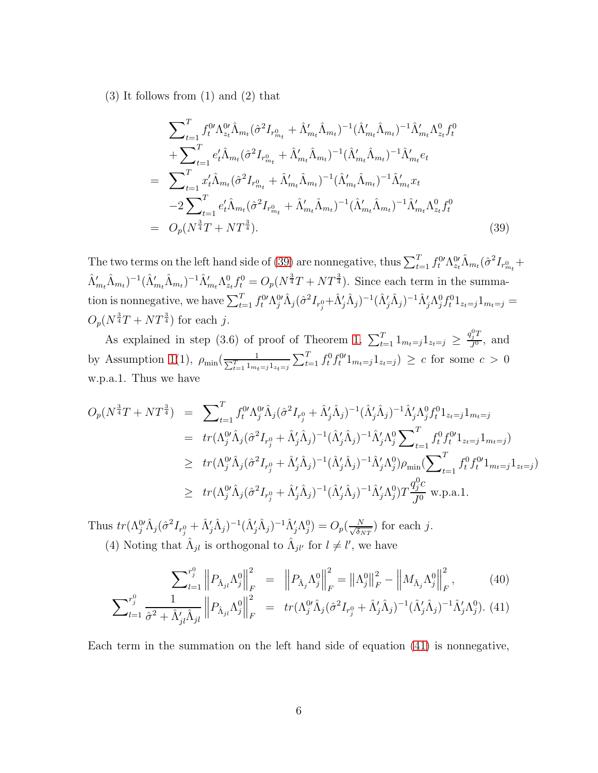(3) It follows from (1) and (2) that

<span id="page-52-0"></span>
$$
\sum_{t=1}^{T} f_{t}^{0} \Lambda_{z_{t}}^{0} \hat{\Lambda}_{m_{t}} (\hat{\sigma}^{2} I_{r_{m_{t}}^{0}} + \hat{\Lambda}_{m_{t}}' \hat{\Lambda}_{m_{t}})^{-1} (\hat{\Lambda}_{m_{t}}' \hat{\Lambda}_{m_{t}})^{-1} \hat{\Lambda}_{m_{t}}' \Lambda_{z_{t}}^{0} f_{t}^{0} \n+ \sum_{t=1}^{T} e_{t}^{\prime} \hat{\Lambda}_{m_{t}} (\hat{\sigma}^{2} I_{r_{m_{t}}^{0}} + \hat{\Lambda}_{m_{t}}^{\prime} \hat{\Lambda}_{m_{t}})^{-1} (\hat{\Lambda}_{m_{t}}^{\prime} \hat{\Lambda}_{m_{t}})^{-1} \hat{\Lambda}_{m_{t}}^{\prime} e_{t} \n= \sum_{t=1}^{T} x_{t}^{\prime} \hat{\Lambda}_{m_{t}} (\hat{\sigma}^{2} I_{r_{m_{t}}^{0}} + \hat{\Lambda}_{m_{t}}^{\prime} \hat{\Lambda}_{m_{t}})^{-1} (\hat{\Lambda}_{m_{t}}^{\prime} \hat{\Lambda}_{m_{t}})^{-1} \hat{\Lambda}_{m_{t}}^{\prime} x_{t} \n- 2 \sum_{t=1}^{T} e_{t}^{\prime} \hat{\Lambda}_{m_{t}} (\hat{\sigma}^{2} I_{r_{m_{t}}^{0}} + \hat{\Lambda}_{m_{t}}^{\prime} \hat{\Lambda}_{m_{t}})^{-1} (\hat{\Lambda}_{m_{t}}^{\prime} \hat{\Lambda}_{m_{t}})^{-1} \hat{\Lambda}_{m_{t}}^{\prime} \Lambda_{z_{t}}^{0} f_{t}^{0} \n= O_{p}(N^{\frac{3}{4}}T + NT^{\frac{3}{4}}).
$$
\n(39)

The two terms on the left hand side of [\(39\)](#page-52-0) are nonnegative, thus  $\sum_{t=1}^{T} f_t^{0'} \Lambda_{z_t}^{0'} \hat{\Lambda}_{m_t} (\hat{\sigma}^2 I_{r^0_{m_t}} +$  $(\hat{\Lambda}'_{m_t}\hat{\Lambda}_{m_t})^{-1}(\hat{\Lambda}'_{m_t}\hat{\Lambda}_{m_t})^{-1}\hat{\Lambda}'_{m_t}\Lambda^0_{z_t}f^0_t = O_p(N^{\frac{3}{4}}T + NT^{\frac{3}{4}})$ . Since each term in the summation is nonnegative, we have  $\sum_{t=1}^T f_t^0 \Lambda_j^0 \hat{\Lambda}_j (\hat{\sigma}^2 I_{r_j^0} + \hat{\Lambda}_j' \hat{\Lambda}_j)^{-1} (\hat{\Lambda}_j' \hat{\Lambda}_j)^{-1} \hat{\Lambda}_j' \Lambda_j^0 f_t^0 1_{z_t=j} 1_{m_t=j} =$  $O_p(N^{\frac{3}{4}}T + NT^{\frac{3}{4}})$  for each j.

As explained in step (3.6) of proof of Theorem [1,](#page-13-3)  $\sum_{t=1}^{T} 1_{m_t=j} 1_{z_t=j} \geq \frac{q_j^0 T}{J^0}$ , and by Assumption [1\(](#page-11-1)1),  $\rho_{\min}(\frac{1}{\sum_{t=1}^T 1_{m_t=j} 1_{z_t=j}} \sum_{t=1}^T f_t^0 f_t^0 1_{m_t=j} 1_{z_t=j}) \ge c$  for some  $c > 0$ w.p.a.1. Thus we have

$$
O_p(N^{\frac{3}{4}}T + NT^{\frac{3}{4}}) = \sum_{t=1}^{T} f_t^0 \Lambda_j^0 \hat{\Lambda}_j (\hat{\sigma}^2 I_{r_j^0} + \hat{\Lambda}_j' \hat{\Lambda}_j)^{-1} (\hat{\Lambda}_j' \hat{\Lambda}_j)^{-1} \hat{\Lambda}_j' \Lambda_j^0 f_t^0 1_{z_t=j} 1_{m_t=j}
$$
  
\n
$$
= tr(\Lambda_j^0 \hat{\Lambda}_j (\hat{\sigma}^2 I_{r_j^0} + \hat{\Lambda}_j' \hat{\Lambda}_j)^{-1} (\hat{\Lambda}_j' \hat{\Lambda}_j)^{-1} \hat{\Lambda}_j' \Lambda_j^0 \sum_{t=1}^{T} f_t^0 f_t^0 1_{z_t=j} 1_{m_t=j})
$$
  
\n
$$
\geq tr(\Lambda_j^0 \hat{\Lambda}_j (\hat{\sigma}^2 I_{r_j^0} + \hat{\Lambda}_j' \hat{\Lambda}_j)^{-1} (\hat{\Lambda}_j' \hat{\Lambda}_j)^{-1} \hat{\Lambda}_j' \Lambda_j^0) \rho_{\min} (\sum_{t=1}^{T} f_t^0 f_t^0 1_{m_t=j} 1_{z_t=j})
$$
  
\n
$$
\geq tr(\Lambda_j^0 \hat{\Lambda}_j (\hat{\sigma}^2 I_{r_j^0} + \hat{\Lambda}_j' \hat{\Lambda}_j)^{-1} (\hat{\Lambda}_j' \hat{\Lambda}_j)^{-1} \hat{\Lambda}_j' \Lambda_j^0) T \frac{q_j^0 c}{J^0} \text{ w.p.a.1.}
$$

Thus  $tr(\Lambda_j^0\hat{\Lambda}_j(\hat{\sigma}^2I_{r_j^0} + \hat{\Lambda}'_j\hat{\Lambda}_j)^{-1}(\hat{\Lambda}'_j\hat{\Lambda}_j)^{-1}\hat{\Lambda}'_j\Lambda_j^0) = O_p(\frac{N}{\sqrt{\delta_j}})$  $\frac{N}{\delta_{NT}}$ ) for each j. (4) Noting that  $\hat{\Lambda}_{jl}$  is orthogonal to  $\hat{\Lambda}_{jl'}$  for  $l \neq l'$ , we have

<span id="page-52-1"></span>
$$
\sum_{l=1}^{r_j^0} \left\| P_{\hat{\Lambda}_{jl}} \Lambda_j^0 \right\|_F^2 = \left\| P_{\hat{\Lambda}_j} \Lambda_j^0 \right\|_F^2 = \left\| \Lambda_j^0 \right\|_F^2 - \left\| M_{\hat{\Lambda}_j} \Lambda_j^0 \right\|_F^2, \tag{40}
$$
\n
$$
\sum_{l=1}^{r_j^0} \left\| P_{\hat{\Lambda}_{jl}} \Lambda_j^0 \right\|_F^2 = \left\| \Lambda_j^0 \right\|_F^2 - \left\| M_{\hat{\Lambda}_j} \Lambda_j^0 \right\|_F^2,
$$

$$
\sum_{l=1}^{r_j^0} \frac{1}{\hat{\sigma}^2 + \hat{\Lambda}'_{jl}\hat{\Lambda}_{jl}} \left\| P_{\hat{\Lambda}_{jl}} \Lambda_j^0 \right\|_F^2 = \left[ tr(\Lambda_j^0 \hat{\Lambda}_j (\hat{\sigma}^2 I_{r_j^0} + \hat{\Lambda}'_j \hat{\Lambda}_j)^{-1} (\hat{\Lambda}'_j \hat{\Lambda}_j)^{-1} \hat{\Lambda}'_j \Lambda_j^0). (41)
$$

Each term in the summation on the left hand side of equation [\(41\)](#page-52-1) is nonnegative,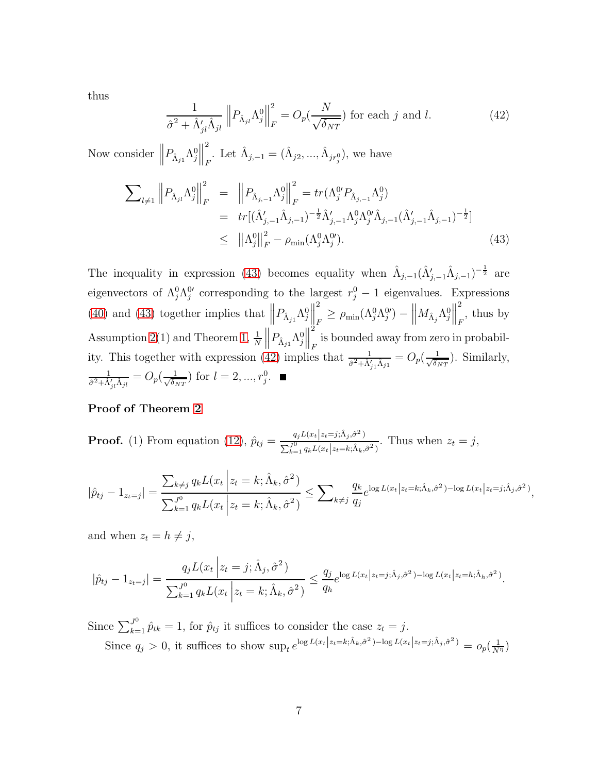thus

<span id="page-53-1"></span>
$$
\frac{1}{\hat{\sigma}^2 + \hat{\Lambda}'_{jl}\hat{\Lambda}_{jl}} \left\| P_{\hat{\Lambda}_{jl}} \Lambda_j^0 \right\|_F^2 = O_p(\frac{N}{\sqrt{\delta_{NT}}}) \text{ for each } j \text{ and } l. \tag{42}
$$

Now consider  $||P_{\hat{\Lambda}_{j1}} \Lambda_j^0||$ 2 . Let  $\hat{\Lambda}_{j,-1} = (\hat{\Lambda}_{j2}, ..., \hat{\Lambda}_{jr_{j}^{0}})$ , we have

<span id="page-53-0"></span>
$$
\sum_{l \neq 1} \left\| P_{\hat{\Lambda}_{jl}} \Lambda_j^0 \right\|_F^2 = \left\| P_{\hat{\Lambda}_{j,-1}} \Lambda_j^0 \right\|_F^2 = tr(\Lambda_j^0 P_{\hat{\Lambda}_{j,-1}} \Lambda_j^0)
$$
  
\n
$$
= tr[(\hat{\Lambda}_{j,-1}' \hat{\Lambda}_{j,-1})^{-\frac{1}{2}} \hat{\Lambda}_{j,-1}' \Lambda_j^0 \Lambda_j^0 \hat{\Lambda}_{j,-1} (\hat{\Lambda}_{j,-1}' \hat{\Lambda}_{j,-1})^{-\frac{1}{2}}]
$$
  
\n
$$
\leq \|\Lambda_j^0\|_F^2 - \rho_{\min}(\Lambda_j^0 \Lambda_j^0').
$$
\n(43)

The inequality in expression [\(43\)](#page-53-0) becomes equality when  $\hat{\Lambda}_{j,-1}(\hat{\Lambda}'_{j,-1}\hat{\Lambda}_{j,-1})^{-\frac{1}{2}}$  are eigenvectors of  $\Lambda_j^0 \Lambda_j^0$  corresponding to the largest  $r_j^0 - 1$  eigenvalues. Expressions [\(40\)](#page-52-1) and [\(43\)](#page-53-0) together implies that  $\left\|P_{\hat{\Lambda}_{j1}}\Lambda^0_j\right\|$ 2  $\frac{d}{dr} \geq \rho_{\min}(\Lambda_j^0 \Lambda_j^{0\prime}) - \left\| M_{\hat{\Lambda}_j} \Lambda_j^0 \right\|_2$ 2  $_{F}$ , thus by Assumption [2\(](#page-12-0)1) and Theorem [1,](#page-13-3)  $\frac{1}{N}$   $\left\| P_{\hat{\Lambda}_{j1}} \Lambda_j^0 \right\|$ 2 is bounded away from zero in probabil-  $\mathcal F$ ity. This together with expression [\(42\)](#page-53-1) implies that  $\frac{1}{\hat{\sigma}^2 + \hat{\Lambda}'_{j1}\hat{\Lambda}_{j1}} = O_p(\frac{1}{\sqrt{\delta_j}})$  $\frac{1}{\delta_{NT}}$ ). Similarly, 1  $\frac{1}{\hat{\sigma}^2 + \hat{\Lambda}'_{jl} \hat{\Lambda}_{jl}} = O_p(\frac{1}{\sqrt{\delta_l}})$  $\frac{1}{\delta_{NT}}$ ) for  $l = 2, ..., r_j^0$ .

### Proof of Theorem [2](#page-14-0)

**Proof.** (1) From equation [\(12\)](#page-9-1),  $\hat{p}_{tj} = \frac{q_j L(x_t|z_t=j; \hat{\Lambda}_j, \hat{\sigma}^2)}{\sum_{j=1}^{j} L(x_t|z_t=j; \hat{\Lambda}_j, \hat{\sigma}^2)}$  $\frac{q_j D(x_t | z_t - j, x_j, \sigma)}{\sum_{k=1}^j q_k L(x_t | z_t = k; \hat{\Lambda}_k, \hat{\sigma}^2)}$ . Thus when  $z_t = j$ ,

$$
|\hat{p}_{tj} - 1_{z_t=j}| = \frac{\sum_{k \neq j} q_k L(x_t \mid z_t = k; \hat{\Lambda}_k, \hat{\sigma}^2)}{\sum_{k=1}^{J^0} q_k L(x_t \mid z_t = k; \hat{\Lambda}_k, \hat{\sigma}^2)} \le \sum_{k \neq j} \frac{q_k}{q_j} e^{\log L(x_t \mid z_t = k; \hat{\Lambda}_k, \hat{\sigma}^2) - \log L(x_t \mid z_t = j; \hat{\Lambda}_j, \hat{\sigma}^2)},
$$

and when  $z_t = h \neq j$ ,

$$
|\hat{p}_{tj} - 1_{z_t=j}| = \frac{q_j L(x_t \left| z_t = j; \hat{\Lambda}_j, \hat{\sigma}^2 \right)}{\sum_{k=1}^{J^0} q_k L(x_t \left| z_t = k; \hat{\Lambda}_k, \hat{\sigma}^2 \right)} \le \frac{q_j}{q_h} e^{\log L(x_t \left| z_t = j; \hat{\Lambda}_j, \hat{\sigma}^2) - \log L(x_t \left| z_t = h; \hat{\Lambda}_h, \hat{\sigma}^2 \right)}.
$$

Since  $\sum_{k=1}^{J^0} \hat{p}_{tk} = 1$ , for  $\hat{p}_{tj}$  it suffices to consider the case  $z_t = j$ . Since  $q_j > 0$ , it suffices to show  $\sup_t e^{\log L(x_t | z_t = k; \hat{\Lambda}_k, \hat{\sigma}^2) - \log L(x_t | z_t = j; \hat{\Lambda}_j, \hat{\sigma}^2)} = o_p(\frac{1}{N^{\eta}})$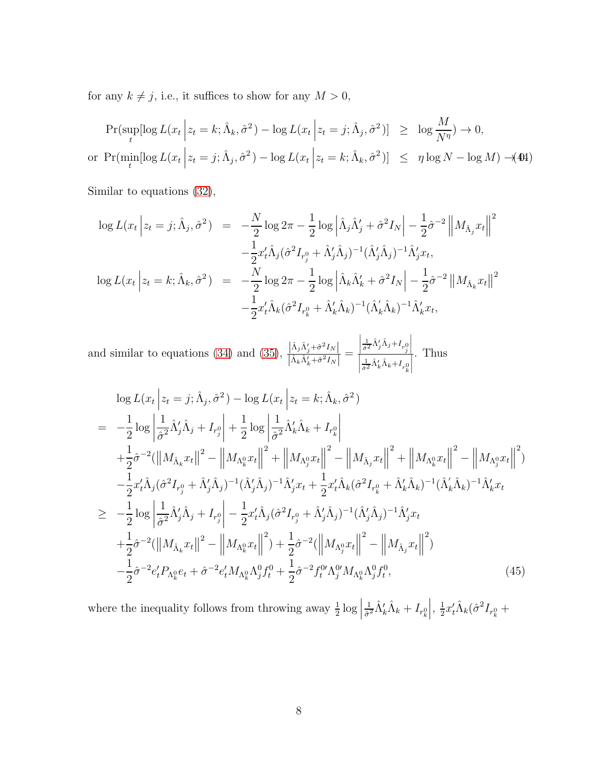for any  $k \neq j,$  i.e., it suffices to show for any  $M > 0,$ 

<span id="page-54-0"></span>
$$
\Pr(\sup_{t} [\log L(x_t \mid z_t = k; \hat{\Lambda}_k, \hat{\sigma}^2) - \log L(x_t \mid z_t = j; \hat{\Lambda}_j, \hat{\sigma}^2)] \ge \log \frac{M}{N^{\eta}}) \to 0,
$$
  
or 
$$
\Pr(\min_t [\log L(x_t \mid z_t = j; \hat{\Lambda}_j, \hat{\sigma}^2) - \log L(x_t \mid z_t = k; \hat{\Lambda}_k, \hat{\sigma}^2)] \le \eta \log N - \log M) \to 444
$$

Similar to equations [\(32\)](#page-48-1),

$$
\log L(x_t | z_t = j; \hat{\Lambda}_j, \hat{\sigma}^2) = -\frac{N}{2} \log 2\pi - \frac{1}{2} \log |\hat{\Lambda}_j \hat{\Lambda}_j' + \hat{\sigma}^2 I_N| - \frac{1}{2} \hat{\sigma}^{-2} ||M_{\hat{\Lambda}_j} x_t||^2
$$

$$
- \frac{1}{2} x_t' \hat{\Lambda}_j (\hat{\sigma}^2 I_{r_j^0} + \hat{\Lambda}_j' \hat{\Lambda}_j)^{-1} (\hat{\Lambda}_j' \hat{\Lambda}_j)^{-1} \hat{\Lambda}_j' x_t,
$$

$$
\log L(x_t | z_t = k; \hat{\Lambda}_k, \hat{\sigma}^2) = -\frac{N}{2} \log 2\pi - \frac{1}{2} \log |\hat{\Lambda}_k \hat{\Lambda}_k' + \hat{\sigma}^2 I_N| - \frac{1}{2} \hat{\sigma}^{-2} ||M_{\hat{\Lambda}_k} x_t||^2
$$

$$
- \frac{1}{2} x_t' \hat{\Lambda}_k (\hat{\sigma}^2 I_{r_k^0} + \hat{\Lambda}_k' \hat{\Lambda}_k)^{-1} (\hat{\Lambda}_k' \hat{\Lambda}_k)^{-1} \hat{\Lambda}_k' x_t,
$$

and similar to equations [\(34\)](#page-49-2) and [\(35\)](#page-49-2),  $\frac{|\hat{\Lambda}_j \hat{\Lambda}'_j + \hat{\sigma}^2 I_N|}{|\hat{\Lambda}_j \hat{\Lambda}'_j + \hat{\sigma}^2 I_N|}$  $\left| \hat{\Lambda}_k \hat{\Lambda}'_k + \hat{\sigma}^2 I_N \right|$ =  $\begin{array}{c} \hline \end{array}$  $\frac{1}{\hat{\sigma}^2} \hat{\Lambda}'_j \hat{\Lambda}_j + I_{r^0_j}$  $\frac{\left|\frac{1}{\hat{\sigma}^2}\hat{\Lambda}_j'\hat{\Lambda}_j + I_{r^0_j}\right|}{\left|\frac{1}{\hat{\sigma}^2}\hat{\Lambda}_k'\hat{\Lambda}_k + I_{r^0_k}\right|}$  $\frac{1}{\hat{\sigma}^2} \hat{\Lambda}_k' \hat{\Lambda}_k + I_{r_k^0}$  $\begin{array}{c} \n\downarrow \\ \n\downarrow \n\end{array}$ . Thus

$$
\log L(x_{t} | z_{t} = j; \hat{\Lambda}_{j}, \hat{\sigma}^{2}) - \log L(x_{t} | z_{t} = k; \hat{\Lambda}_{k}, \hat{\sigma}^{2})
$$
\n
$$
= -\frac{1}{2} \log \left| \frac{1}{\hat{\sigma}^{2}} \hat{\Lambda}_{j}^{\prime} \hat{\Lambda}_{j} + I_{r_{j}^{0}} \right| + \frac{1}{2} \log \left| \frac{1}{\hat{\sigma}^{2}} \hat{\Lambda}_{k}^{\prime} \hat{\Lambda}_{k} + I_{r_{k}^{0}} \right|
$$
\n
$$
+ \frac{1}{2} \hat{\sigma}^{-2} (||M_{\hat{\Lambda}_{k}} x_{t}||^{2} - ||M_{\Lambda_{k}^{0}} x_{t}||^{2} + ||M_{\Lambda_{j}^{0}} x_{t}||^{2} - ||M_{\hat{\Lambda}_{j}} x_{t}||^{2} + ||M_{\Lambda_{k}^{0}} x_{t}||^{2} - ||M_{\Lambda_{k}^{0}} x_{t}||^{2})
$$
\n
$$
- \frac{1}{2} x_{t}^{\prime} \hat{\Lambda}_{j} (\hat{\sigma}^{2} I_{r_{j}^{0}} + \hat{\Lambda}_{j}^{\prime} \hat{\Lambda}_{j})^{-1} (\hat{\Lambda}_{j}^{\prime} \hat{\Lambda}_{j})^{-1} \hat{\Lambda}_{j}^{\prime} x_{t} + \frac{1}{2} x_{t}^{\prime} \hat{\Lambda}_{k} (\hat{\sigma}^{2} I_{r_{k}^{0}} + \hat{\Lambda}_{k}^{\prime} \hat{\Lambda}_{k})^{-1} (\hat{\Lambda}_{k}^{\prime} \hat{\Lambda}_{k})^{-1} \hat{\Lambda}_{k}^{\prime} x_{t}
$$
\n
$$
\geq -\frac{1}{2} \log \left| \frac{1}{\hat{\sigma}^{2}} \hat{\Lambda}_{j}^{\prime} \hat{\Lambda}_{j} + I_{r_{j}^{0}} \right| - \frac{1}{2} x_{t}^{\prime} \hat{\Lambda}_{j} (\hat{\sigma}^{2} I_{r_{j}^{0}} + \hat{\Lambda}_{j}^{\prime} \hat{\Lambda}_{j})^{-1} (\hat{\Lambda}_{j}^{\prime} \hat{\Lambda}_{j})^{-1} \hat{\Lambda}_{j}^{\prime} x_{t}
$$
\n
$$
+ \frac{1}{2} \hat{\sigma}^{-2} (||M_{\hat{\Lambda}_{k}} x_{t}||^{2} - ||M_{\Lambda_{k}^{0}} x_{
$$

where the inequality follows from throwing away  $\frac{1}{2} \log |$ 1  $\frac{1}{\hat{\sigma}^2}\hat{\Lambda}_k'\hat{\Lambda}_k+I_{r_k^0}$  $\Big\vert, \frac{1}{2}$  $\frac{1}{2}x_{t}^{\prime }\hat{\Lambda}_{k}(\hat{\sigma}^{2}I_{r_{k}^{0}}+$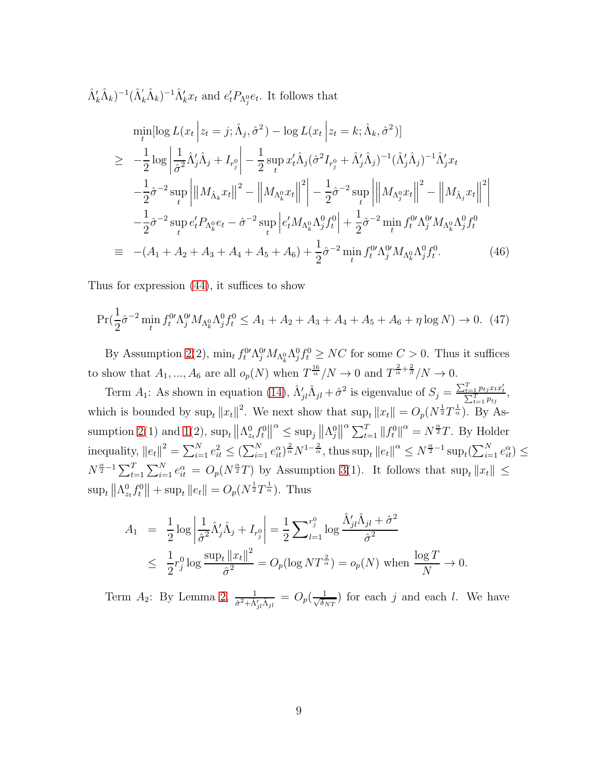$(\hat{\Lambda}'_k \hat{\Lambda}_k)^{-1} (\hat{\Lambda}'_k \hat{\Lambda}_k)^{-1} \hat{\Lambda}'_k x_t$  and  $e'_t P_{\Lambda_j^0} e_t$ . It follows that

$$
\min_{t} [\log L(x_{t} | z_{t} = j; \hat{\Lambda}_{j}, \hat{\sigma}^{2}) - \log L(x_{t} | z_{t} = k; \hat{\Lambda}_{k}, \hat{\sigma}^{2})]
$$
\n
$$
\geq -\frac{1}{2} \log \left| \frac{1}{\hat{\sigma}^{2}} \hat{\Lambda}_{j}^{\prime} \hat{\Lambda}_{j} + I_{r_{j}^{0}} \right| - \frac{1}{2} \sup_{t} x_{t}^{\prime} \hat{\Lambda}_{j} (\hat{\sigma}^{2} I_{r_{j}^{0}} + \hat{\Lambda}_{j}^{\prime} \hat{\Lambda}_{j})^{-1} (\hat{\Lambda}_{j}^{\prime} \hat{\Lambda}_{j})^{-1} \hat{\Lambda}_{j}^{\prime} x_{t}
$$
\n
$$
- \frac{1}{2} \hat{\sigma}^{-2} \sup_{t} \left| ||M_{\hat{\Lambda}_{k}} x_{t}||^{2} - \left| |M_{\Lambda_{k}^{0}} x_{t}||^{2} \right| - \frac{1}{2} \hat{\sigma}^{-2} \sup_{t} \left| ||M_{\Lambda_{j}^{0}} x_{t}||^{2} - \left| |M_{\hat{\Lambda}_{j}} x_{t}||^{2} \right| \right|
$$
\n
$$
- \frac{1}{2} \hat{\sigma}^{-2} \sup_{t} e_{t}^{\prime} P_{\Lambda_{k}^{0}} e_{t} - \hat{\sigma}^{-2} \sup_{t} \left| e_{t}^{\prime} M_{\Lambda_{k}^{0}} \hat{\Lambda}_{j}^{0} f_{t}^{0} \right| + \frac{1}{2} \hat{\sigma}^{-2} \min_{t} f_{t}^{0\prime} \hat{\Lambda}_{j}^{0\prime} M_{\Lambda_{k}^{0}} \hat{\Lambda}_{j}^{0} f_{t}^{0}
$$
\n
$$
\equiv -(A_{1} + A_{2} + A_{3} + A_{4} + A_{5} + A_{6}) + \frac{1}{2} \hat{\sigma}^{-2} \min_{t} f_{t}^{0\prime} \hat{\Lambda}_{j}^{0\prime} M_{\Lambda_{k}^{0}} \hat{\Lambda}_{j}^{0} f_{t}^{0}.
$$
\n(46)

Thus for expression [\(44\)](#page-54-0), it suffices to show

<span id="page-55-0"></span>
$$
\Pr(\frac{1}{2}\hat{\sigma}^{-2}\min_{t} f_t^{0\prime} \Lambda_j^{0\prime} M_{\Lambda_k^0} \Lambda_j^0 f_t^0 \le A_1 + A_2 + A_3 + A_4 + A_5 + A_6 + \eta \log N) \to 0. \tag{47}
$$

By Assumption [2\(](#page-12-0)2),  $\min_t f_t^0 \Lambda_j^0 M_{\Lambda_k^0} \Lambda_j^0 f_t^0 \ge NC$  for some  $C > 0$ . Thus it suffices to show that  $A_1, ..., A_6$  are all  $o_p(N)$  when  $T^{\frac{16}{\alpha}}/N \to 0$  and  $T^{\frac{2}{\alpha}+\frac{2}{\beta}}/N \to 0$ .

Term  $A_1$ : As shown in equation [\(14\)](#page-10-0),  $\hat{\Lambda}'_{jl}\hat{\Lambda}_{jl} + \hat{\sigma}^2$  is eigenvalue of  $S_j = \frac{\sum_{t=1}^T p_{tj} x_t x_t'}{\sum_{t=1}^T p_{tj}}$ , which is bounded by  $\sup_t ||x_t||^2$ . We next show that  $\sup_t ||x_t|| = O_p(N^{\frac{1}{2}}T^{\frac{1}{\alpha}})$ . By As-sumption [2\(](#page-12-0)1) and [1\(](#page-11-1)2),  $\sup_t ||\Lambda_{z_t}^0 f_t^0||$  $\alpha \leq \sup_j ||\Lambda_j^0||^\alpha \sum_{t=1}^T ||f_t^0||^\alpha = N^{\frac{\alpha}{2}}T$ . By Holder inequality,  $||e_t||^2 = \sum_{i=1}^N e_{it}^2 \leq (\sum_{i=1}^N e_{it}^{\alpha})^{\frac{2}{\alpha}} N^{1-\frac{2}{\alpha}}, \text{thus sup}_t ||e_t||^{\alpha} \leq N^{\frac{\alpha}{2}-1} \sup_t (\sum_{i=1}^N e_{it}^{\alpha}) \leq$  $N^{\frac{\alpha}{2}-1}\sum_{t=1}^T\sum_{i=1}^N e_{it}^{\alpha} = O_p(N^{\frac{\alpha}{2}}T)$  by Assumption [3\(](#page-12-1)1). It follows that  $\sup_t ||x_t|| \leq$  $\sup_t \| \Lambda_{z_t}^0 f_t^0 \| + \sup_t \| e_t \| = O_p(N^{\frac{1}{2}} T^{\frac{1}{\alpha}}).$  Thus

$$
A_1 = \frac{1}{2}\log\left|\frac{1}{\hat{\sigma}^2}\hat{\Lambda}'_j\hat{\Lambda}_j + I_{r_j^0}\right| = \frac{1}{2}\sum_{l=1}^{r_j^0}\log\frac{\hat{\Lambda}'_{jl}\hat{\Lambda}_{jl} + \hat{\sigma}^2}{\hat{\sigma}^2}
$$
  

$$
\leq \frac{1}{2}r_j^0\log\frac{\sup_t ||x_t||^2}{\hat{\sigma}^2} = O_p(\log NT^{\frac{2}{\alpha}}) = o_p(N) \text{ when } \frac{\log T}{N} \to 0.
$$

Term  $A_2$ : By Lemma [2,](#page-51-1)  $\frac{1}{\hat{\sigma}^2 + \hat{\Lambda}'_{jl} \hat{\Lambda}_{jl}} = O_p(\frac{1}{\sqrt{\delta_l}})$  $\frac{1}{\delta_{NT}}$ ) for each j and each l. We have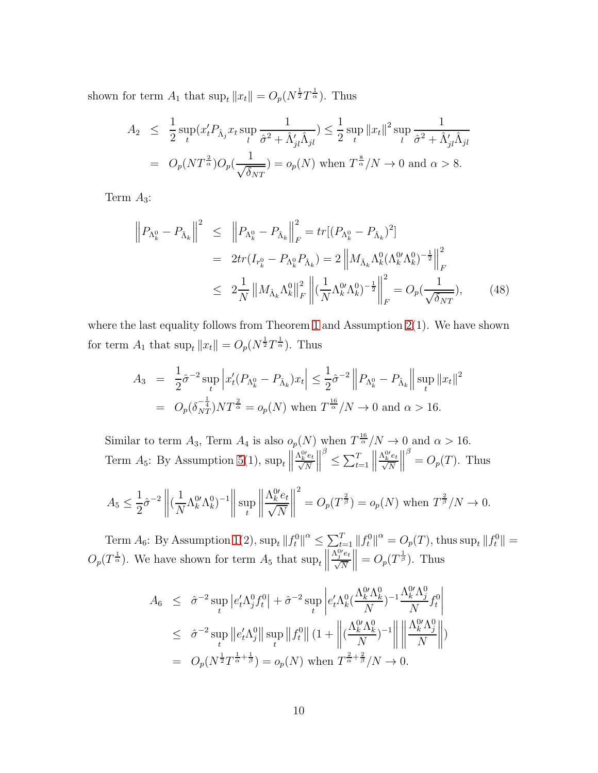shown for term  $A_1$  that  $\sup_t ||x_t|| = O_p(N^{\frac{1}{2}}T^{\frac{1}{\alpha}})$ . Thus

$$
A_2 \leq \frac{1}{2} \sup_t (x_t' P_{\hat{\Lambda}_j} x_t \sup_l \frac{1}{\hat{\sigma}^2 + \hat{\Lambda}'_{jl} \hat{\Lambda}_{jl}}) \leq \frac{1}{2} \sup_t \|x_t\|^2 \sup_l \frac{1}{\hat{\sigma}^2 + \hat{\Lambda}'_{jl} \hat{\Lambda}_{jl}}
$$
  
=  $O_p (NT^{\frac{2}{\alpha}}) O_p(\frac{1}{\sqrt{\delta_{NT}}}) = o_p(N)$  when  $T^{\frac{8}{\alpha}}/N \to 0$  and  $\alpha > 8$ .

Term  $A_3$ :

$$
\left\| P_{\Lambda_k^0} - P_{\hat{\Lambda}_k} \right\|^2 \leq \left\| P_{\Lambda_k^0} - P_{\hat{\Lambda}_k} \right\|_F^2 = tr \left[ (P_{\Lambda_k^0} - P_{\hat{\Lambda}_k})^2 \right]
$$
  

$$
= 2tr(I_{r_k^0} - P_{\Lambda_k^0} P_{\hat{\Lambda}_k}) = 2 \left\| M_{\hat{\Lambda}_k} \Lambda_k^0 (\Lambda_k^0 \Lambda_k^0)^{-\frac{1}{2}} \right\|_F^2
$$
  

$$
\leq 2 \frac{1}{N} \left\| M_{\hat{\Lambda}_k} \Lambda_k^0 \right\|_F^2 \left\| (\frac{1}{N} \Lambda_k^0 \Lambda_k^0)^{-\frac{1}{2}} \right\|_F^2 = O_p(\frac{1}{\sqrt{\delta_{NT}}}), \qquad (48)
$$

where the last equality follows from Theorem [1](#page-13-3) and Assumption  $2(1)$ . We have shown for term  $A_1$  that  $\sup_t ||x_t|| = O_p(N^{\frac{1}{2}}T^{\frac{1}{\alpha}})$ . Thus

$$
A_3 = \frac{1}{2}\hat{\sigma}^{-2} \sup_t \left| x_t'(P_{\Lambda_k^0} - P_{\hat{\Lambda}_k})x_t \right| \le \frac{1}{2}\hat{\sigma}^{-2} \left\| P_{\Lambda_k^0} - P_{\hat{\Lambda}_k} \right\| \sup_t \|x_t\|^2
$$
  
=  $O_p(\delta_{NT}^{-\frac{1}{4}})NT^{\frac{2}{\alpha}} = o_p(N)$  when  $T^{\frac{16}{\alpha}}/N \to 0$  and  $\alpha > 16$ .

Similar to term  $A_3$ , Term  $A_4$  is also  $o_p(N)$  when  $T^{\frac{16}{\alpha}}/N \to 0$  and  $\alpha > 16$ . Term  $A_5$ : By Assumption [5\(](#page-13-0)1),  $\sup_t$  $\frac{\Lambda_k^{0\prime}e_t}{\sqrt{N}}$  $\begin{array}{c} \hline \end{array}$ β  $\leq \sum_{t=1}^{T}$  $\frac{\Lambda_k^{0\prime}e_t}{\sqrt{N}}$  $\bigg\}$  $\int^{\beta}$  =  $O_p(T)$ . Thus

$$
A_5 \le \frac{1}{2}\hat{\sigma}^{-2} \left\| \left( \frac{1}{N} \Lambda_k^{0\prime} \Lambda_k^0 \right)^{-1} \right\| \sup_t \left\| \frac{\Lambda_k^{0\prime} e_t}{\sqrt{N}} \right\|^2 = O_p(T^{\frac{2}{\beta}}) = o_p(N) \text{ when } T^{\frac{2}{\beta}}/N \to 0.
$$

Term  $A_6$ : By Assumption [1\(](#page-11-1)2),  $\sup_t ||f_t^0||^{\alpha} \le \sum_{t=1}^T ||f_t^0||^{\alpha} = O_p(T)$ , thus  $\sup_t ||f_t^0|| =$  $O_p(T^{\frac{1}{\alpha}})$ . We have shown for term  $A_5$  that  $\sup_t \left\|$  $\frac{\Lambda_j^{0\prime}e_t}{\sqrt{N}}$  $\| = O_p(T^{\frac{1}{\beta}})$ . Thus

$$
A_6 \leq \hat{\sigma}^{-2} \sup_t \left| e'_t \Lambda_j^0 f_t^0 \right| + \hat{\sigma}^{-2} \sup_t \left| e'_t \Lambda_k^0 \left( \frac{\Lambda_k^0 \Lambda_k^0}{N} \right)^{-1} \frac{\Lambda_k^0 \Lambda_j^0}{N} f_t^0 \right|
$$
  

$$
\leq \hat{\sigma}^{-2} \sup_t \left\| e'_t \Lambda_j^0 \right\| \sup_t \left\| f_t^0 \right\| (1 + \left\| \left( \frac{\Lambda_k^0 \Lambda_k^0}{N} \right)^{-1} \right\| \left\| \frac{\Lambda_k^0 \Lambda_j^0}{N} \right\|)
$$
  

$$
= O_p(N^{\frac{1}{2}} T^{\frac{1}{\alpha} + \frac{1}{\beta}}) = o_p(N) \text{ when } T^{\frac{2}{\alpha} + \frac{2}{\beta}}/N \to 0.
$$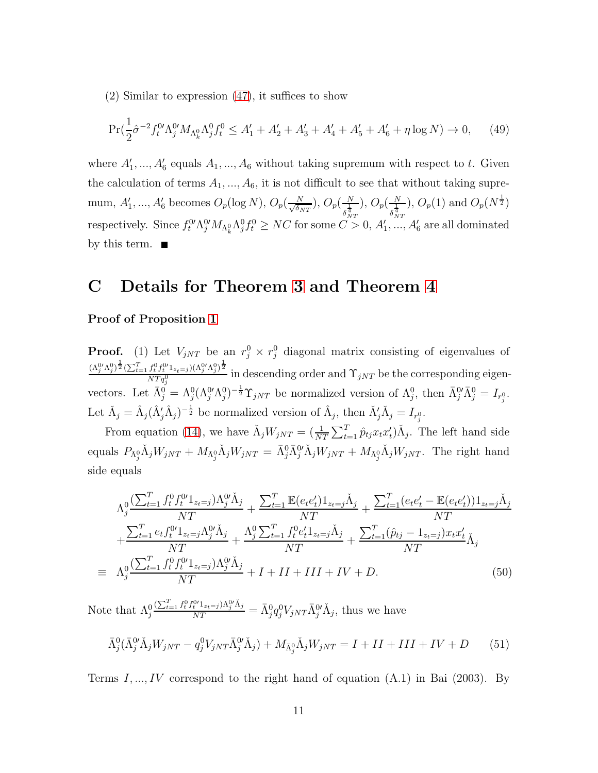(2) Similar to expression [\(47\)](#page-55-0), it suffices to show

$$
\Pr(\frac{1}{2}\hat{\sigma}^{-2}f_t^{0\prime}\Lambda_j^{0\prime}M_{\Lambda_k^0}\Lambda_j^{0}f_t^0 \le A_1' + A_2' + A_3' + A_4' + A_5' + A_6' + \eta \log N) \to 0,\tag{49}
$$

where  $A'_1, ..., A'_6$  equals  $A_1, ..., A_6$  without taking supremum with respect to t. Given the calculation of terms  $A_1, ..., A_6$ , it is not difficult to see that without taking supremum,  $A'_1, ..., A'_6$  becomes  $O_p(\log N), O_p(\frac{N}{\sqrt{\delta n}})$  $\frac{N}{\delta_{NT}}$ ),  $O_p(\frac{N}{s^{\frac{1}{4}}}$  $\delta_{NT}^{\frac{1}{4}}$ ),  $O_p(\frac{N}{1})$  $\delta_{NT}^{\frac{1}{4}}$ ),  $O_p(1)$  and  $O_p(N^{\frac{1}{2}})$ respectively. Since  $f_t^0 \Lambda_j^0 M_{\Lambda_k^0} \Lambda_j^0 f_t^0 \ge NC$  for some  $C>0$ ,  $A'_1, ..., A'_6$  are all dominated by this term.  $\blacksquare$ 

# C Details for Theorem [3](#page-15-3) and Theorem [4](#page-15-4)

#### Proof of Proposition [1](#page-15-1)

**Proof.** (1) Let  $V_{jNT}$  be an  $r_j^0 \times r_j^0$  diagonal matrix consisting of eigenvalues of  $(\Lambda_j^{0\prime}\Lambda_j^0)^{\tfrac{1}{2}}(\sum_{t=1}^Tf_t^0f_t^{0\prime}1_{z_t=j})(\Lambda_j^{0\prime}\Lambda_j^0)^{\tfrac{1}{2}}$  $\frac{\gamma_t}{NT_q^0}$  in descending order and  $\Upsilon_{jNT}$  be the corresponding eigenvectors. Let  $\bar{\Lambda}_{j}^{0} = \Lambda_{j}^{0} (\Lambda_{j}^{0} \Lambda_{j}^{0})^{-\frac{1}{2}} \Upsilon_{jNT}$  be normalized version of  $\Lambda_{j}^{0}$ , then  $\bar{\Lambda}_{j}^{0} \bar{\Lambda}_{j}^{0} = I_{r_{j}^{0}}$ . Let  $\check{\Lambda}_j = \hat{\Lambda}_j (\hat{\Lambda}'_j \hat{\Lambda}_j)^{-\frac{1}{2}}$  be normalized version of  $\hat{\Lambda}_j$ , then  $\check{\Lambda}'_j \check{\Lambda}_j = I_{r_j^0}$ .

From equation [\(14\)](#page-10-0), we have  $\check{\Lambda}_j W_{jNT} = (\frac{1}{NT} \sum_{t=1}^T \hat{p}_{tj} x_t x_t') \check{\Lambda}_j$ . The left hand side equals  $P_{\bar{\Lambda}_{j}^{0}}\check{\Lambda}_{j}W_{jNT} + M_{\bar{\Lambda}_{j}^{0}}\check{\Lambda}_{j}W_{jNT} = \bar{\Lambda}_{j}^{0}\bar{\Lambda}_{j}^{0'}\check{\Lambda}_{j}W_{jNT} + M_{\bar{\Lambda}_{j}^{0}}\check{\Lambda}_{j}W_{jNT}$ . The right hand side equals

<span id="page-57-1"></span>
$$
\Lambda_j^0 \frac{\left(\sum_{t=1}^T f_t^0 f_t^{0t} \mathbf{1}_{z_t=j}\right) \Lambda_j^{0t} \check{\Lambda}_j}{NT} + \frac{\sum_{t=1}^T \mathbb{E}(e_t e_t') \mathbf{1}_{z_t=j} \check{\Lambda}_j}{NT} + \frac{\sum_{t=1}^T (e_t e_t' - \mathbb{E}(e_t e_t')) \mathbf{1}_{z_t=j} \check{\Lambda}_j}{NT} + \frac{\sum_{t=1}^T e_t f_t^{0t} \mathbf{1}_{z_t=j} \Lambda_j^{0t} \check{\Lambda}_j}{NT} + \frac{\Lambda_j^0 \sum_{t=1}^T f_t^0 e_t' \mathbf{1}_{z_t=j} \check{\Lambda}_j}{NT} + \frac{\sum_{t=1}^T (\hat{p}_{tj} - \mathbf{1}_{z_t=j}) x_t x_t'}{NT} \check{\Lambda}_j}{NT} = \Lambda_j^0 \frac{\left(\sum_{t=1}^T f_t^0 f_t^{0t} \mathbf{1}_{z_t=j}\right) \Lambda_j^{0t} \check{\Lambda}_j}{NT} + I + II + III + IV + D. \tag{50}
$$

Note that  $\Lambda_j^0$  $\frac{(\sum_{t=1}^T f_t^0 f_t^0{}'_{1z_t=j})\Lambda_j^0{}' \check{\Lambda}_j}{NT} = \bar{\Lambda}_j^0 q_j^0 V_{jNT} \bar{\Lambda}_j^0{}' \check{\Lambda}_j$ , thus we have

<span id="page-57-0"></span>
$$
\bar{\Lambda}_{j}^{0}(\bar{\Lambda}_{j}^{0\prime}\tilde{\Lambda}_{j}W_{jNT} - q_{j}^{0}V_{jNT}\bar{\Lambda}_{j}^{0\prime}\tilde{\Lambda}_{j}) + M_{\bar{\Lambda}_{j}^{0}}\tilde{\Lambda}_{j}W_{jNT} = I + II + III + IV + D \qquad (51)
$$

Terms  $I, ..., IV$  correspond to the right hand of equation  $(A.1)$  in Bai  $(2003)$ . By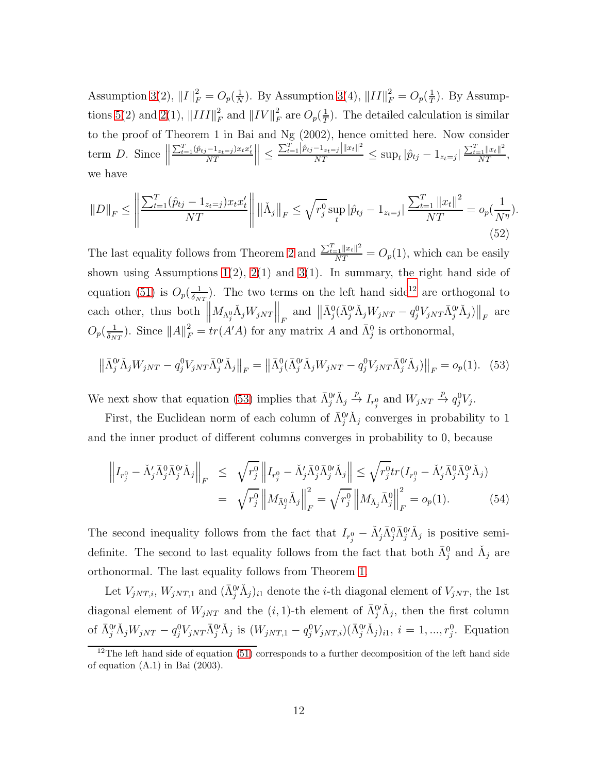Assumption [3\(](#page-12-1)2),  $||I||_F^2 = O_p(\frac{1}{N})$  $\frac{1}{N}$ ). By Assumption [3\(](#page-12-1)4),  $||II||_F^2 = O_p(\frac{1}{T})$  $\frac{1}{T}$ ). By Assump-tions [5\(](#page-13-0)2) and [2\(](#page-12-0)1),  $||III||_F^2$  $\frac{2}{F}$  and  $\left\| IV \right\|_F^2$  $\frac{2}{F}$  are  $O_p(\frac{1}{T})$  $(\frac{1}{T})$ . The detailed calculation is similar to the proof of Theorem 1 in Bai and Ng (2002), hence omitted here. Now consider term  $D$ . Since  $\parallel$  $\frac{\sum_{t=1}^{T}(\hat{p}_{tj}-1_{z_t=j})x_tx'_t}{NT}\bigg\|\leq$  $\frac{\sum_{t=1}^{T} |\hat{p}_{tj}-1_{z_t=j}| ||x_t||^2}{NT} \leq \sup_t |\hat{p}_{tj}-1_{z_t=j}|$  $\frac{\sum_{t=1}^{T} ||x_t||^2}{NT}$ , we have

<span id="page-58-3"></span>
$$
||D||_F \le \left\| \frac{\sum_{t=1}^T (\hat{p}_{tj} - 1_{z_t = j}) x_t x_t'}{NT} \right\| \left\| \tilde{\Lambda}_j \right\|_F \le \sqrt{r_j^0} \sup_t |\hat{p}_{tj} - 1_{z_t = j}| \frac{\sum_{t=1}^T ||x_t||^2}{NT} = o_p(\frac{1}{N^{\eta}}). \tag{52}
$$

The last equality follows from Theorem [2](#page-14-0) and  $\frac{\sum_{t=1}^{T} ||x_t||^2}{NT} = O_p(1)$ , which can be easily shown using Assumptions  $1(2)$ ,  $2(1)$  and  $3(1)$ . In summary, the right hand side of equation [\(51\)](#page-57-0) is  $O_p(\frac{1}{\delta_N})$  $\frac{1}{\delta_{NT}}$ . The two terms on the left hand side<sup>[12](#page-58-0)</sup> are orthogonal to each other, thus both  $\parallel$  $\left\| M_{\bar{\Lambda}_{j}^{0}}\check{\Lambda}_{j}W_{jNT}\right\|_{F} \text{ and } \left\| \bar{\Lambda}_{j}^{0}(\bar{\Lambda}_{j}^{0\prime}\check{\Lambda}_{j}W_{jNT}-q_{j}^{0}V_{jNT}\bar{\Lambda}_{j}^{0\prime}\check{\Lambda}_{j})\right\|_{F} \text{ are}$  $O_p(\frac{1}{\delta_M})$  $\frac{1}{\delta_{NT}}$ ). Since  $||A||_F^2 = tr(A'A)$  for any matrix A and  $\bar{\Lambda}_j^0$  is orthonormal,

<span id="page-58-1"></span>
$$
\left\|\bar{\Lambda}_{j}^{0\prime}\tilde{\Lambda}_{j}W_{jNT} - q_{j}^{0}V_{jNT}\bar{\Lambda}_{j}^{0\prime}\tilde{\Lambda}_{j}\right\|_{F} = \left\|\bar{\Lambda}_{j}^{0}(\bar{\Lambda}_{j}^{0\prime}\tilde{\Lambda}_{j}W_{jNT} - q_{j}^{0}V_{jNT}\bar{\Lambda}_{j}^{0\prime}\tilde{\Lambda}_{j})\right\|_{F} = o_{p}(1). \tag{53}
$$

We next show that equation [\(53\)](#page-58-1) implies that  $\bar{\Lambda}^0_j \check{\Lambda}_j$  $\stackrel{p}{\to} I_{r_j^0}$  and  $W_{jNT} \stackrel{p}{\to} q_j^0 V_j$ .

First, the Euclidean norm of each column of  $\bar{\Lambda}^{0'}_j \tilde{\Lambda}_j$  converges in probability to 1 and the inner product of different columns converges in probability to 0, because

<span id="page-58-2"></span>
$$
\left\| I_{r_j^0} - \check{\Lambda}_j' \bar{\Lambda}_j^0 \bar{\Lambda}_j^0' \check{\Lambda}_j \right\|_F \leq \sqrt{r_j^0} \left\| I_{r_j^0} - \check{\Lambda}_j' \bar{\Lambda}_j^0 \bar{\Lambda}_j^0' \check{\Lambda}_j \right\| \leq \sqrt{r_j^0} tr(I_{r_j^0} - \check{\Lambda}_j' \bar{\Lambda}_j^0 \bar{\Lambda}_j^0' \check{\Lambda}_j)
$$
  

$$
= \sqrt{r_j^0} \left\| M_{\bar{\Lambda}_j^0} \check{\Lambda}_j \right\|_F^2 = \sqrt{r_j^0} \left\| M_{\bar{\Lambda}_j} \bar{\Lambda}_j^0 \right\|_F^2 = o_p(1).
$$
 (54)

The second inequality follows from the fact that  $I_{r_j^0} - \check{\Lambda}'_j \bar{\Lambda}^0_j \bar{\Lambda}^0_j \check{\Lambda}_j$  is positive semidefinite. The second to last equality follows from the fact that both  $\bar{\Lambda}_j^0$  and  $\check{\Lambda}_j$  are orthonormal. The last equality follows from Theorem [1.](#page-13-3)

Let  $V_{jNT,i}$ ,  $W_{jNT,1}$  and  $(\bar{\Lambda}^0_j \check{\Lambda}_j)_{i1}$  denote the *i*-th diagonal element of  $V_{jNT}$ , the 1st diagonal element of  $W_{jNT}$  and the  $(i, 1)$ -th element of  $\overline{\Lambda}^0_j \check{\Lambda}_j$ , then the first column of  $\bar{\Lambda}^0_j \check{\Lambda}_j W_{jNT} - q_j^0 V_{jNT} \bar{\Lambda}^0_j \check{\Lambda}_j$  is  $(W_{jNT,1} - q_j^0 V_{jNT,i}) (\bar{\Lambda}^0_j \check{\Lambda}_j)_{i1}, i = 1, ..., r_j^0$ . Equation

<span id="page-58-0"></span> $12$ The left hand side of equation [\(51\)](#page-57-0) corresponds to a further decomposition of the left hand side of equation (A.1) in Bai (2003).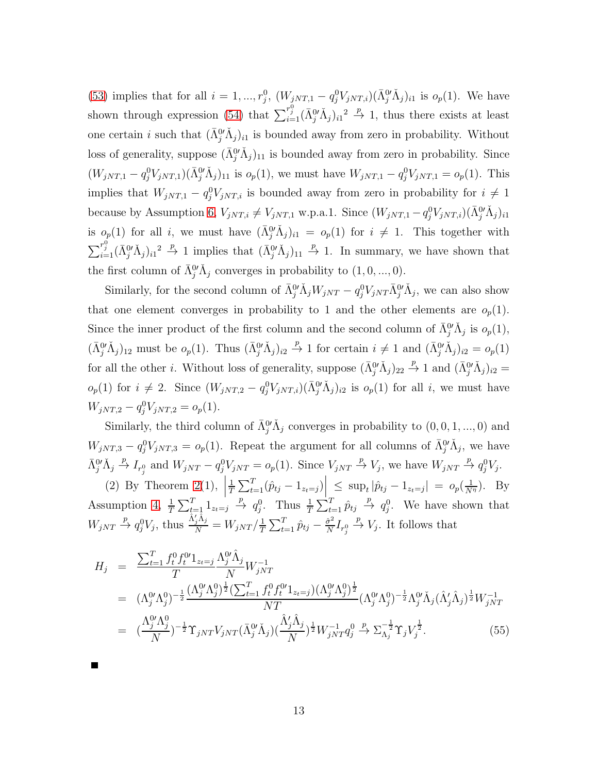[\(53\)](#page-58-1) implies that for all  $i = 1, ..., r_j^0$ ,  $(W_{jNT,1} - q_j^0 V_{jNT,i}) (\bar{\Lambda}_j^0 \check{\Lambda}_j)_{i1}$  is  $o_p(1)$ . We have shown through expression [\(54\)](#page-58-2) that  $\sum_{i=1}^{r_j^0} (\bar{\Lambda}_j^0 \check{\Lambda}_j)_{i1}^2 \stackrel{p}{\to} 1$ , thus there exists at least one certain *i* such that  $(\bar{\Lambda}_{j}^{0'} \check{\Lambda}_{j})_{i1}$  is bounded away from zero in probability. Without loss of generality, suppose  $(\bar{\Lambda}^0_j \check{\Lambda}_j)_{11}$  is bounded away from zero in probability. Since  $(W_{jNT,1} - q_j^0 V_{jNT,1}) (\bar{\Lambda}_j^0 \check{\Lambda}_j)_{11}$  is  $o_p(1)$ , we must have  $W_{jNT,1} - q_j^0 V_{jNT,1} = o_p(1)$ . This implies that  $W_{jNT,1} - q_j^0 V_{jNT,i}$  is bounded away from zero in probability for  $i \neq 1$ because by Assumption [6,](#page-13-1)  $V_{jNT,i} \neq V_{jNT,1}$  w.p.a.1. Since  $(W_{jNT,1} - q_j^0 V_{jNT,i}) (\bar{\Lambda}_{j}^0 \check{\Lambda}_{j})_{i1}$ is  $o_p(1)$  for all i, we must have  $(\bar{\Lambda}^0_j \check{\Lambda}_j)_{i1} = o_p(1)$  for  $i \neq 1$ . This together with  $\sum_{i=1}^{r_j^0} (\bar{\Lambda}_j^0)'(\Lambda_j)_{i1}^2 \stackrel{p}{\to} 1$  implies that  $(\bar{\Lambda}_j^0'(\Lambda_j)_{11} \stackrel{p}{\to} 1$ . In summary, we have shown that the first column of  $\bar{\Lambda}^{0'}_j \tilde{\Lambda}_j$  converges in probability to  $(1,0,...,0)$ .

Similarly, for the second column of  $\bar{\Lambda}^0_j \check{\Lambda}_j W_{jNT} - q_j^0 V_{jNT} \bar{\Lambda}^0_j \check{\Lambda}_j$ , we can also show that one element converges in probability to 1 and the other elements are  $o_p(1)$ . Since the inner product of the first column and the second column of  $\bar{\Lambda}^0_j \check{\Lambda}_j$  is  $o_p(1)$ ,  $(\bar{\Lambda}^{0'}_j \check{\Lambda}_j)_{12}$  must be  $o_p(1)$ . Thus  $(\bar{\Lambda}^{0'}_j \check{\Lambda}_j)_{i2} \stackrel{p}{\to} 1$  for certain  $i \neq 1$  and  $(\bar{\Lambda}^{0'}_j \check{\Lambda}_j)_{i2} = o_p(1)$ for all the other *i*. Without loss of generality, suppose  $(\bar{\Lambda}^{0'}_j \check{\Lambda}_j)_{22} \stackrel{p}{\to} 1$  and  $(\bar{\Lambda}^{0'}_j \check{\Lambda}_j)_{i2} =$  $o_p(1)$  for  $i \neq 2$ . Since  $(W_{jNT,2} - q_j^0 V_{jNT,i})(\bar{\Lambda}_j^0 \check{\Lambda}_j)_{i2}$  is  $o_p(1)$  for all i, we must have  $W_{jNT,2} - q_j^0 V_{jNT,2} = o_p(1).$ 

Similarly, the third column of  $\bar{\Lambda}^{0'}_j \check{\Lambda}_j$  converges in probability to  $(0,0,1,...,0)$  and  $W_{jNT,3} - q_j^0 V_{jNT,3} = o_p(1)$ . Repeat the argument for all columns of  $\bar{\Lambda}^{0'}_j \Lambda_j$ , we have  $\bar{\Lambda}{}^{0\prime}_j \check{\Lambda}^{}_j$  $\stackrel{p}{\to} I_{r_j^0}$  and  $W_{jNT} - q_j^0 V_{jNT} = o_p(1)$ . Since  $V_{jNT} \stackrel{p}{\to} V_j$ , we have  $W_{jNT} \stackrel{p}{\to} q_j^0 V_j$ .

(2) By Theorem [2\(](#page-14-0)1), 1  $\frac{1}{T} \sum_{t=1}^{T} (\hat{p}_{tj} - 1_{z_t=j}) \le \sup_t |\hat{p}_{tj} - 1_{z_t=j}| = o_p(\frac{1}{N^{\eta}}).$  By Assumption [4,](#page-12-2)  $\frac{1}{T} \sum_{t=1}^T 1_{z_t=j} \stackrel{p}{\to} q_j^0$ . Thus  $\frac{1}{T} \sum_{t=1}^T \hat{p}_{tj} \stackrel{p}{\to} q_j^0$ . We have shown that  $W_{jNT} \stackrel{p}{\rightarrow} q_j^0 V_j$ , thus  $\frac{\hat{\Lambda}'_j \hat{\Lambda}_j}{N} = W_{jNT} / \frac{1}{T}$  $\frac{1}{T}\sum_{t=1}^T \hat{p}_{tj} - \frac{\hat{\sigma}^2}{N}$  $\frac{\tilde{\sigma}^2}{N} I_{r^0_j}$  $\stackrel{p}{\rightarrow} V_j$ . It follows that

$$
H_{j} = \frac{\sum_{t=1}^{T} f_{t}^{0} f_{t}^{0} \mathbf{1}_{z_{t}=j} \Lambda_{j}^{0} \hat{\Lambda}_{j}}{T} W_{jNT}^{-1}
$$
  
\n
$$
= (\Lambda_{j}^{0} \Lambda_{j}^{0})^{-\frac{1}{2}} \frac{(\Lambda_{j}^{0} \Lambda_{j}^{0})^{\frac{1}{2}} (\sum_{t=1}^{T} f_{t}^{0} f_{t}^{0} \mathbf{1}_{z_{t}=j}) (\Lambda_{j}^{0} \Lambda_{j}^{0})^{\frac{1}{2}}}{NT} (\Lambda_{j}^{0} \Lambda_{j}^{0})^{-\frac{1}{2}} \Lambda_{j}^{0} \check{\Lambda}_{j} (\hat{\Lambda}_{j}^{\prime} \hat{\Lambda}_{j})^{\frac{1}{2}} W_{jNT}^{-1}
$$
  
\n
$$
= (\frac{\Lambda_{j}^{0} \Lambda_{j}^{0}}{N})^{-\frac{1}{2}} \Upsilon_{jNT} V_{jNT} (\bar{\Lambda}_{j}^{0} \check{\Lambda}_{j}) (\frac{\hat{\Lambda}_{j}^{\prime} \hat{\Lambda}_{j}}{N})^{\frac{1}{2}} W_{jNT}^{-1} q_{j}^{0} \xrightarrow{P} \Sigma_{\Lambda_{j}}^{-\frac{1}{2}} \Upsilon_{j} V_{j}^{\frac{1}{2}}.
$$
 (55)

13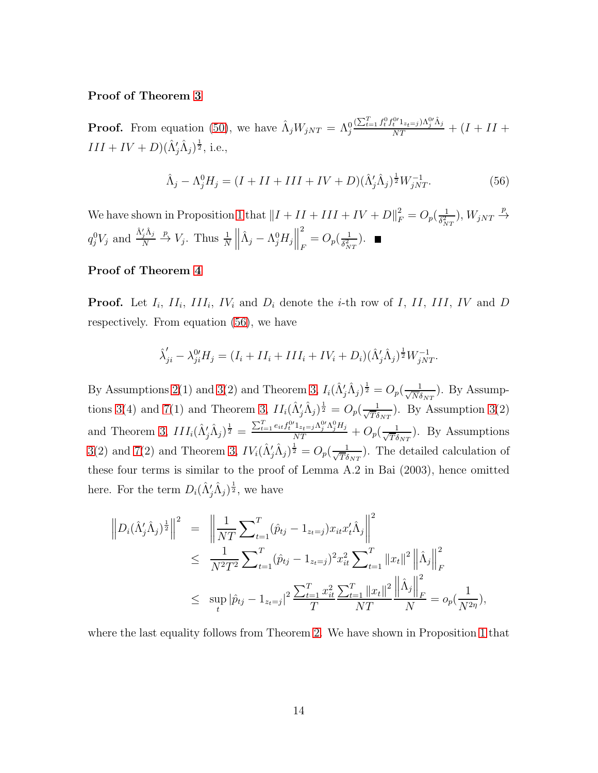### Proof of Theorem [3](#page-15-3)

**Proof.** From equation [\(50\)](#page-57-1), we have  $\hat{\Lambda}_j W_{jNT} = \Lambda_j^0$  $\frac{(\sum_{t=1}^{T} f_t^0 f_t^{0\prime} 1_{z_t=j}) \Lambda_j^{0\prime} \hat{\Lambda}_j}{NT} + (I + II +$  $III + IV + D(\hat{\Lambda}'_j \hat{\Lambda}_j)^{\frac{1}{2}},$  i.e.,

<span id="page-60-0"></span>
$$
\hat{\Lambda}_j - \Lambda_j^0 H_j = (I + II + III + IV + D)(\hat{\Lambda}_j^{\prime} \hat{\Lambda}_j)^{\frac{1}{2}} W_{jNT}^{-1}.
$$
\n(56)

We have shown in Proposition [1](#page-15-1) that  $||I + II + III + IV + D||_F^2 = O_p(\frac{1}{\delta_N^2})$  $\frac{1}{\delta_{NT}^2}$ ),  $W_{jNT}$   $\frac{p}{2}$  $\rightarrow$  $q_j^0V_j$  and  $\frac{\hat{\Lambda}'_j\hat{\Lambda}_j}{N}$ N  $\stackrel{p}{\rightarrow} V_j$ . Thus  $\frac{1}{N}$  $\hat{\Lambda}_j - \Lambda_j^0 H_j \Big\|$ 2  $_{F}=O_{p}(\frac{1}{\delta_{N}^{2}})$  $\frac{1}{\delta_{NT}^2}$ .

### Proof of Theorem [4](#page-15-4)

**Proof.** Let  $I_i$ ,  $II_i$ ,  $III_i$ ,  $IV_i$  and  $D_i$  denote the *i*-th row of I, II, III, IV and D respectively. From equation [\(56\)](#page-60-0), we have

$$
\hat{\lambda}'_{ji} - \lambda_{ji}^{0'} H_j = (I_i + II_i + III_i + IV_i + D_i)(\hat{\Lambda}'_j \hat{\Lambda}_j)^{\frac{1}{2}} W_{jNT}^{-1}.
$$

By Assumptions [2\(](#page-12-0)1) and [3\(](#page-12-1)2) and Theorem [3,](#page-15-3)  $I_i(\hat{\Lambda}'_j\hat{\Lambda}_j)^{\frac{1}{2}} = O_p(\frac{1}{\sqrt{N}\delta})$  $\frac{1}{N\delta_{NT}}$ ). By Assump-tions [3\(](#page-12-1)4) and [7\(](#page-13-2)1) and Theorem [3,](#page-15-3)  $II_i(\hat{\Lambda}'_j\hat{\Lambda}_j)^{\frac{1}{2}} = O_p(\frac{1}{\sqrt{T}\delta})$  $\frac{1}{T\delta_{NT}}$ ). By Assumption [3\(](#page-12-1)2) and Theorem [3,](#page-15-3)  $III_i(\hat{\Lambda}'_j \hat{\Lambda}_j)^{\frac{1}{2}} = \frac{\sum_{t=1}^T e_{it} f_t^{0'} 1_{z_t=j} \Lambda_j^{0'} \Lambda_j^{0} H_j}{NT} + O_p(\frac{1}{\sqrt{T} \delta})$  $\frac{1}{T\delta_{NT}}$ ). By Assumptions [3\(](#page-12-1)2) and [7\(](#page-13-2)2) and Theorem [3,](#page-15-3)  $IV_i(\hat{\Lambda}'_j\hat{\Lambda}_j)^{\frac{1}{2}} = O_p(\frac{1}{\sqrt{T}\delta})$  $\frac{1}{T\delta_{NT}}$ ). The detailed calculation of these four terms is similar to the proof of Lemma A.2 in Bai (2003), hence omitted here. For the term  $D_i(\hat{\Lambda}'_j\hat{\Lambda}_j)^{\frac{1}{2}}$ , we have

$$
\|D_i(\hat{\Lambda}'_j \hat{\Lambda}_j)^{\frac{1}{2}}\|^2 = \left\|\frac{1}{NT}\sum_{t=1}^T(\hat{p}_{tj} - 1_{z_t=j})x_{it}x_t'\hat{\Lambda}_j\right\|^2
$$
  
\$\leq \frac{1}{N^2T^2}\sum\_{t=1}^T(\hat{p}\_{tj} - 1\_{z\_t=j})^2x\_{it}^2\sum\_{t=1}^T \|x\_t\|^2 \left\|\hat{\Lambda}\_j\right\|\_F^2\$  
\$\leq \sup\_t |\hat{p}\_{tj} - 1\_{z\_t=j}|^2\frac{\sum\_{t=1}^T x\_{it}^2 \sum\_{t=1}^T \|x\_t\|^2 \left\|\hat{\Lambda}\_j\right\|\_F^2}{NT} = o\_p(\frac{1}{N^{2\eta}}),

where the last equality follows from Theorem [2.](#page-14-0) We have shown in Proposition [1](#page-15-1) that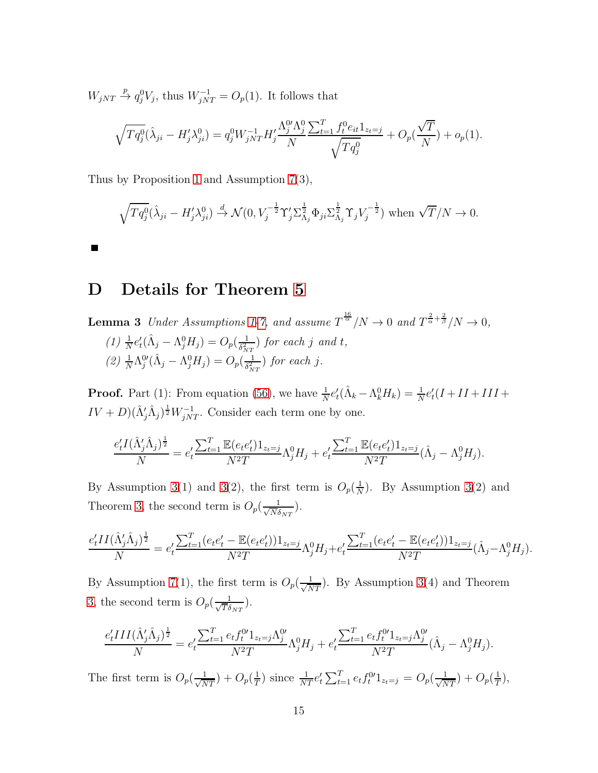$W_{jNT} \stackrel{p}{\rightarrow} q_j^0 V_j$ , thus  $W_{jNT}^{-1} = O_p(1)$ . It follows that

$$
\sqrt{Tq_j^0}(\hat{\lambda}_{ji} - H'_j \lambda_{ji}^0) = q_j^0 W_{jNT}^{-1} H'_j \frac{\Lambda_j^0 \Lambda_j^0}{N} \frac{\sum_{t=1}^T f_t^0 e_{it} 1_{z_t=j}}{\sqrt{Tq_j^0}} + O_p(\frac{\sqrt{T}}{N}) + o_p(1).
$$

Thus by Proposition [1](#page-15-1) and Assumption [7\(](#page-13-2)3),

$$
\sqrt{Tq_j^0}(\hat{\lambda}_{ji} - H'_j \lambda_{ji}^0) \stackrel{d}{\rightarrow} \mathcal{N}(0, V_j^{-\frac{1}{2}} \Upsilon_j' \Sigma_{\Lambda_j}^{\frac{1}{2}} \Phi_{ji} \Sigma_{\Lambda_j}^{\frac{1}{2}} \Upsilon_j V_j^{-\frac{1}{2}}) \text{ when } \sqrt{T}/N \to 0.
$$

# <span id="page-61-0"></span>D Details for Theorem [5](#page-16-1)

 $\blacksquare$ 

**Lemma 3** Under Assumptions [1](#page-11-1)[-7,](#page-13-2) and assume  $T^{\frac{16}{\alpha}}/N \to 0$  and  $T^{\frac{2}{\alpha}+\frac{2}{\beta}}/N \to 0$ , (1)  $\frac{1}{N}e'_t(\hat{\Lambda}_j - \Lambda_j^0 H_j) = O_p(\frac{1}{\delta_N^2})$  $\frac{1}{\delta_{NT}^2}$ ) for each j and t, (2)  $\frac{1}{N} \Lambda_j^{0'} (\hat{\Lambda}_j - \Lambda_j^0 H_j) = O_p(\frac{1}{\delta_N^2})$  $\frac{1}{\delta_{NT}^2}$ ) for each j.

**Proof.** Part (1): From equation [\(56\)](#page-60-0), we have  $\frac{1}{N}e'_t(\hat{\Lambda}_k - \Lambda_k^0 H_k) = \frac{1}{N}e'_t(I + II + III +$  $IV + D(\hat{\Lambda}'_j \hat{\Lambda}_j)^{\frac{1}{2}} W_{jNT}^{-1}$ . Consider each term one by one.

$$
\frac{e'_t I(\hat{\Lambda}'_j \hat{\Lambda}_j)^{\frac{1}{2}}}{N} = e'_t \frac{\sum_{t=1}^T \mathbb{E}(e_t e'_t) 1_{z_t=j}}{N^2 T} \Lambda_j^0 H_j + e'_t \frac{\sum_{t=1}^T \mathbb{E}(e_t e'_t) 1_{z_t=j}}{N^2 T} (\hat{\Lambda}_j - \Lambda_j^0 H_j).
$$

By Assumption [3\(](#page-12-1)1) and 3(2), the first term is  $O_p(\frac{1}{N})$  $\frac{1}{N}$ ). By Assumption [3\(](#page-12-1)2) and Theorem [3,](#page-15-3) the second term is  $O_p(\frac{1}{\sqrt{N\delta}})$  $\frac{1}{N \delta_{NT}}$ ).

$$
\frac{e'_t II(\hat{\Lambda}'_j \hat{\Lambda}_j)^{\frac{1}{2}}}{N} = e'_t \frac{\sum_{t=1}^T (e_t e'_t - \mathbb{E}(e_t e'_t)) 1_{z_t=j}}{N^2 T} \Lambda_j^0 H_j + e'_t \frac{\sum_{t=1}^T (e_t e'_t - \mathbb{E}(e_t e'_t)) 1_{z_t=j}}{N^2 T} (\hat{\Lambda}_j - \Lambda_j^0 H_j).
$$

By Assumption [7\(](#page-13-2)1), the first term is  $O_p(\frac{1}{\sqrt{NT}})$ . By Assumption [3\(](#page-12-1)4) and Theorem [3,](#page-15-3) the second term is  $O_p(\frac{1}{\sqrt{T}\delta})$  $\frac{1}{T\delta_{NT}}$ ).

$$
\frac{e'_t III(\hat{\Lambda}'_j \hat{\Lambda}_j)^{\frac{1}{2}}}{N} = e'_t \frac{\sum_{t=1}^T e_t f_t^{0t} 1_{z_t=j} \Lambda_j^{0t}}{N^2 T} \Lambda_j^{0} H_j + e'_t \frac{\sum_{t=1}^T e_t f_t^{0t} 1_{z_t=j} \Lambda_j^{0t}}{N^2 T} (\hat{\Lambda}_j - \Lambda_j^{0} H_j).
$$

The first term is  $O_p(\frac{1}{\sqrt{NT}}) + O_p(\frac{1}{T})$  $\frac{1}{T}$ ) since  $\frac{1}{NT}e_t' \sum_{t=1}^T e_t f_t^{0'} 1_{z_t=j} = O_p(\frac{1}{\sqrt{NT}}) + O_p(\frac{1}{T})$  $\frac{1}{T}$ ),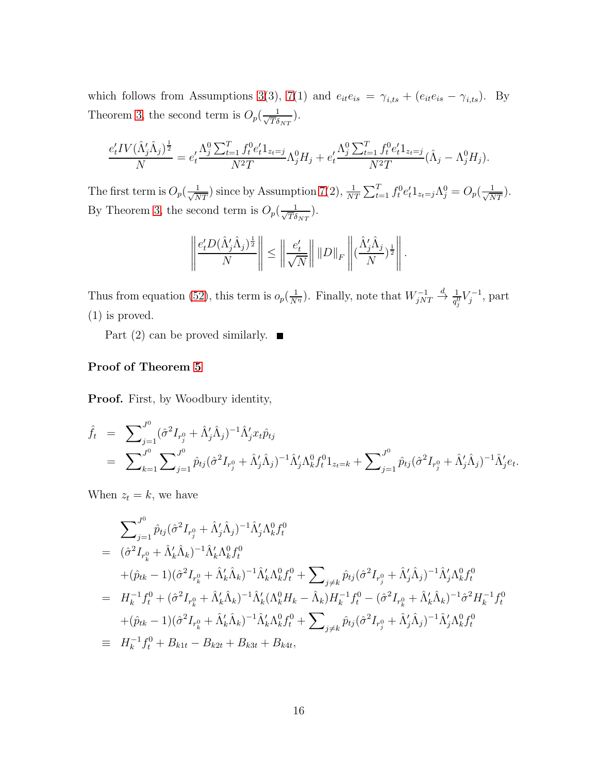which follows from Assumptions [3\(](#page-12-1)3), [7\(](#page-13-2)1) and  $e_{it}e_{is} = \gamma_{i,ts} + (e_{it}e_{is} - \gamma_{i,ts})$ . By Theorem [3,](#page-15-3) the second term is  $O_p(\frac{1}{\sqrt{T}\delta})$  $\frac{1}{T\delta_{NT}}$ ).

$$
\frac{e'_t IV(\hat{\Lambda}'_j \hat{\Lambda}_j)^{\frac{1}{2}}}{N} = e'_t \frac{\Lambda_j^0 \sum_{t=1}^T f_t^0 e'_t \mathbf{1}_{z_t=j}}{N^2 T} \Lambda_j^0 H_j + e'_t \frac{\Lambda_j^0 \sum_{t=1}^T f_t^0 e'_t \mathbf{1}_{z_t=j}}{N^2 T} (\hat{\Lambda}_j - \Lambda_j^0 H_j).
$$

The first term is  $O_p(\frac{1}{\sqrt{NT}})$  since by Assumption [7\(](#page-13-2)2),  $\frac{1}{NT} \sum_{t=1}^T f_t^0 e_t^t 1_{z_t=j} \Lambda_j^0 = O_p(\frac{1}{\sqrt{NT}})$ . By Theorem [3,](#page-15-3) the second term is  $O_p(\frac{1}{\sqrt{T}\delta})$  $\frac{1}{T\delta_{NT}}$ ).

$$
\left\|\frac{e'_t D(\hat{\Lambda}'_j \hat{\Lambda}_j)^{\frac{1}{2}}}{N}\right\| \le \left\|\frac{e'_t}{\sqrt{N}}\right\| \|D\|_F \left\|(\frac{\hat{\Lambda}'_j \hat{\Lambda}_j}{N})^{\frac{1}{2}}\right\|.
$$

Thus from equation [\(52\)](#page-58-3), this term is  $o_p(\frac{1}{N^{\eta}})$ . Finally, note that  $W_{jNT}^{-1}$  $\stackrel{d}{\to} \frac{1}{q_j^0} V_j^{-1}$ , part (1) is proved.

Part (2) can be proved similarly.  $\blacksquare$ 

### Proof of Theorem [5](#page-16-1)

Proof. First, by Woodbury identity,

$$
\hat{f}_t = \sum_{j=1}^{J^0} (\hat{\sigma}^2 I_{r_j^0} + \hat{\Lambda}'_j \hat{\Lambda}_j)^{-1} \hat{\Lambda}'_j x_t \hat{p}_{tj} \n= \sum_{k=1}^{J^0} \sum_{j=1}^{J^0} \hat{p}_{tj} (\hat{\sigma}^2 I_{r_j^0} + \hat{\Lambda}'_j \hat{\Lambda}_j)^{-1} \hat{\Lambda}'_j \Lambda_k^0 f_t^0 1_{z_t = k} + \sum_{j=1}^{J^0} \hat{p}_{tj} (\hat{\sigma}^2 I_{r_j^0} + \hat{\Lambda}'_j \hat{\Lambda}_j)^{-1} \hat{\Lambda}'_j e_t.
$$

When  $z_t = k$ , we have

$$
\sum_{j=1}^{J^0} \hat{p}_{tj} (\hat{\sigma}^2 I_{r_j^0} + \hat{\Lambda}'_j \hat{\Lambda}_j)^{-1} \hat{\Lambda}'_j \Lambda_k^0 f_t^0
$$
\n
$$
= (\hat{\sigma}^2 I_{r_k^0} + \hat{\Lambda}'_k \hat{\Lambda}_k)^{-1} \hat{\Lambda}'_k \Lambda_k^0 f_t^0
$$
\n
$$
+ (\hat{p}_{tk} - 1)(\hat{\sigma}^2 I_{r_k^0} + \hat{\Lambda}'_k \hat{\Lambda}_k)^{-1} \hat{\Lambda}'_k \Lambda_k^0 f_t^0 + \sum_{j \neq k} \hat{p}_{tj} (\hat{\sigma}^2 I_{r_j^0} + \hat{\Lambda}'_j \hat{\Lambda}_j)^{-1} \hat{\Lambda}'_j \Lambda_k^0 f_t^0
$$
\n
$$
= H_k^{-1} f_t^0 + (\hat{\sigma}^2 I_{r_k^0} + \hat{\Lambda}'_k \hat{\Lambda}_k)^{-1} \hat{\Lambda}'_k (\Lambda_k^0 H_k - \hat{\Lambda}_k) H_k^{-1} f_t^0 - (\hat{\sigma}^2 I_{r_k^0} + \hat{\Lambda}'_k \hat{\Lambda}_k)^{-1} \hat{\sigma}^2 H_k^{-1} f_t^0
$$
\n
$$
+ (\hat{p}_{tk} - 1)(\hat{\sigma}^2 I_{r_k^0} + \hat{\Lambda}'_k \hat{\Lambda}_k)^{-1} \hat{\Lambda}'_k \Lambda_k^0 f_t^0 + \sum_{j \neq k} \hat{p}_{tj} (\hat{\sigma}^2 I_{r_j^0} + \hat{\Lambda}'_j \hat{\Lambda}_j)^{-1} \hat{\Lambda}'_j \Lambda_k^0 f_t^0
$$
\n
$$
\equiv H_k^{-1} f_t^0 + B_{k1t} - B_{k2t} + B_{k3t} + B_{k4t},
$$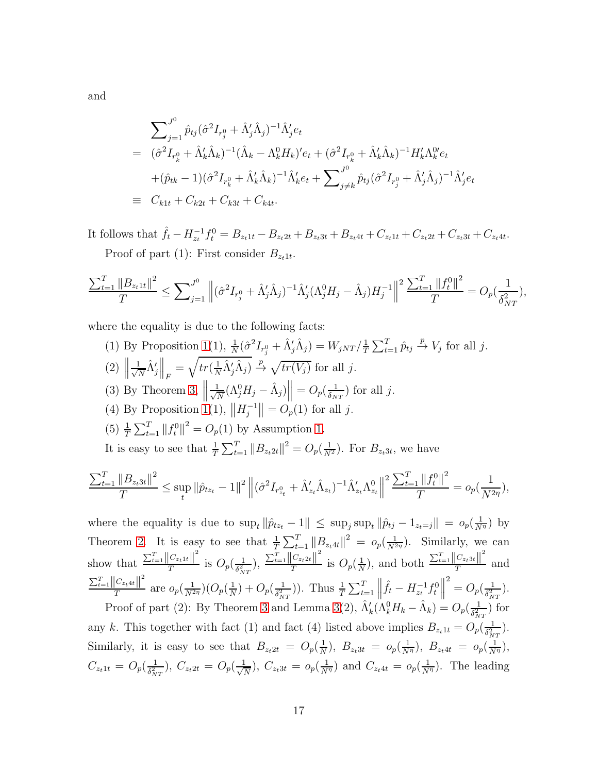and

$$
\sum_{j=1}^{J^0} \hat{p}_{tj} (\hat{\sigma}^2 I_{r_j^0} + \hat{\Lambda}'_j \hat{\Lambda}_j)^{-1} \hat{\Lambda}'_j e_t
$$
\n
$$
= (\hat{\sigma}^2 I_{r_k^0} + \hat{\Lambda}'_k \hat{\Lambda}_k)^{-1} (\hat{\Lambda}_k - \Lambda_k^0 H_k)' e_t + (\hat{\sigma}^2 I_{r_k^0} + \hat{\Lambda}'_k \hat{\Lambda}_k)^{-1} H'_k \Lambda_k^0 e_t
$$
\n
$$
+ (\hat{p}_{tk} - 1) (\hat{\sigma}^2 I_{r_k^0} + \hat{\Lambda}'_k \hat{\Lambda}_k)^{-1} \hat{\Lambda}'_k e_t + \sum_{j \neq k}^{J^0} \hat{p}_{tj} (\hat{\sigma}^2 I_{r_j^0} + \hat{\Lambda}'_j \hat{\Lambda}_j)^{-1} \hat{\Lambda}'_j e_t
$$
\n
$$
\equiv C_{k1t} + C_{k2t} + C_{k3t} + C_{k4t}.
$$

It follows that  $\hat{f}_t - H_{z_t}^{-1} f_t^0 = B_{z_t 1t} - B_{z_t 2t} + B_{z_t 3t} + B_{z_t 4t} + C_{z_t 1t} + C_{z_t 2t} + C_{z_t 3t} + C_{z_t 4t}.$ 

Proof of part (1): First consider  $B_{z_t 1 t}$ .

$$
\frac{\sum_{t=1}^{T}||B_{z_t1t}||^2}{T} \leq \sum_{j=1}^{J^0} \left\| (\hat{\sigma}^2 I_{r_j^0} + \hat{\Lambda}'_j \hat{\Lambda}_j)^{-1} \hat{\Lambda}'_j (\Lambda_j^0 H_j - \hat{\Lambda}_j) H_j^{-1} \right\|^2 \frac{\sum_{t=1}^{T}||f_t^0||^2}{T} = O_p(\frac{1}{\delta_{NT}^2}),
$$

where the equality is due to the following facts:

(1) By Proposition [1\(](#page-15-1)1),  $\frac{1}{N}(\hat{\sigma}^2 I_{r_j^0} + \hat{\Lambda}'_j \hat{\Lambda}_j) = W_{jNT} / \frac{1}{T}$  $\frac{1}{T} \sum_{t=1}^{T} \hat{p}_{tj} \stackrel{p}{\rightarrow} V_j$  for all j.  $(2)$   $\left\| \frac{1}{\sqrt{l}} \right\|$  $\frac{1}{N}\hat{\Lambda}_j'\bigg\|_F = \sqrt{tr(\frac{1}{N})}$  $\frac{1}{N}\hat{\Lambda}'_j\hat{\Lambda}_j$   $\to \sqrt{tr(V_j)}$  for all j. (3) By Theorem [3,](#page-15-3)  $\left\| \frac{1}{\sqrt{l}} \right\|$  $\frac{1}{N}(\Lambda_j^0 H_j - \hat{\Lambda}_j)$  =  $O_p(\frac{1}{\delta_N})$  $\frac{1}{\delta_{NT}}$ ) for all j. (4) By Proposition [1\(](#page-15-1)1),  $||H_j^{-1}|| = O_p(1)$  for all j. (5)  $\frac{1}{T} \sum_{t=1}^{T} ||f_t^0||^2 = O_p(1)$  by Assumption [1.](#page-11-1) It is easy to see that  $\frac{1}{T} \sum_{t=1}^T ||B_{z_t 2t}||^2 = O_p(\frac{1}{N^2})$ . For  $B_{z_t 3t}$ , we have

$$
\frac{\sum_{t=1}^{T} \|B_{z_t 3t}\|^2}{T} \leq \sup_t \|\hat{p}_{t z_t} - 1\|^2 \left\| (\hat{\sigma}^2 I_{r_{z_t}^0} + \hat{\Lambda}'_{z_t} \hat{\Lambda}_{z_t})^{-1} \hat{\Lambda}'_{z_t} {\Lambda}_{z_t}^0 \right\|^2 \frac{\sum_{t=1}^{T} \|f_t^0\|^2}{T} = o_p(\frac{1}{N^{2\eta}}),
$$

where the equality is due to  $\sup_t \|\hat{p}_{tz_t} - 1\| \leq \sup_j \sup_t \|\hat{p}_{tj} - 1_{z_t=j}\| = o_p(\frac{1}{N^{\eta}})$  by Theorem [2.](#page-14-0) It is easy to see that  $\frac{1}{T}\sum_{t=1}^T ||B_{z_t 4t}||^2 = o_p(\frac{1}{N^{2\eta}})$ . Similarly, we can show that  $\frac{\sum_{t=1}^{T} ||C_{z_t}||^2}{T}$  $\frac{|C_{z_t}1|}{T}$  is  $O_p(\frac{1}{\delta_N^2})$  $\frac{1}{\delta_{NT}^2}$ ),  $\frac{\sum_{t=1}^{T} ||C_{z_t2t}||^2}{T}$  $\frac{|C_{z_t}2t||}{T}$  is  $O_p(\frac{1}{N})$  $\frac{1}{N}$ ), and both  $\frac{\sum_{t=1}^{T} ||C_{z_t3t}||^2}{T}$  $T^{\frac{Cz_t s_t||}{T}}$  and  $\sum_{t=1}^{T} ||C_{z_t4t}||^2$  $\frac{|C_{z_t4t}|}{T}$  are  $o_p(\frac{1}{N^{2\eta}})(O_p(\frac{1}{N}))$  $\frac{1}{N})+O_p(\frac{1}{\delta_N^2})$  $\frac{1}{\delta_{NT}^2}$ )). Thus  $\frac{1}{T} \sum_{t=1}^T \left\| \hat{f}_t - H_{z_t}^{-1} f_t^0 \right\|$  $^{2} = O_{p}(\frac{1}{\delta^{2}})$  $\frac{1}{\delta_{NT}^2}$ .

Proof of part (2): By Theorem [3](#page-15-3) and Lemma [3\(](#page-61-0)2),  $\hat{\Lambda}'_k(\hat{\Lambda}^0_k H_k - \hat{\Lambda}_k) = O_p(\frac{1}{\delta_N^2})$  $\frac{1}{\delta_{NT}^2}$ ) for any k. This together with fact (1) and fact (4) listed above implies  $B_{z_t}$   $t = O_p(\frac{1}{\delta_x^2})$  $\frac{1}{\delta_{NT}^2}$ ).  $_{NT}$ Similarly, it is easy to see that  $B_{z_t2t} = O_p(\frac{1}{N})$  $\frac{1}{N}$ ),  $B_{z_t}$ <sub>3</sub>t =  $o_p(\frac{1}{N^{\eta}})$ ,  $B_{z_t}$ <sub>4</sub>t =  $o_p(\frac{1}{N^{\eta}})$ ,  $C_{z_t1t} = O_p(\frac{1}{\delta_1^2})$  $\frac{1}{\delta_{NT}^2}$ ),  $C_{z_t 2t} = O_p(\frac{1}{\sqrt{N}})$  $\frac{1}{N}$ ,  $C_{z_t3t} = o_p(\frac{1}{N^{\eta}})$  and  $C_{z_t4t} = o_p(\frac{1}{N^{\eta}})$ . The leading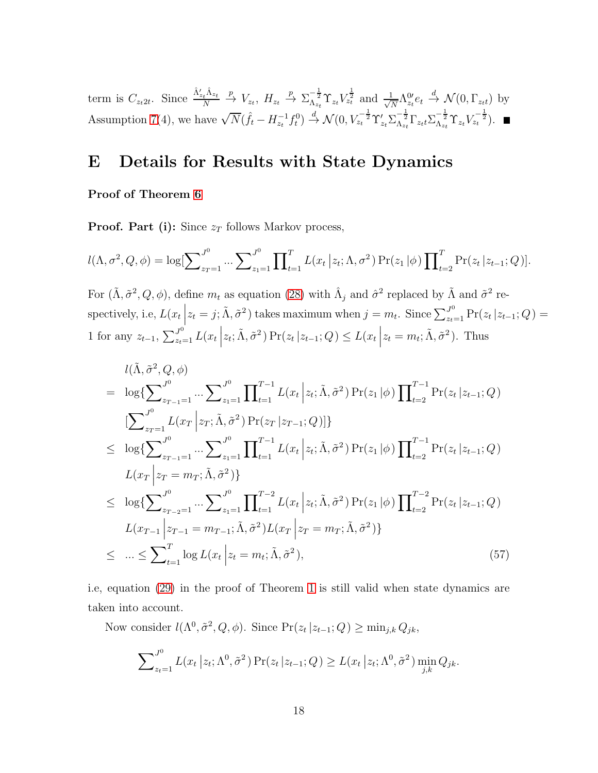term is  $C_{z_t 2t}$ . Since  $\frac{\hat{\Lambda}'_{z_t} \hat{\Lambda}_{z_t}}{N}$ N  $\stackrel{p}{\rightarrow} V_{z_t}, H_{z_t} \stackrel{p}{\rightarrow} \Sigma_{\Lambda_{z_t}}^{-\frac{1}{2}} \Upsilon_{z_t} V_{z_t}^{\frac{1}{2}}$  and  $\frac{1}{\sqrt{2}}$  $\frac{1}{N} \Lambda_{z_t}^{0\prime} e_t \stackrel{d}{\rightarrow} \mathcal{N}(0, \Gamma_{z_t t})$  by Assumption [7\(](#page-13-2)4), we have  $\sqrt{N}(\hat{f}_t - H_{z_t}^{-1} f_t^0) \stackrel{d}{\to} \mathcal{N}(0, V_{z_t}^{-\frac{1}{2}} \Upsilon'_{z_t} \Sigma_{\Lambda_{z_t}}^{-\frac{1}{2}} \Gamma_{z_t t} \Sigma_{\Lambda_{z_t}}^{-\frac{1}{2}} \Upsilon_{z_t} V_{z_t}^{-\frac{1}{2}})$ .

# E Details for Results with State Dynamics

### Proof of Theorem [6](#page-20-1)

**Proof. Part (i):** Since  $z_T$  follows Markov process,

$$
l(\Lambda, \sigma^2, Q, \phi) = \log[\sum_{z_T=1}^{J^0} \dots \sum_{z_1=1}^{J^0} \prod_{t=1}^T L(x_t | z_t; \Lambda, \sigma^2) \Pr(z_1 | \phi) \prod_{t=2}^T \Pr(z_t | z_{t-1}; Q)].
$$

For  $(\tilde{\Lambda}, \tilde{\sigma}^2, Q, \phi)$ , define  $m_t$  as equation [\(28\)](#page-47-2) with  $\hat{\Lambda}_j$  and  $\hat{\sigma}^2$  replaced by  $\tilde{\Lambda}$  and  $\tilde{\sigma}^2$  respectively, i.e,  $L(x_t\Big|$  $z_t = j; \tilde{\Lambda}, \tilde{\sigma}^2$  takes maximum when  $j = m_t$ . Since  $\sum_{z_t=1}^{J^0} \Pr(z_t | z_{t-1}; Q)$ 1 for any  $z_{t-1}$ ,  $\sum_{z_t=1}^{J^0} L(x_t)$  $z_t$ ;  $\tilde{\Lambda}$ ,  $\tilde{\sigma}^2$ ) Pr( $z_t$  | $z_{t-1}$ ;  $Q$ )  $\leq L(x_t)$  $z_t = m_t; \tilde{\Lambda}, \tilde{\sigma}^2$ . Thus

<span id="page-64-0"></span>
$$
l(\tilde{\Lambda}, \tilde{\sigma}^{2}, Q, \phi)
$$
\n
$$
= \log \{ \sum_{z_{T-1}=1}^{J^{0}} \cdots \sum_{z_{1}=1}^{J^{0}} \prod_{t=1}^{T-1} L(x_{t} | z_{t}; \tilde{\Lambda}, \tilde{\sigma}^{2}) \Pr(z_{1} | \phi) \prod_{t=2}^{T-1} \Pr(z_{t} | z_{t-1}; Q)
$$
\n
$$
[ \sum_{z_{T}=1}^{J^{0}} L(x_{T} | z_{T}; \tilde{\Lambda}, \tilde{\sigma}^{2}) \Pr(z_{T} | z_{T-1}; Q)] \}
$$
\n
$$
\leq \log \{ \sum_{z_{T-1}=1}^{J^{0}} \cdots \sum_{z_{1}=1}^{J^{0}} \prod_{t=1}^{T-1} L(x_{t} | z_{t}; \tilde{\Lambda}, \tilde{\sigma}^{2}) \Pr(z_{1} | \phi) \prod_{t=2}^{T-1} \Pr(z_{t} | z_{t-1}; Q)
$$
\n
$$
L(x_{T} | z_{T} = m_{T}; \tilde{\Lambda}, \tilde{\sigma}^{2}) \}
$$
\n
$$
\leq \log \{ \sum_{z_{T-2}=1}^{J^{0}} \cdots \sum_{z_{1}=1}^{J^{0}} \prod_{t=1}^{T-2} L(x_{t} | z_{t}; \tilde{\Lambda}, \tilde{\sigma}^{2}) \Pr(z_{1} | \phi) \prod_{t=2}^{T-2} \Pr(z_{t} | z_{t-1}; Q)
$$
\n
$$
L(x_{T-1} | z_{T-1} = m_{T-1}; \tilde{\Lambda}, \tilde{\sigma}^{2}) L(x_{T} | z_{T} = m_{T}; \tilde{\Lambda}, \tilde{\sigma}^{2}) \}
$$
\n
$$
\leq \cdots \leq \sum_{t=1}^{T} \log L(x_{t} | z_{t} = m_{t}; \tilde{\Lambda}, \tilde{\sigma}^{2}), \qquad (57)
$$

i.e, equation [\(29\)](#page-47-0) in the proof of Theorem [1](#page-13-3) is still valid when state dynamics are taken into account.

Now consider  $l(\Lambda^0, \tilde{\sigma}^2, Q, \phi)$ . Since  $Pr(z_t | z_{t-1}; Q) \ge \min_{j,k} Q_{jk}$ ,

$$
\sum\nolimits_{z_t=1}^{J^0} L(x_t | z_t; \Lambda^0, \tilde{\sigma}^2) \Pr(z_t | z_{t-1}; Q) \geq L(x_t | z_t; \Lambda^0, \tilde{\sigma}^2) \min_{j,k} Q_{jk}.
$$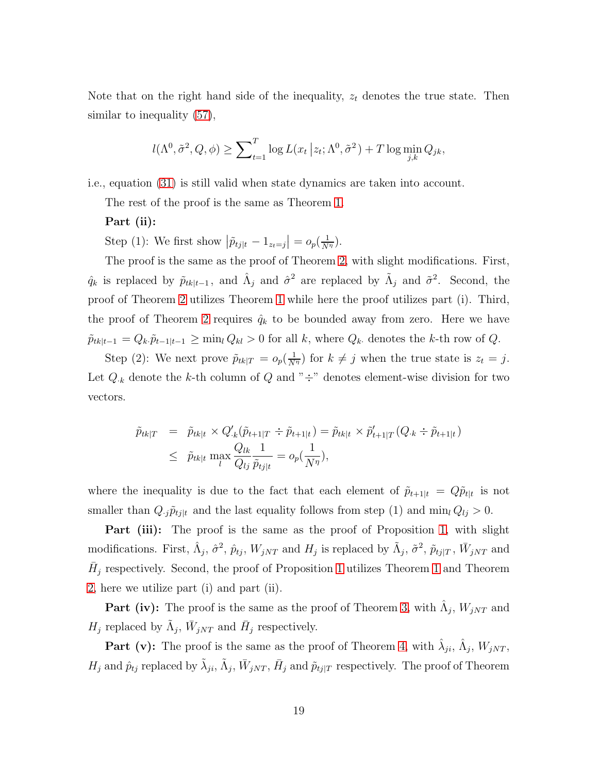Note that on the right hand side of the inequality,  $z_t$  denotes the true state. Then similar to inequality [\(57\)](#page-64-0),

$$
l(\Lambda^0, \tilde{\sigma}^2, Q, \phi) \ge \sum_{t=1}^T \log L(x_t | z_t; \Lambda^0, \tilde{\sigma}^2) + T \log \min_{j,k} Q_{jk},
$$

i.e., equation [\(31\)](#page-48-3) is still valid when state dynamics are taken into account.

The rest of the proof is the same as Theorem [1.](#page-13-3)

#### Part (ii):

Step (1): We first show  $|\tilde{p}_{tj|t} - 1_{z_t=j}| = o_p(\frac{1}{N^{\eta}})$ .

The proof is the same as the proof of Theorem [2,](#page-14-0) with slight modifications. First,  $\hat{q}_k$  is replaced by  $\tilde{p}_{tk|t-1}$ , and  $\hat{\Lambda}_j$  and  $\hat{\sigma}^2$  are replaced by  $\tilde{\Lambda}_j$  and  $\tilde{\sigma}^2$ . Second, the proof of Theorem [2](#page-14-0) utilizes Theorem [1](#page-13-3) while here the proof utilizes part (i). Third, the proof of Theorem [2](#page-14-0) requires  $\hat{q}_k$  to be bounded away from zero. Here we have  $\tilde{p}_{tk|t-1} = Q_k \tilde{p}_{t-1|t-1} \ge \min_l Q_{kl} > 0$  for all k, where  $Q_k$  denotes the k-th row of  $Q$ .

Step (2): We next prove  $\tilde{p}_{tk|T} = o_p(\frac{1}{N^{\eta}})$  for  $k \neq j$  when the true state is  $z_t = j$ . Let  $Q_{\cdot k}$  denote the k-th column of  $Q$  and " $\div$ " denotes element-wise division for two vectors.

$$
\tilde{p}_{tk|T} = \tilde{p}_{tk|t} \times Q'_{k}(\tilde{p}_{t+1|T} \div \tilde{p}_{t+1|t}) = \tilde{p}_{tk|t} \times \tilde{p}'_{t+1|T}(Q_{\cdot k} \div \tilde{p}_{t+1|t})
$$
\n
$$
\leq \tilde{p}_{tk|t} \max_{l} \frac{Q_{lk}}{Q_{lj}} \frac{1}{\tilde{p}_{tj|t}} = o_p(\frac{1}{N^{\eta}}),
$$

where the inequality is due to the fact that each element of  $\tilde{p}_{t+1|t} = Q\tilde{p}_{t|t}$  is not smaller than  $Q_{.j}\tilde{p}_{tj|t}$  and the last equality follows from step (1) and min<sub>l</sub>  $Q_{lj} > 0$ .

**Part (iii):** The proof is the same as the proof of Proposition [1,](#page-15-1) with slight modifications. First,  $\hat{\Lambda}_j$ ,  $\hat{\sigma}^2$ ,  $\hat{p}_{tj}$ ,  $W_{jNT}$  and  $H_j$  is replaced by  $\tilde{\Lambda}_j$ ,  $\tilde{\sigma}^2$ ,  $\tilde{p}_{tj|T}$ ,  $\bar{W}_{jNT}$  and  $\bar{H}_j$  respectively. Second, the proof of Proposition [1](#page-13-3) utilizes Theorem 1 and Theorem [2,](#page-14-0) here we utilize part (i) and part (ii).

**Part (iv):** The proof is the same as the proof of Theorem [3,](#page-15-3) with  $\hat{\Lambda}_j$ ,  $W_{jNT}$  and  $H_j$  replaced by  $\tilde{\Lambda}_j$ ,  $\bar{W}_{jNT}$  and  $\bar{H}_j$  respectively.

**Part (v):** The proof is the same as the proof of Theorem [4,](#page-15-4) with  $\hat{\lambda}_{ji}$ ,  $\hat{\Lambda}_j$ ,  $W_{jNT}$ ,  $H_j$  and  $\hat{p}_{tj}$  replaced by  $\tilde{\lambda}_{ji}$ ,  $\tilde{\Lambda}_j$ ,  $\bar{W}_{jNT}$ ,  $\bar{H}_j$  and  $\tilde{p}_{tj|T}$  respectively. The proof of Theorem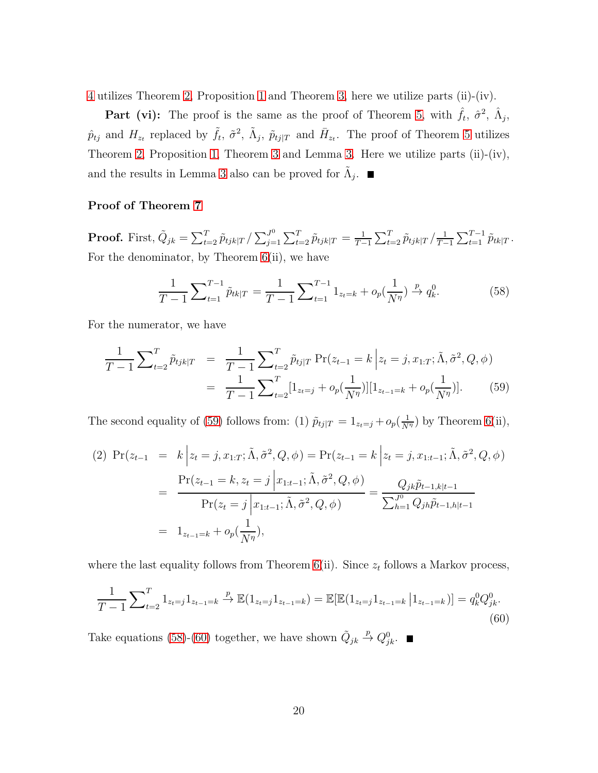[4](#page-15-4) utilizes Theorem [2,](#page-14-0) Proposition [1](#page-15-1) and Theorem [3,](#page-15-3) here we utilize parts (ii)-(iv).

**Part (vi):** The proof is the same as the proof of Theorem [5,](#page-16-1) with  $\hat{f}_t$ ,  $\hat{\sigma}^2$ ,  $\hat{\Lambda}_j$ ,  $\hat{p}_{tj}$  and  $H_{z_t}$  replaced by  $\tilde{f}_t$ ,  $\tilde{\sigma}^2$ ,  $\tilde{\Lambda}_j$ ,  $\tilde{p}_{tj|T}$  and  $\bar{H}_{z_t}$ . The proof of Theorem [5](#page-16-1) utilizes Theorem [2,](#page-14-0) Proposition [1,](#page-15-1) Theorem [3](#page-15-3) and Lemma [3.](#page-61-0) Here we utilize parts (ii)-(iv), and the results in Lemma [3](#page-61-0) also can be proved for  $\tilde{\Lambda}_j$ .

#### Proof of Theorem [7](#page-21-1)

**Proof.** First,  $\tilde{Q}_{jk} = \sum_{t=2}^T \tilde{p}_{tjk|T} / \sum_{j=1}^{J^0}$  $\frac{J^0}{j=1}\sum_{t=2}^T \widetilde{p}_{tjk|T} = \frac{1}{T-1}$  $\frac{1}{T-1}\sum_{t=2}^T \tilde{p}_{tjk|T} / \frac{1}{T-1}$  $\frac{1}{T-1}\sum_{t=1}^{T-1} \tilde{p}_{tk|T}$ . For the denominator, by Theorem  $6(ii)$ , we have

<span id="page-66-1"></span>
$$
\frac{1}{T-1} \sum_{t=1}^{T-1} \tilde{p}_{tk|T} = \frac{1}{T-1} \sum_{t=1}^{T-1} 1_{z_t=k} + o_p(\frac{1}{N^{\eta}}) \stackrel{p}{\to} q_k^0.
$$
 (58)

For the numerator, we have

<span id="page-66-0"></span>
$$
\frac{1}{T-1} \sum_{t=2}^{T} \tilde{p}_{tjk|T} = \frac{1}{T-1} \sum_{t=2}^{T} \tilde{p}_{tj|T} \Pr(z_{t-1} = k \Big| z_t = j, x_{1:T}; \tilde{\Lambda}, \tilde{\sigma}^2, Q, \phi)
$$

$$
= \frac{1}{T-1} \sum_{t=2}^{T} [1_{z_t=j} + o_p(\frac{1}{N^{\eta}})][1_{z_{t-1}=k} + o_p(\frac{1}{N^{\eta}})]. \tag{59}
$$

The second equality of [\(59\)](#page-66-0) follows from: (1)  $\tilde{p}_{tj|T} = 1_{z_t=j} + o_p(\frac{1}{N^{\eta}})$  by Theorem [6\(](#page-20-1)ii),

$$
\begin{split} \text{(2) } \Pr(z_{t-1} \ = \ k \ \Big| z_t = j, x_{1:T}; \tilde{\Lambda}, \tilde{\sigma}^2, Q, \phi) = \Pr(z_{t-1} = k \ \Big| z_t = j, x_{1:t-1}; \tilde{\Lambda}, \tilde{\sigma}^2, Q, \phi) \\ &= \frac{\Pr(z_{t-1} = k, z_t = j \ \Big| x_{1:t-1}; \tilde{\Lambda}, \tilde{\sigma}^2, Q, \phi)}{\Pr(z_t = j \ \Big| x_{1:t-1}; \tilde{\Lambda}, \tilde{\sigma}^2, Q, \phi)} = \frac{Q_{jk} \tilde{p}_{t-1, k|t-1}}{\sum_{h=1}^{J^0} Q_{jh} \tilde{p}_{t-1, h|t-1}} \\ &= 1_{z_{t-1} = k} + o_p(\frac{1}{N^{\eta}}), \end{split}
$$

where the last equality follows from Theorem  $6(ii)$ . Since  $z_t$  follows a Markov process,

<span id="page-66-2"></span>
$$
\frac{1}{T-1} \sum_{t=2}^{T} 1_{z_t=j} 1_{z_{t-1}=k} \xrightarrow{p} \mathbb{E}(1_{z_t=j} 1_{z_{t-1}=k}) = \mathbb{E}[\mathbb{E}(1_{z_t=j} 1_{z_{t-1}=k} | 1_{z_{t-1}=k})] = q_k^0 Q_{jk}^0.
$$
\n(60)

Take equations [\(58\)](#page-66-1)-[\(60\)](#page-66-2) together, we have shown  $\tilde{Q}_{jk}$  $xrightarrow{p} Q_{jk}^0$ .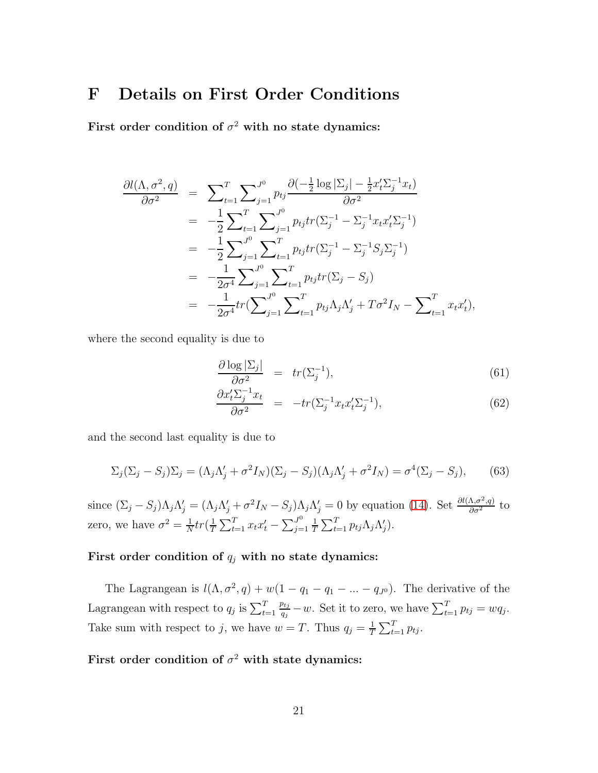# <span id="page-67-0"></span>F Details on First Order Conditions

First order condition of  $\sigma^2$  with no state dynamics:

$$
\frac{\partial l(\Lambda, \sigma^2, q)}{\partial \sigma^2} = \sum_{t=1}^T \sum_{j=1}^{J^0} p_{tj} \frac{\partial (-\frac{1}{2} \log |\Sigma_j| - \frac{1}{2} x_t' \Sigma_j^{-1} x_t)}{\partial \sigma^2} \n= -\frac{1}{2} \sum_{t=1}^T \sum_{j=1}^{J^0} p_{tj} tr(\Sigma_j^{-1} - \Sigma_j^{-1} x_t x_t' \Sigma_j^{-1}) \n= -\frac{1}{2} \sum_{j=1}^{J^0} \sum_{t=1}^T p_{tj} tr(\Sigma_j^{-1} - \Sigma_j^{-1} S_j \Sigma_j^{-1}) \n= -\frac{1}{2\sigma^4} \sum_{j=1}^{J^0} \sum_{t=1}^T p_{tj} tr(\Sigma_j - S_j) \n= -\frac{1}{2\sigma^4} tr(\sum_{j=1}^{J^0} \sum_{t=1}^T p_{tj} \Lambda_j \Lambda_j' + T\sigma^2 I_N - \sum_{t=1}^T x_t x_t'),
$$

where the second equality is due to

<span id="page-67-1"></span>
$$
\frac{\partial \log |\Sigma_j|}{\partial \sigma^2} = tr(\Sigma_j^{-1}),\tag{61}
$$

$$
\frac{\partial x'_t \Sigma_j^{-1} x_t}{\partial \sigma^2} = -tr(\Sigma_j^{-1} x_t x'_t \Sigma_j^{-1}), \tag{62}
$$

and the second last equality is due to

<span id="page-67-2"></span>
$$
\Sigma_j(\Sigma_j - S_j)\Sigma_j = (\Lambda_j \Lambda'_j + \sigma^2 I_N)(\Sigma_j - S_j)(\Lambda_j \Lambda'_j + \sigma^2 I_N) = \sigma^4(\Sigma_j - S_j),\tag{63}
$$

since  $(\Sigma_j - S_j)\Lambda_j\Lambda'_j = (\Lambda_j\Lambda'_j + \sigma^2I_N - S_j)\Lambda_j\Lambda'_j = 0$  by equation [\(14\)](#page-10-0). Set  $\frac{\partial l(\Lambda, \sigma^2, q)}{\partial \sigma^2}$  to zero, we have  $\sigma^2 = \frac{1}{N}$  $\frac{1}{N}tr(\frac{1}{T}% )^{2}tr(\frac{1}{T^{2}})\rho (1_{T}^{2})$  $\frac{1}{T} \sum_{t=1}^{T} x_t x_t' - \sum_{j=1}^{J^0}$  $j=1$ 1  $\frac{1}{T} \sum_{t=1}^{T} p_{tj} \Lambda_j \Lambda'_j$ .

### First order condition of  $q_j$  with no state dynamics:

The Lagrangean is  $l(\Lambda, \sigma^2, q) + w(1 - q_1 - q_1 - \dots - q_{J^0})$ . The derivative of the Lagrangean with respect to  $q_j$  is  $\sum_{t=1}^T$  $p_{tj}$  $\frac{q_{ij}}{q_j} - w$ . Set it to zero, we have  $\sum_{t=1}^{T} p_{tj} = wq_j$ . Take sum with respect to j, we have  $w = T$ . Thus  $q_j = \frac{1}{T}$  $\frac{1}{T} \sum_{t=1}^T p_{tj}$ .

### First order condition of  $\sigma^2$  with state dynamics: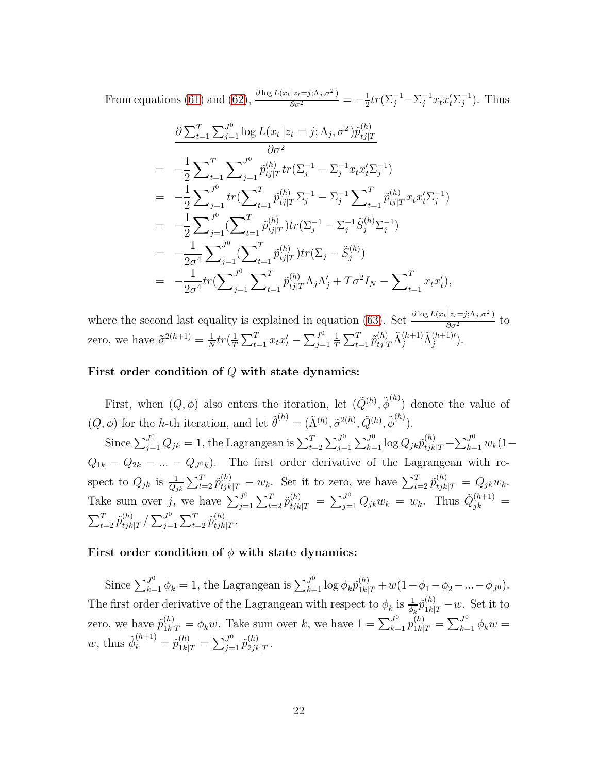From equations [\(61\)](#page-67-1) and [\(62\)](#page-67-1),  $\frac{\partial \log L(x_t|z_t=j;\Lambda_j,\sigma^2)}{\partial \sigma^2} = -\frac{1}{2}$  $\frac{1}{2}tr(\Sigma_j^{-1} - \Sigma_j^{-1} x_t x_t' \Sigma_j^{-1}).$  Thus

$$
\frac{\partial \sum_{t=1}^{T} \sum_{j=1}^{J^0} \log L(x_t | z_t = j; \Lambda_j, \sigma^2) \tilde{p}_{tj|T}^{(h)}}{\partial \sigma^2} \n= -\frac{1}{2} \sum_{t=1}^{T} \sum_{j=1}^{J^0} \tilde{p}_{tj|T}^{(h)} tr(\Sigma_j^{-1} - \Sigma_j^{-1} x_t x_t' \Sigma_j^{-1}) \n= -\frac{1}{2} \sum_{j=1}^{J^0} tr(\sum_{t=1}^{T} \tilde{p}_{tj|T}^{(h)} \Sigma_j^{-1} - \Sigma_j^{-1} \sum_{t=1}^{T} \tilde{p}_{tj|T}^{(h)} x_t x_t' \Sigma_j^{-1}) \n= -\frac{1}{2} \sum_{j=1}^{J^0} (\sum_{t=1}^{T} \tilde{p}_{tj|T}^{(h)}) tr(\Sigma_j^{-1} - \Sigma_j^{-1} \tilde{S}_j^{(h)} \Sigma_j^{-1}) \n= -\frac{1}{2\sigma^4} \sum_{j=1}^{J^0} (\sum_{t=1}^{T} \tilde{p}_{tj|T}^{(h)}) tr(\Sigma_j - \tilde{S}_j^{(h)}) \n= -\frac{1}{2\sigma^4} tr(\sum_{j=1}^{J^0} \sum_{t=1}^{T} \tilde{p}_{tj|T}^{(h)} \Lambda_j \Lambda_j' + T\sigma^2 I_N - \sum_{t=1}^{T} x_t x_t'),
$$

where the second last equality is explained in equation [\(63\)](#page-67-2). Set  $\frac{\partial \log L(x_t|z_t=j; \Lambda_j, \sigma^2)}{\partial \sigma^2}$  to zero, we have  $\tilde{\sigma}^{2(h+1)} = \frac{1}{N}$  $\frac{1}{N}tr(\frac{1}{T}% )^{2}tr(\frac{1}{T^{2}})^{2}tr(\frac{1}{T^{2}})\cdot \frac{1}{N^{2}}%$  $\frac{1}{T} \sum_{t=1}^{T} x_t x_t' - \sum_{j=1}^{J^0}$  $j=1$ 1  $\frac{1}{T} \sum_{t=1}^{T} \tilde{p}_{tj|T}^{(h)} \tilde{\Lambda}_j^{(h+1)} \tilde{\Lambda}_j^{(h+1)'}$ 

#### First order condition of Q with state dynamics:

First, when  $(Q, \phi)$  also enters the iteration, let  $(\tilde{Q}^{(h)}, {\tilde{\phi}}^{(h)})$  denote the value of  $(Q, \phi)$  for the h-th iteration, and let  $\tilde{\theta}^{(h)} = (\tilde{\Lambda}^{(h)}, \tilde{\sigma}^{2(h)}, \tilde{Q}^{(h)}, \tilde{\phi}^{(h)}).$ 

Since  $\sum_{j=1}^{J^0} Q_{jk} = 1$ , the Lagrangean is  $\sum_{t=2}^{T} \sum_{j=1}^{J^0}$  $J_{j=1}^{0} \sum_{k=1}^{J^{0}} \log Q_{jk} \tilde{p}_{tjk|T}^{(h)} + \sum_{k=1}^{J^{0}} w_{k} (1 Q_{1k} - Q_{2k} - ... - Q_{J^0k}$ . The first order derivative of the Lagrangean with respect to  $Q_{jk}$  is  $\frac{1}{Q_{jk}} \sum_{t=2}^T \tilde{p}_{tjk|T}^{(h)} - w_k$ . Set it to zero, we have  $\sum_{t=2}^T \tilde{p}_{tjk|T}^{(h)} = Q_{jk} w_k$ . Take sum over j, we have  $\sum_{i=1}^{J^0}$  $J^0_{j=1} \sum_{t=2}^T \tilde{p}_{tjk|T}^{(h)} = \sum_{j=1}^J Q_{jk} w_k = w_k$ . Thus  $\tilde{Q}_{jk}^{(h+1)} =$  $\sum_{t=2}^T \tilde{p}_{tjk}^{(h)}$  $\binom{h}{tjk|T}$  /  $\sum_{j=1}^{J^0}$  $\sum_{t=1}^{J^0}\sum_{t=2}^{T}\widetilde{p}_{tjk}^{(h)}$  $\frac{(n)}{tjk|T}.$ 

### First order condition of  $\phi$  with state dynamics:

Since  $\sum_{k=1}^{J^0} \phi_k = 1$ , the Lagrangean is  $\sum_{k=1}^{J^0} \log \phi_k \tilde{p}_{1k|T}^{(h)} + w(1-\phi_1-\phi_2-\dots-\phi_{J^0}).$ The first order derivative of the Lagrangean with respect to  $\phi_k$  is  $\frac{1}{\phi_k} \tilde{p}_{1k|T}^{(h)} - w$ . Set it to zero, we have  $\tilde{p}_{1k|T}^{(h)} = \phi_k w$ . Take sum over k, we have  $1 = \sum_{k=1}^{J^0} p_{1k|T}^{(h)} = \sum_{k=1}^{J^0} \phi_k w =$ w, thus  $\tilde{\phi}_k^{(h+1)} = \tilde{p}_{1k|T}^{(h)} = \sum_{j=1}^{J^0} \tilde{p}_{2jk}^{(h)}$  $\frac{(n)}{2jk|T}$ .